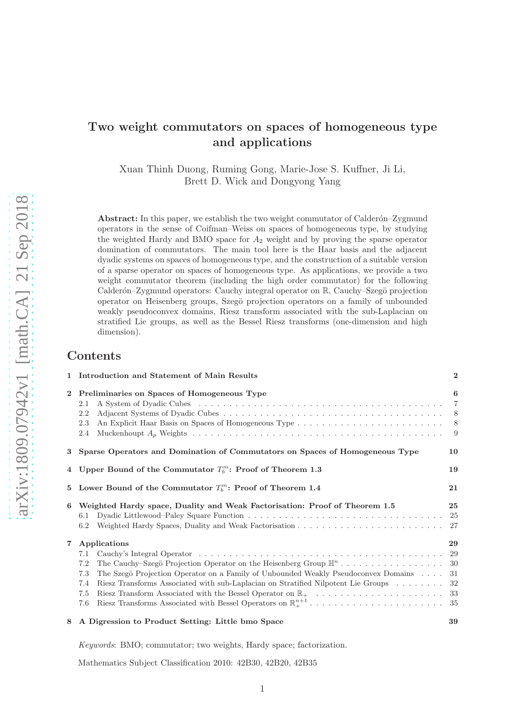# Two weight commutators on spaces of homogeneous type and applications

Xuan Thinh Duong, Ruming Gong, Marie-Jose S. Kuffner, Ji Li, Brett D. Wick and Dongyong Yang

Abstract: In this paper, we establish the two weight commutator of Calderón–Zygmund operators in the sense of Coifman–Weiss on spaces of homogeneous type, by studying the weighted Hardy and BMO space for  $A_2$  weight and by proving the sparse operator domination of commutators. The main tool here is the Haar basis and the adjacent dyadic systems on spaces of homogeneous type, and the construction of a suitable version of a sparse operator on spaces of homogeneous type. As applications, we provide a two weight commutator theorem (including the high order commutator) for the following Calderón–Zygmund operators: Cauchy integral operator on  $\mathbb{R}$ , Cauchy–Szegö projection operator on Heisenberg groups, Szeg¨o projection operators on a family of unbounded weakly pseudoconvex domains, Riesz transform associated with the sub-Laplacian on stratified Lie groups, as well as the Bessel Riesz transforms (one-dimension and high dimension).

# Contents

| $\mathbf{1}$   | Introduction and Statement of Main Results                                                                                                                                                                                        | $\overline{2}$                       |
|----------------|-----------------------------------------------------------------------------------------------------------------------------------------------------------------------------------------------------------------------------------|--------------------------------------|
| $\overline{2}$ | Preliminaries on Spaces of Homogeneous Type<br>2.1<br>2.2<br>2.3<br>2.4                                                                                                                                                           | 6<br>$\overline{7}$<br>-8<br>8<br>-9 |
| 3              | Sparse Operators and Domination of Commutators on Spaces of Homogeneous Type                                                                                                                                                      | 10                                   |
|                | 4 Upper Bound of the Commutator $T_h^m$ : Proof of Theorem 1.3                                                                                                                                                                    | 19                                   |
| 5              | Lower Bound of the Commutator $T_b^m$ : Proof of Theorem 1.4                                                                                                                                                                      | 21                                   |
| 6              | Weighted Hardy space, Duality and Weak Factorisation: Proof of Theorem 1.5<br>6.1<br>6.2                                                                                                                                          | 25<br>- 25                           |
| $\overline{7}$ | Applications<br>7.1<br>7.2<br>The Szegö Projection Operator on a Family of Unbounded Weakly Pseudoconvex Domains<br>7.3<br>Riesz Transforms Associated with sub-Laplacian on Stratified Nilpotent Lie Groups<br>7.4<br>7.5<br>7.6 | 29<br>- 30<br>-31<br>- 32            |
| 8              | A Digression to Product Setting: Little bmo Space                                                                                                                                                                                 | 39                                   |

*Keywords*: BMO; commutator; two weights, Hardy space; factorization.

Mathematics Subject Classification 2010: 42B30, 42B20, 42B35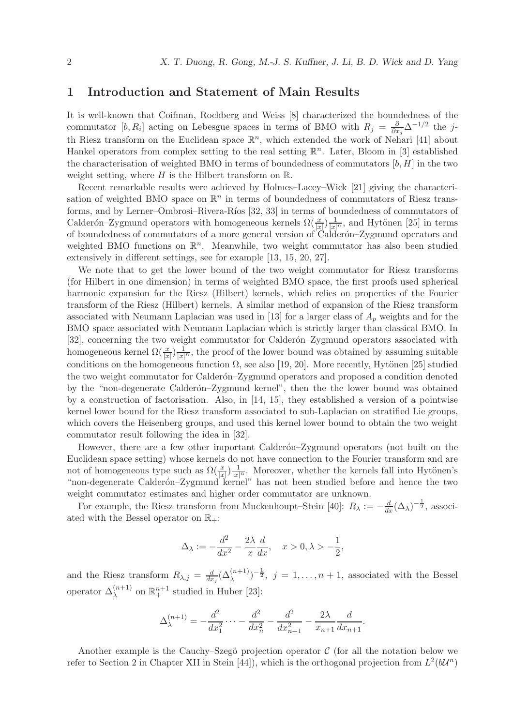# 1 Introduction and Statement of Main Results

It is well-known that Coifman, Rochberg and Weiss [8] characterized the boundedness of the commutator [b, R<sub>i</sub>] acting on Lebesgue spaces in terms of BMO with  $R_j = \frac{\partial}{\partial x}$  $\frac{\partial}{\partial x_j}$ ∆ $^{-1/2}$  the jth Riesz transform on the Euclidean space  $\mathbb{R}^n$ , which extended the work of Nehari [41] about Hankel operators from complex setting to the real setting  $\mathbb{R}^n$ . Later, Bloom in [3] established the characterisation of weighted BMO in terms of boundedness of commutators  $[b, H]$  in the two weight setting, where  $H$  is the Hilbert transform on  $\mathbb{R}$ .

Recent remarkable results were achieved by Holmes–Lacey–Wick [21] giving the characterisation of weighted BMO space on  $\mathbb{R}^n$  in terms of boundedness of commutators of Riesz transforms, and by Lerner–Ombrosi–Rivera-Ríos [32, 33] in terms of boundedness of commutators of Calderón–Zygmund operators with homogeneous kernels  $\Omega(\frac{x}{|x|})\frac{1}{|x|^n}$ , and Hytönen [25] in terms of boundedness of commutators of a more general version of Calder´on–Zygmund operators and weighted BMO functions on  $\mathbb{R}^n$ . Meanwhile, two weight commutator has also been studied extensively in different settings, see for example [13, 15, 20, 27].

We note that to get the lower bound of the two weight commutator for Riesz transforms (for Hilbert in one dimension) in terms of weighted BMO space, the first proofs used spherical harmonic expansion for the Riesz (Hilbert) kernels, which relies on properties of the Fourier transform of the Riesz (Hilbert) kernels. A similar method of expansion of the Riesz transform associated with Neumann Laplacian was used in [13] for a larger class of  $A_p$  weights and for the BMO space associated with Neumann Laplacian which is strictly larger than classical BMO. In [32], concerning the two weight commutator for Calderón–Zygmund operators associated with homogeneous kernel  $\Omega(\frac{x}{|x|})\frac{1}{|x|^n}$ , the proof of the lower bound was obtained by assuming suitable conditions on the homogeneous function  $\Omega$ , see also [19, 20]. More recently, Hytönen [25] studied the two weight commutator for Calderón–Zygmund operators and proposed a condition denoted by the "non-degenerate Calderón–Zygmund kernel", then the the lower bound was obtained by a construction of factorisation. Also, in [14, 15], they established a version of a pointwise kernel lower bound for the Riesz transform associated to sub-Laplacian on stratified Lie groups, which covers the Heisenberg groups, and used this kernel lower bound to obtain the two weight commutator result following the idea in [32].

However, there are a few other important Calderón–Zygmund operators (not built on the Euclidean space setting) whose kernels do not have connection to the Fourier transform and are not of homogeneous type such as  $\Omega(\frac{x}{|x|})\frac{1}{|x|^n}$ . Moreover, whether the kernels fall into Hytönen's "non-degenerate Calderón-Zygmund kernel" has not been studied before and hence the two weight commutator estimates and higher order commutator are unknown.

For example, the Riesz transform from Muckenhoupt–Stein [40]:  $R_{\lambda} := -\frac{d}{dx} (\Delta_{\lambda})^{-\frac{1}{2}}$ , associated with the Bessel operator on  $\mathbb{R}_+$ :

$$
\Delta_\lambda:=-\frac{d^2}{dx^2}-\frac{2\lambda}{x}\frac{d}{dx},\quad x>0,\lambda>-\frac{1}{2},
$$

and the Riesz transform  $R_{\lambda,j} = \frac{d}{dx}$  $\frac{d}{dx_j}(\Delta_\lambda^{(n+1)})^{-\frac{1}{2}}, \ j=1,\ldots,n+1$ , associated with the Bessel operator  $\Delta_{\lambda}^{(n+1)}$  on  $\mathbb{R}^{n+1}_+$  studied in Huber [23]:

$$
\Delta_{\lambda}^{(n+1)} = -\frac{d^2}{dx_1^2} \cdots - \frac{d^2}{dx_n^2} - \frac{d^2}{dx_{n+1}^2} - \frac{2\lambda}{x_{n+1}} \frac{d}{dx_{n+1}}.
$$

Another example is the Cauchy–Szegö projection operator  $\mathcal C$  (for all the notation below we refer to Section 2 in Chapter XII in Stein [44]), which is the orthogonal projection from  $L^2(b\mathcal{U}^n)$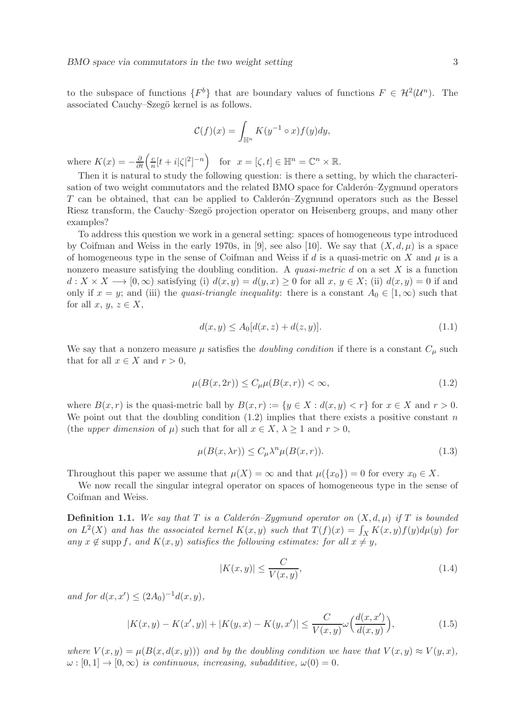to the subspace of functions  $\{F^b\}$  that are boundary values of functions  $F \in \mathcal{H}^2(\mathcal{U}^n)$ . The associated Cauchy–Szegö kernel is as follows.

$$
\mathcal{C}(f)(x) = \int_{\mathbb{H}^n} K(y^{-1} \circ x) f(y) dy,
$$

where  $K(x) = -\frac{\partial}{\partial t} \left( \frac{c}{n} \right)$  $\frac{c}{n}[t+i|\zeta|^2]^{-n}$  for  $x=[\zeta,t]\in \mathbb{H}^n=\mathbb{C}^n\times\mathbb{R}$ .

Then it is natural to study the following question: is there a setting, by which the characterisation of two weight commutators and the related BMO space for Calderon–Zygmund operators  $T$  can be obtained, that can be applied to Calder $\acute{a}$ -Zygmund operators such as the Bessel Riesz transform, the Cauchy–Szegö projection operator on Heisenberg groups, and many other examples?

To address this question we work in a general setting: spaces of homogeneous type introduced by Coifman and Weiss in the early 1970s, in [9], see also [10]. We say that  $(X, d, \mu)$  is a space of homogeneous type in the sense of Coifman and Weiss if  $d$  is a quasi-metric on  $X$  and  $\mu$  is a nonzero measure satisfying the doubling condition. A *quasi-metric* d on a set X is a function  $d: X \times X \longrightarrow [0, \infty)$  satisfying (i)  $d(x, y) = d(y, x) \ge 0$  for all  $x, y \in X$ ; (ii)  $d(x, y) = 0$  if and only if  $x = y$ ; and (iii) the *quasi-triangle inequality*: there is a constant  $A_0 \in [1, \infty)$  such that for all  $x, y, z \in X$ ,

$$
d(x, y) \le A_0[d(x, z) + d(z, y)].
$$
\n(1.1)

We say that a nonzero measure  $\mu$  satisfies the *doubling condition* if there is a constant  $C_{\mu}$  such that for all  $x \in X$  and  $r > 0$ ,

$$
\mu(B(x, 2r)) \le C_{\mu}\mu(B(x, r)) < \infty,\tag{1.2}
$$

where  $B(x, r)$  is the quasi-metric ball by  $B(x, r) := \{y \in X : d(x, y) < r\}$  for  $x \in X$  and  $r > 0$ . We point out that the doubling condition  $(1.2)$  implies that there exists a positive constant n (the *upper dimension* of  $\mu$ ) such that for all  $x \in X$ ,  $\lambda \geq 1$  and  $r > 0$ ,

$$
\mu(B(x,\lambda r)) \le C_{\mu} \lambda^n \mu(B(x,r)).
$$
\n(1.3)

Throughout this paper we assume that  $\mu(X) = \infty$  and that  $\mu({x_0}) = 0$  for every  $x_0 \in X$ .

We now recall the singular integral operator on spaces of homogeneous type in the sense of Coifman and Weiss.

**Definition 1.1.** We say that T is a Calderón–Zygmund operator on  $(X, d, \mu)$  if T is bounded *on*  $L^2(X)$  *and has the associated kernel*  $K(x, y)$  *such that*  $T(f)(x) = \int_X K(x, y)f(y)d\mu(y)$  *for any*  $x \notin \text{supp } f$ , and  $K(x, y)$  *satisfies the following estimates: for all*  $x \neq y$ ,

$$
|K(x,y)| \le \frac{C}{V(x,y)},\tag{1.4}
$$

*and for*  $d(x, x') \leq (2A_0)^{-1}d(x, y)$ *,* 

$$
|K(x,y) - K(x',y)| + |K(y,x) - K(y,x')| \le \frac{C}{V(x,y)} \omega\Big(\frac{d(x,x')}{d(x,y)}\Big),\tag{1.5}
$$

*where*  $V(x, y) = \mu(B(x, d(x, y)))$  *and by the doubling condition we have that*  $V(x, y) \approx V(y, x)$ *,*  $\omega : [0, 1] \to [0, \infty)$  *is continuous, increasing, subadditive,*  $\omega(0) = 0$ *.*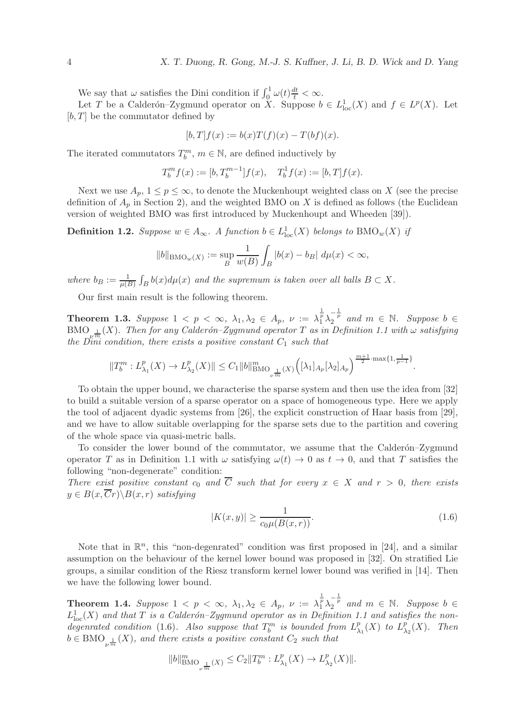We say that  $\omega$  satisfies the Dini condition if  $\int_0^1 \omega(t) \frac{dt}{t} < \infty$ .

Let T be a Calderón–Zygmund operator on  $X$ . Suppose  $b \in L^1_{loc}(X)$  and  $f \in L^p(X)$ . Let  $[b, T]$  be the commutator defined by

$$
[b,T]f(x) := b(x)T(f)(x) - T(bf)(x).
$$

The iterated commutators  $T_b^m$ ,  $m \in \mathbb{N}$ , are defined inductively by

$$
T_b^m f(x) := [b, T_b^{m-1}] f(x), \quad T_b^1 f(x) := [b, T] f(x).
$$

Next we use  $A_p$ ,  $1 \leq p \leq \infty$ , to denote the Muckenhoupt weighted class on X (see the precise definition of  $A_p$  in Section 2), and the weighted BMO on X is defined as follows (the Euclidean version of weighted BMO was first introduced by Muckenhoupt and Wheeden [39]).

**Definition 1.2.** *Suppose*  $w \in A_{\infty}$ . *A function*  $b \in L^1_{loc}(X)$  *belongs to*  $BMO_w(X)$  *if* 

$$
||b||_{\text{BMO}_w(X)} := \sup_B \frac{1}{w(B)} \int_B |b(x) - b_B| \, d\mu(x) < \infty,
$$

where  $b_B := \frac{1}{\mu(B)} \int_B b(x) d\mu(x)$  and the supremum is taken over all balls  $B \subset X$ .

Our first main result is the following theorem.

**Theorem 1.3.** Suppose  $1 < p < \infty$ ,  $\lambda_1, \lambda_2 \in A_p$ ,  $\nu := \lambda_1^{\frac{1}{p}} \lambda_2^{-\frac{1}{p}}$  and  $m \in \mathbb{N}$ . Suppose  $b \in$  $\text{BMO}_{\mathbb{R}^{\nu^m}}(X)$ . Then for any Calderón–Zygmund operator T as in Definition 1.1 with  $\omega$  satisfying *the Dini condition, there exists a positive constant*  $C_1$  *such that* 

$$
||T_b^m: L_{\lambda_1}^p(X) \to L_{\lambda_2}^p(X)|| \leq C_1 ||b||_{\text{BMO}_{\nu^{\frac{1}{m}}}(X)}^m \Big( [\lambda_1]_{A_p} [\lambda_2]_{A_p} \Big)^{\frac{m+1}{2} \cdot \max\{1, \frac{1}{p-1}\}}.
$$

To obtain the upper bound, we characterise the sparse system and then use the idea from [32] to build a suitable version of a sparse operator on a space of homogeneous type. Here we apply the tool of adjacent dyadic systems from [26], the explicit construction of Haar basis from [29], and we have to allow suitable overlapping for the sparse sets due to the partition and covering of the whole space via quasi-metric balls.

To consider the lower bound of the commutator, we assume that the Calderon–Zygmund operator T as in Definition 1.1 with  $\omega$  satisfying  $\omega(t) \to 0$  as  $t \to 0$ , and that T satisfies the following "non-degenerate" condition:

*There exist positive constant*  $c_0$  *and*  $\overline{C}$  *such that for every*  $x \in X$  *and*  $r > 0$ *, there exists*  $y \in B(x, \overline{C}r) \backslash B(x, r)$  *satisfying* 

$$
|K(x,y)| \ge \frac{1}{c_0 \mu(B(x,r))}.\tag{1.6}
$$

Note that in  $\mathbb{R}^n$ , this "non-degenrated" condition was first proposed in [24], and a similar assumption on the behaviour of the kernel lower bound was proposed in [32]. On stratified Lie groups, a similar condition of the Riesz transform kernel lower bound was verified in [14]. Then we have the following lower bound.

**Theorem 1.4.** Suppose  $1 < p < \infty$ ,  $\lambda_1, \lambda_2 \in A_p$ ,  $\nu := \lambda_1^{\frac{1}{p}} \lambda_2^{-\frac{1}{p}}$  and  $m \in \mathbb{N}$ . Suppose  $b \in A_p$  $L^1_{\text{loc}}(X)$  and that  $T$  is a Calderón–Zygmund operator as in Definition 1.1 and satisfies the non*degenrated condition* (1.6). Also suppose that  $T_b^m$  is bounded from  $L_\lambda^p$  $_{\lambda_1}^p(X)$  to  $L^p_{\lambda}$  $_{\lambda_2}^p(X)$ *.* Then  $b \in BMO_{\nu^{\frac{1}{m}}}(X)$ , and there exists a positive constant  $C_2$  such that

$$
||b||_{\text{BMO}_{\nu^{\frac{1}{m}}}(X)}^m \leq C_2 ||T_b^m : L_{\lambda_1}^p(X) \to L_{\lambda_2}^p(X)||.
$$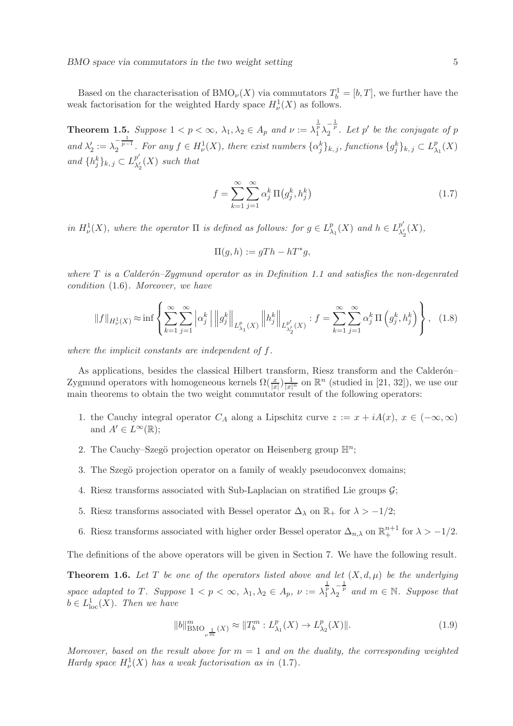Based on the characterisation of BMO<sub> $\nu$ </sub>(X) via commutators  $T_b^1 = [b, T]$ , we further have the weak factorisation for the weighted Hardy space  $H^1_{\nu}(X)$  as follows.

**Theorem 1.5.** Suppose  $1 < p < \infty$ ,  $\lambda_1, \lambda_2 \in A_p$  and  $\nu := \lambda_1^{\frac{1}{p}} \lambda_2^{-\frac{1}{p}}$ . Let  $p'$  be the conjugate of  $p$ and  $\lambda'_2 := \lambda_2^{-\frac{1}{p-1}}$ . For any  $f \in H^1_\nu(X)$ , there exist numbers  $\{\alpha_j^k\}_{k,j}$ , functions  $\{g_j^k\}_{k,j} \subset L^p_\lambda$  $_{\lambda_1}^p(X)$ *and*  $\{h_j^k\}_{k,j} \subset L^{p'}_{\lambda'_i}$  $\frac{p}{\lambda_2'}(X)$  such that

$$
f = \sum_{k=1}^{\infty} \sum_{j=1}^{\infty} \alpha_j^k \, \Pi(g_j^k, h_j^k)
$$
\n(1.7)

*in*  $H^1_\nu(X)$ *, where the operator*  $\Pi$  *is defined as follows: for*  $g \in L^p_\lambda$  $_{\lambda_1}^p(X)$  and  $h \in L_{\lambda_2'}^{p'}$  $^p_{\lambda'_2}(X)$ ,

$$
\Pi(g, h) := gTh - hT^*g,
$$

*where* T *is a Calder´on–Zygmund operator as in Definition 1.1 and satisfies the non-degenrated condition* (1.6)*. Moreover, we have*

$$
||f||_{H^1_{\nu}(X)} \approx \inf \left\{ \sum_{k=1}^{\infty} \sum_{j=1}^{\infty} \left| \alpha_j^k \right| \left\| g_j^k \right\|_{L^p_{\lambda_1}(X)} \left\| h_j^k \right\|_{L^{p'}_{\lambda'_2}(X)} : f = \sum_{k=1}^{\infty} \sum_{j=1}^{\infty} \alpha_j^k \, \Pi \left( g_j^k, h_j^k \right) \right\}, \tag{1.8}
$$

*where the implicit constants are independent of* f*.*

As applications, besides the classical Hilbert transform, Riesz transform and the Calderón– Zygmund operators with homogeneous kernels  $\Omega(\frac{x}{|x|})\frac{1}{|x|^n}$  on  $\mathbb{R}^n$  (studied in [21, 32]), we use our main theorems to obtain the two weight commutator result of the following operators:

- 1. the Cauchy integral operator  $C_A$  along a Lipschitz curve  $z := x + iA(x), x \in (-\infty, \infty)$ and  $A' \in L^{\infty}(\mathbb{R});$
- 2. The Cauchy-Szegö projection operator on Heisenberg group  $\mathbb{H}^n$ ;
- 3. The Szegö projection operator on a family of weakly pseudoconvex domains;
- 4. Riesz transforms associated with Sub-Laplacian on stratified Lie groups  $\mathcal{G}$ ;
- 5. Riesz transforms associated with Bessel operator  $\Delta_{\lambda}$  on  $\mathbb{R}_{+}$  for  $\lambda > -1/2$ ;
- 6. Riesz transforms associated with higher order Bessel operator  $\Delta_{n,\lambda}$  on  $\mathbb{R}^{n+1}_+$  for  $\lambda > -1/2$ .

The definitions of the above operators will be given in Section 7. We have the following result.

**Theorem 1.6.** Let T be one of the operators listed above and let  $(X, d, \mu)$  be the underlying *space adapted to* T. Suppose  $1 < p < \infty$ ,  $\lambda_1, \lambda_2 \in A_p$ ,  $\nu := \lambda_1^{\frac{1}{p}} \lambda_2^{-\frac{1}{p}}$  and  $m \in \mathbb{N}$ . Suppose that  $b \in L^1_{loc}(X)$ . Then we have

$$
||b||_{\text{BMO}_{\nu^{\frac{1}{m}}}(X)}^m \approx ||T_b^m : L_{\lambda_1}^p(X) \to L_{\lambda_2}^p(X)||. \tag{1.9}
$$

*Moreover, based on the result above for*  $m = 1$  *and on the duality, the corresponding weighted Hardy space*  $H^1_\nu(X)$  *has a weak factorisation as in* (1.7)*.*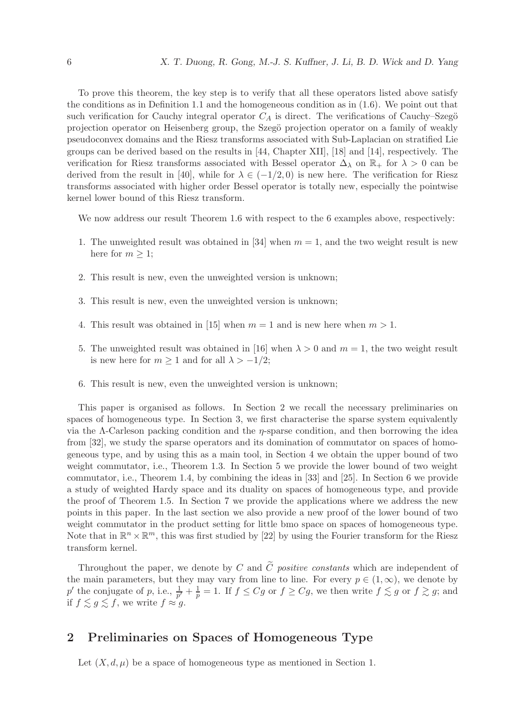To prove this theorem, the key step is to verify that all these operators listed above satisfy the conditions as in Definition 1.1 and the homogeneous condition as in (1.6). We point out that such verification for Cauchy integral operator  $C_A$  is direct. The verifications of Cauchy–Szegö projection operator on Heisenberg group, the Szegö projection operator on a family of weakly pseudoconvex domains and the Riesz transforms associated with Sub-Laplacian on stratified Lie groups can be derived based on the results in [44, Chapter XII], [18] and [14], respectively. The verification for Riesz transforms associated with Bessel operator  $\Delta_{\lambda}$  on  $\mathbb{R}_+$  for  $\lambda > 0$  can be derived from the result in [40], while for  $\lambda \in (-1/2, 0)$  is new here. The verification for Riesz transforms associated with higher order Bessel operator is totally new, especially the pointwise kernel lower bound of this Riesz transform.

We now address our result Theorem 1.6 with respect to the 6 examples above, respectively:

- 1. The unweighted result was obtained in [34] when  $m = 1$ , and the two weight result is new here for  $m \geq 1$ ;
- 2. This result is new, even the unweighted version is unknown;
- 3. This result is new, even the unweighted version is unknown;
- 4. This result was obtained in [15] when  $m = 1$  and is new here when  $m > 1$ .
- 5. The unweighted result was obtained in [16] when  $\lambda > 0$  and  $m = 1$ , the two weight result is new here for  $m \geq 1$  and for all  $\lambda > -1/2$ ;
- 6. This result is new, even the unweighted version is unknown;

This paper is organised as follows. In Section 2 we recall the necessary preliminaries on spaces of homogeneous type. In Section 3, we first characterise the sparse system equivalently via the Λ-Carleson packing condition and the η-sparse condition, and then borrowing the idea from [32], we study the sparse operators and its domination of commutator on spaces of homogeneous type, and by using this as a main tool, in Section 4 we obtain the upper bound of two weight commutator, i.e., Theorem 1.3. In Section 5 we provide the lower bound of two weight commutator, i.e., Theorem 1.4, by combining the ideas in [33] and [25]. In Section 6 we provide a study of weighted Hardy space and its duality on spaces of homogeneous type, and provide the proof of Theorem 1.5. In Section 7 we provide the applications where we address the new points in this paper. In the last section we also provide a new proof of the lower bound of two weight commutator in the product setting for little bmo space on spaces of homogeneous type. Note that in  $\mathbb{R}^n \times \mathbb{R}^m$ , this was first studied by [22] by using the Fourier transform for the Riesz transform kernel.

Throughout the paper, we denote by C and  $\tilde{C}$  *positive constants* which are independent of the main parameters, but they may vary from line to line. For every  $p \in (1,\infty)$ , we denote by  $p'$  the conjugate of p, i.e.,  $\frac{1}{p'} + \frac{1}{p}$  $\frac{1}{p} = 1$ . If  $f \leq Cg$  or  $f \geq Cg$ , we then write  $f \lesssim g$  or  $f \gtrsim g$ ; and if  $f \lesssim g \lesssim f$ , we write  $f \approx g$ .

## 2 Preliminaries on Spaces of Homogeneous Type

Let  $(X, d, \mu)$  be a space of homogeneous type as mentioned in Section 1.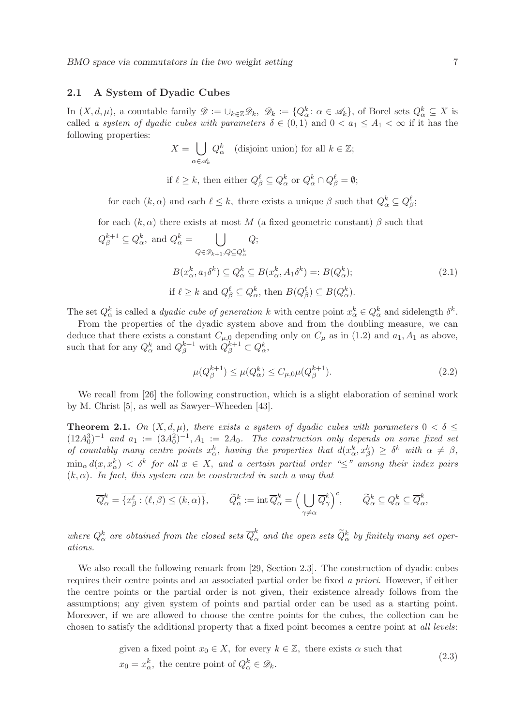BMO space via commutators in the two weight setting  $7$ 

## 2.1 A System of Dyadic Cubes

In  $(X, d, \mu)$ , a countable family  $\mathscr{D} := \cup_{k \in \mathbb{Z}} \mathscr{D}_k$ ,  $\mathscr{D}_k := \{Q_{\alpha}^k : \alpha \in \mathscr{A}_k\}$ , of Borel sets  $Q_{\alpha}^k \subseteq X$  is called *a system of dyadic cubes with parameters*  $\delta \in (0,1)$  and  $0 < a_1 \leq A_1 < \infty$  if it has the following properties:

$$
X = \bigcup_{\alpha \in \mathscr{A}_k} Q_{\alpha}^k \quad \text{(disjoint union) for all } k \in \mathbb{Z};
$$
  
if  $\ell \ge k$ , then either  $Q_{\beta}^{\ell} \subseteq Q_{\alpha}^k$  or  $Q_{\alpha}^k \cap Q_{\beta}^{\ell} = \emptyset;$ 

for each  $(k, \alpha)$  and each  $\ell \leq k$ , there exists a unique  $\beta$  such that  $Q_{\alpha}^{k} \subseteq Q_{\beta}^{\ell}$ ;

for each 
$$
(k, \alpha)
$$
 there exists at most  $M$  (a fixed geometric constant)  $\beta$  such that  
\n $Q_{\beta}^{k+1} \subseteq Q_{\alpha}^k$ , and  $Q_{\alpha}^k = \bigcup_{Q \in \mathscr{D}_{k+1}, Q \subseteq Q_{\alpha}^k} Q$ ;  
\n $B(x_{\alpha}^k, a_1 \delta^k) \subseteq Q_{\alpha}^k \subseteq B(x_{\alpha}^k, A_1 \delta^k) =: B(Q_{\alpha}^k)$ ;  
\nif  $\ell \ge k$  and  $Q_{\beta}^{\ell} \subseteq Q_{\alpha}^k$ , then  $B(Q_{\beta}^{\ell}) \subseteq B(Q_{\alpha}^k)$ .  
\n(2.1)

The set  $Q_{\alpha}^{k}$  is called a *dyadic cube of generation* k with centre point  $x_{\alpha}^{k} \in Q_{\alpha}^{k}$  and sidelength  $\delta^{k}$ .

From the properties of the dyadic system above and from the doubling measure, we can deduce that there exists a constant  $C_{\mu,0}$  depending only on  $C_{\mu}$  as in (1.2) and  $a_1, A_1$  as above, such that for any  $Q_{\alpha}^{k}$  and  $Q_{\beta}^{k+1}$  with  $Q_{\beta}^{k+1} \subset Q_{\alpha}^{k}$ ,

$$
\mu(Q_{\beta}^{k+1}) \le \mu(Q_{\alpha}^k) \le C_{\mu,0} \mu(Q_{\beta}^{k+1}).
$$
\n(2.2)

We recall from [26] the following construction, which is a slight elaboration of seminal work by M. Christ [5], as well as Sawyer–Wheeden [43].

**Theorem 2.1.** *On*  $(X, d, \mu)$ *, there exists a system of dyadic cubes with parameters*  $0 < \delta \leq$  $(12A_0^3)^{-1}$  and  $a_1 := (3A_0^2)^{-1}, A_1 := 2A_0$ . The construction only depends on some fixed set *of countably many centre points*  $x^k_\alpha$ , *having the properties that*  $d(x^k_\alpha, x^k_\beta) \geq \delta^k$  with  $\alpha \neq \beta$ ,  $\min_\alpha d(x,x_\alpha^k) < \delta^k$  for all  $x \in X$ , and a certain partial order " $\leq$ " among their index pairs (k, α)*. In fact, this system can be constructed in such a way that*

$$
\overline{Q}_{\alpha}^{k} = \overline{\{x_{\beta}^{\ell} : (\ell, \beta) \leq (k, \alpha)\}}, \qquad \widetilde{Q}_{\alpha}^{k} := \operatorname{int} \overline{Q}_{\alpha}^{k} = \Big(\bigcup_{\gamma \neq \alpha} \overline{Q}_{\gamma}^{k}\Big)^{c}, \qquad \widetilde{Q}_{\alpha}^{k} \subseteq Q_{\alpha}^{k} \subseteq \overline{Q}_{\alpha}^{k},
$$

where  $Q^k_\alpha$  are obtained from the closed sets  $\overline{Q}^k_\alpha$  and the open sets  $\widetilde{Q}^k_\alpha$  by finitely many set oper*ations.*

We also recall the following remark from [29, Section 2.3]. The construction of dyadic cubes requires their centre points and an associated partial order be fixed *a priori*. However, if either the centre points or the partial order is not given, their existence already follows from the assumptions; any given system of points and partial order can be used as a starting point. Moreover, if we are allowed to choose the centre points for the cubes, the collection can be chosen to satisfy the additional property that a fixed point becomes a centre point at *all levels*:

given a fixed point 
$$
x_0 \in X
$$
, for every  $k \in \mathbb{Z}$ , there exists  $\alpha$  such that  
\n $x_0 = x_\alpha^k$ , the centre point of  $Q_\alpha^k \in \mathcal{D}_k$ . (2.3)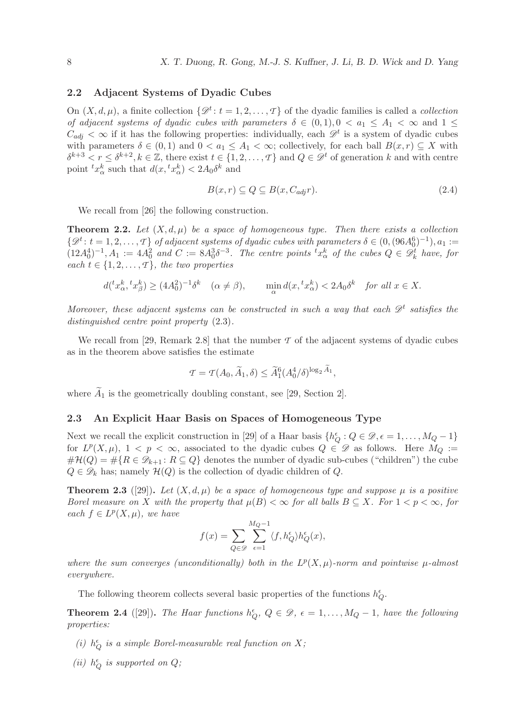### 2.2 Adjacent Systems of Dyadic Cubes

On  $(X, d, \mu)$ , a finite collection  $\{\mathscr{D}^t: t = 1, 2, ..., T\}$  of the dyadic families is called a *collection of adjacent systems of dyadic cubes with parameters*  $\delta \in (0,1), 0 < a_1 \leq A_1 < \infty$  and  $1 \leq$  $C_{adj} < \infty$  if it has the following properties: individually, each  $\mathscr{D}^t$  is a system of dyadic cubes with parameters  $\delta \in (0,1)$  and  $0 < a_1 \leq A_1 < \infty$ ; collectively, for each ball  $B(x,r) \subseteq X$  with  $\delta^{k+3} < r \leq \delta^{k+2}, k \in \mathbb{Z}$ , there exist  $t \in \{1, 2, ..., T\}$  and  $Q \in \mathscr{D}^t$  of generation k and with centre point  ${}^t x^k_\alpha$  such that  $d(x, {}^t x^k_\alpha) < 2A_0 \delta^k$  and

$$
B(x,r) \subseteq Q \subseteq B(x, C_{adj}r). \tag{2.4}
$$

We recall from [26] the following construction.

**Theorem 2.2.** Let  $(X, d, \mu)$  be a space of homogeneous type. Then there exists a collection  $\{\mathscr{D}^t: t = 1, 2, \ldots, T\}$  of adjacent systems of dyadic cubes with parameters  $\delta \in (0, (96A_0^6)^{-1}), a_1 :=$  $(12A_0^4)^{-1}, A_1 := 4A_0^2$  and  $C := 8A_0^3 \delta^{-3}$ . The centre points  ${}^t x^k_\alpha$  of the cubes  $Q \in \mathscr{D}_k^t$  have, for *each*  $t \in \{1, 2, \ldots, T\}$ *, the two properties* 

$$
d({}^tx_\alpha^k,{}^tx_\beta^k) \ge (4A_0^2)^{-1}\delta^k \quad (\alpha \ne \beta), \qquad \min_\alpha d(x,{}^tx_\alpha^k) < 2A_0\delta^k \quad \text{for all } x \in X.
$$

*Moreover, these adjacent systems can be constructed in such a way that each*  $\mathscr{D}^t$  satisfies the *distinguished centre point property* (2.3)*.*

We recall from [29, Remark 2.8] that the number  $\mathcal T$  of the adjacent systems of dyadic cubes as in the theorem above satisfies the estimate

$$
\mathcal{T} = \mathcal{T}(A_0, \widetilde{A}_1, \delta) \le \widetilde{A}_1^6 (A_0^4/\delta)^{\log_2 \widetilde{A}_1},
$$

where  $\widetilde{A}_1$  is the geometrically doubling constant, see [29, Section 2].

#### 2.3 An Explicit Haar Basis on Spaces of Homogeneous Type

Next we recall the explicit construction in [29] of a Haar basis  $\{h_Q^{\epsilon}: Q \in \mathcal{D}, \epsilon = 1, \ldots, M_Q - 1\}$ for  $L^p(X,\mu), 1 < p < \infty$ , associated to the dyadic cubes  $Q \in \mathscr{D}$  as follows. Here  $M_Q :=$  $\#\mathcal{H}(Q) = \#\{R \in \mathscr{D}_{k+1} : R \subseteq Q\}$  denotes the number of dyadic sub-cubes ("children") the cube  $Q \in \mathscr{D}_k$  has; namely  $\mathcal{H}(Q)$  is the collection of dyadic children of Q.

**Theorem 2.3** ([29]). Let  $(X, d, \mu)$  be a space of homogeneous type and suppose  $\mu$  is a positive *Borel measure on* X *with the property that*  $\mu(B) < \infty$  *for all balls*  $B \subseteq X$ *. For*  $1 < p < \infty$ *, for*  $\operatorname{each} f \in L^p(X, \mu)$ *, we have* 

$$
f(x) = \sum_{Q \in \mathcal{D}} \sum_{\epsilon=1}^{M_Q - 1} \langle f, h_Q^{\epsilon} \rangle h_Q^{\epsilon}(x),
$$

where the sum converges (unconditionally) both in the  $L^p(X, \mu)$ -norm and pointwise  $\mu$ -almost *everywhere.*

The following theorem collects several basic properties of the functions  $h_Q^\epsilon.$ 

**Theorem 2.4** ([29]). *The Haar functions*  $h_Q^{\epsilon}$ ,  $Q \in \mathcal{D}$ ,  $\epsilon = 1, ..., M_Q - 1$ , have the following *properties:*

- (*i*)  $h_Q^{\epsilon}$  *is a simple Borel-measurable real function on*  $X$ ;
- *(ii)*  $h_Q^{\epsilon}$  *is supported on Q;*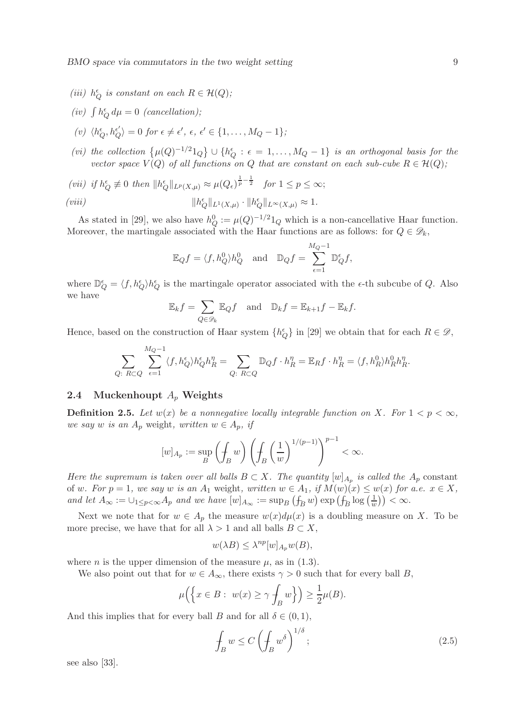$BMO$  space via commutators in the two weight setting  $9$ 

- (*iii*)  $h_Q^{\epsilon}$  *is constant on each*  $R \in \mathcal{H}(Q)$ *;*
- (*iv*)  $\int h_Q^{\epsilon} d\mu = 0$  (*cancellation*);
- $\langle v \rangle \langle h_Q^{\epsilon}, h_Q^{\epsilon'} \rangle = 0$  *for*  $\epsilon \neq \epsilon', \epsilon, \epsilon' \in \{1, \ldots, M_Q 1\};$
- (*vi*) the collection  $\{\mu(Q)^{-1/2}1_Q\} \cup \{h_Q^{\epsilon} : \epsilon = 1,\ldots,M_Q-1\}$  *is an orthogonal basis for the vector space*  $V(Q)$  *of all functions on*  $Q$  *that are constant on each sub-cube*  $R \in \mathcal{H}(Q)$ *;*
- (*vii*) if  $h_Q^{\epsilon} \not\equiv 0$  then  $||h_Q^{\epsilon}||_{L^p(X,\mu)} \approx \mu(Q_{\epsilon})^{\frac{1}{p}-\frac{1}{2}}$  for  $1 \le p \le \infty$ ;  $(viii)$  $_{Q}^{\epsilon}||_{L^{1}(X,\mu)} \cdot ||h_{Q}^{\epsilon}||_{L^{\infty}(X,\mu)} \approx 1.$

As stated in [29], we also have  $h_Q^0 := \mu(Q)^{-1/2} \mathbb{1}_Q$  which is a non-cancellative Haar function. Moreover, the martingale associated with the Haar functions are as follows: for  $Q \in \mathscr{D}_k$ ,

$$
\mathbb{E}_Q f = \langle f, h_Q^0 \rangle h_Q^0 \quad \text{and} \quad \mathbb{D}_Q f = \sum_{\epsilon=1}^{M_Q-1} \mathbb{D}_Q^{\epsilon} f,
$$

where  $\mathbb{D}_Q^{\epsilon} = \langle f, h_Q^{\epsilon} \rangle h_Q^{\epsilon}$  is the martingale operator associated with the  $\epsilon$ -th subcube of Q. Also we have

$$
\mathbb{E}_k f = \sum_{Q \in \mathscr{D}_k} \mathbb{E}_Q f \quad \text{and} \quad \mathbb{D}_k f = \mathbb{E}_{k+1} f - \mathbb{E}_k f.
$$

Hence, based on the construction of Haar system  $\{h_Q^{\epsilon}\}\$ in [29] we obtain that for each  $R \in \mathcal{D}$ ,

$$
\sum_{Q: R \subset Q} \sum_{\epsilon=1}^{M_Q-1} \langle f, h_Q^{\epsilon} \rangle h_Q^{\epsilon} h_R^{\eta} = \sum_{Q: R \subset Q} \mathbb{D}_Q f \cdot h_R^{\eta} = \mathbb{E}_R f \cdot h_R^{\eta} = \langle f, h_R^0 \rangle h_R^0 h_R^{\eta}.
$$

### 2.4 Muckenhoupt  $A_p$  Weights

**Definition 2.5.** Let  $w(x)$  be a nonnegative locally integrable function on X. For  $1 < p < \infty$ , *we say* w *is an*  $A_p$  weight, written  $w \in A_p$ , *if* 

$$
[w]_{A_p} := \sup_B \left(\int_B w\right) \left(\int_B \left(\frac{1}{w}\right)^{1/(p-1)}\right)^{p-1} < \infty.
$$

*Here the supremum is taken over all balls*  $B \subset X$ . The quantity  $[w]_{A_p}$  is called the  $A_p$  constant of w. For  $p = 1$ , we say w is an  $A_1$  weight, written  $w \in A_1$ , if  $M(w)(x) \leq w(x)$  for a.e.  $x \in X$ , *and let*  $A_{\infty} := \bigcup_{1 \leq p < \infty} A_p$  *and we have*  $[w]_{A_{\infty}} := \sup_B (\mathcal{f}_B w) \exp(\mathcal{f}_B \log (\frac{1}{w}))$  $\frac{1}{w})$ ) <  $\infty$ .

Next we note that for  $w \in A_p$  the measure  $w(x)d\mu(x)$  is a doubling measure on X. To be more precise, we have that for all  $\lambda > 1$  and all balls  $B \subset X$ ,

$$
w(\lambda B) \le \lambda^{np} [w]_{A_p} w(B),
$$

where *n* is the upper dimension of the measure  $\mu$ , as in (1.3).

We also point out that for  $w \in A_{\infty}$ , there exists  $\gamma > 0$  such that for every ball B,

$$
\mu\Big(\Big\{x\in B:\ w(x)\geq\gamma\oint_B w\Big\}\Big)\geq\frac{1}{2}\mu(B).
$$

And this implies that for every ball B and for all  $\delta \in (0,1)$ ,

$$
\oint_{B} w \le C \left( \oint_{B} w^{\delta} \right)^{1/\delta};\tag{2.5}
$$

see also [33].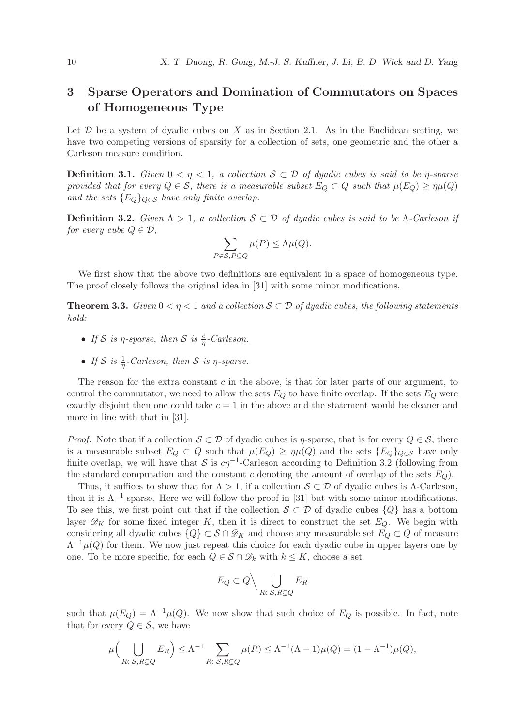# 3 Sparse Operators and Domination of Commutators on Spaces of Homogeneous Type

Let  $\mathcal D$  be a system of dyadic cubes on X as in Section 2.1. As in the Euclidean setting, we have two competing versions of sparsity for a collection of sets, one geometric and the other a Carleson measure condition.

**Definition 3.1.** *Given*  $0 < \eta < 1$ , *a collection*  $S \subset \mathcal{D}$  *of dyadic cubes is said to be*  $\eta$ *-sparse provided that for every*  $Q \in \mathcal{S}$ , there is a measurable subset  $E_Q \subset Q$  such that  $\mu(E_Q) \geq \eta \mu(Q)$ *and the sets*  ${E_Q}_{Q \in S}$  *have only finite overlap.* 

**Definition 3.2.** *Given*  $Λ > 1$ , *a collection*  $S ⊂ D$  *of dyadic cubes is said to be* Λ*-Carleson if for every cube*  $Q \in \mathcal{D}$ *,* 

$$
\sum_{P \in \mathcal{S}, P \subseteq Q} \mu(P) \le \Lambda \mu(Q).
$$

We first show that the above two definitions are equivalent in a space of homogeneous type. The proof closely follows the original idea in [31] with some minor modifications.

**Theorem 3.3.** *Given*  $0 < \eta < 1$  *and a collection*  $S \subset \mathcal{D}$  *of dyadic cubes, the following statements hold:*

- If S is  $\eta$ -sparse, then S is  $\frac{c}{\eta}$ -Carleson.
- If S is  $\frac{1}{\eta}$ -Carleson, then S is  $\eta$ -sparse.

The reason for the extra constant  $c$  in the above, is that for later parts of our argument, to control the commutator, we need to allow the sets  $E_Q$  to have finite overlap. If the sets  $E_Q$  were exactly disjoint then one could take  $c = 1$  in the above and the statement would be cleaner and more in line with that in [31].

*Proof.* Note that if a collection  $S \subset \mathcal{D}$  of dyadic cubes is *n*-sparse, that is for every  $Q \in \mathcal{S}$ , there is a measurable subset  $E_Q \subset Q$  such that  $\mu(E_Q) \ge \eta \mu(Q)$  and the sets  $\{E_Q\}_{Q \in S}$  have only finite overlap, we will have that  $S$  is  $c\eta^{-1}$ -Carleson according to Definition 3.2 (following from the standard computation and the constant c denoting the amount of overlap of the sets  $E_Q$ ).

Thus, it suffices to show that for  $\Lambda > 1$ , if a collection  $S \subset \mathcal{D}$  of dyadic cubes is  $\Lambda$ -Carleson, then it is  $\Lambda^{-1}$ -sparse. Here we will follow the proof in [31] but with some minor modifications. To see this, we first point out that if the collection  $S \subset \mathcal{D}$  of dyadic cubes  $\{Q\}$  has a bottom layer  $\mathscr{D}_K$  for some fixed integer K, then it is direct to construct the set  $E_Q$ . We begin with considering all dyadic cubes  $\{Q\} \subset \mathcal{S} \cap \mathcal{D}_K$  and choose any measurable set  $E_Q \subset Q$  of measure  $\Lambda^{-1}\mu(Q)$  for them. We now just repeat this choice for each dyadic cube in upper layers one by one. To be more specific, for each  $Q \in \mathcal{S} \cap \mathcal{D}_k$  with  $k \leq K$ , choose a set

$$
E_Q \subset Q \Big\backslash \bigcup_{R \in \mathcal{S}, R \subsetneq Q} E_R
$$

such that  $\mu(E_Q) = \Lambda^{-1}\mu(Q)$ . We now show that such choice of  $E_Q$  is possible. In fact, note that for every  $Q \in \mathcal{S}$ , we have

$$
\mu\Big(\bigcup_{R\in\mathcal{S},R\subsetneq Q}E_R\Big)\leq \Lambda^{-1}\sum_{R\in\mathcal{S},R\subsetneq Q}\mu(R)\leq \Lambda^{-1}(\Lambda-1)\mu(Q)=(1-\Lambda^{-1})\mu(Q),
$$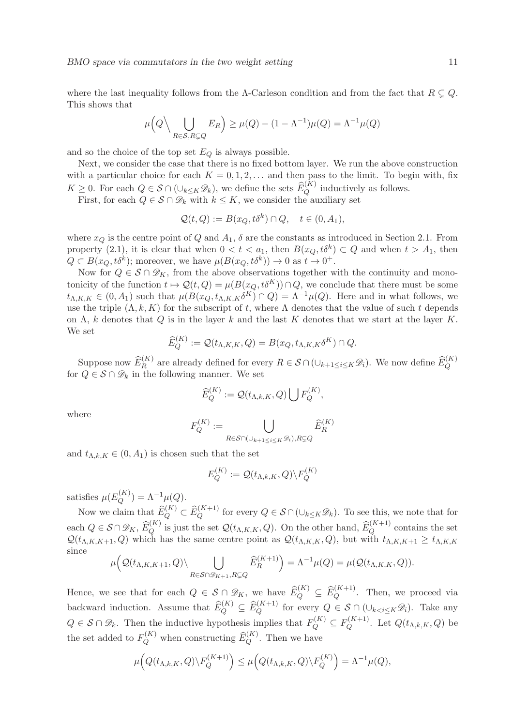BMO space via commutators in the two weight setting 11

where the last inequality follows from the Λ-Carleson condition and from the fact that  $R \subsetneq Q$ . This shows that

$$
\mu\Big(Q\Big\langle \bigcup_{R\in\mathcal{S},R\subsetneq Q}E_R\Big)\geq \mu(Q)-(1-\Lambda^{-1})\mu(Q)=\Lambda^{-1}\mu(Q)
$$

and so the choice of the top set  $E_Q$  is always possible.

Next, we consider the case that there is no fixed bottom layer. We run the above construction with a particular choice for each  $K = 0, 1, 2, \ldots$  and then pass to the limit. To begin with, fix  $K \geq 0$ . For each  $Q \in \mathcal{S} \cap (\cup_{k \leq K} \mathcal{D}_k)$ , we define the sets  $\widehat{E}_Q^{(K)}$  inductively as follows.

First, for each  $Q \in \mathcal{S} \cap \mathcal{D}_k$  with  $k \leq K$ , we consider the auxiliary set

$$
\mathcal{Q}(t,Q) := B(x_Q, t\delta^k) \cap Q, \quad t \in (0, A_1),
$$

where  $x_Q$  is the centre point of Q and  $A_1$ ,  $\delta$  are the constants as introduced in Section 2.1. From property (2.1), it is clear that when  $0 < t < a_1$ , then  $B(x_Q, t\delta^k) \subset Q$  and when  $t > A_1$ , then  $Q \subset B(x_Q, t\delta^k)$ ; moreover, we have  $\mu(B(x_Q, t\delta^k)) \to 0$  as  $t \to 0^+$ .

Now for  $Q \in \mathcal{S} \cap \mathcal{D}_K$ , from the above observations together with the continuity and monotonicity of the function  $t \mapsto \mathcal{Q}(t, Q) = \mu(B(x_Q, t\delta^K)) \cap Q$ , we conclude that there must be some  $t_{\Lambda,K,K} \in (0, A_1)$  such that  $\mu(B(x_Q, t_{\Lambda,K,K} \delta^K) \cap Q) = \Lambda^{-1} \mu(Q)$ . Here and in what follows, we use the triple  $(\Lambda, k, K)$  for the subscript of t, where  $\Lambda$  denotes that the value of such t depends on  $\Lambda$ , k denotes that Q is in the layer k and the last K denotes that we start at the layer K. We set

$$
\widehat{E}_Q^{(K)} := \mathcal{Q}(t_{\Lambda,K,K}, Q) = B(x_Q, t_{\Lambda,K,K} \delta^K) \cap Q.
$$

Suppose now  $\widehat{E}_R^{(K)}$  are already defined for every  $R \in \mathcal{S} \cap (\cup_{k+1 \leq i \leq K} \mathcal{D}_i)$ . We now define  $\widehat{E}_Q^{(K)}$ for  $Q \in \mathcal{S} \cap \mathcal{D}_k$  in the following manner. We set

$$
\widehat{E}_Q^{(K)} := \mathcal{Q}(t_{\Lambda,k,K},Q) \bigcup F_Q^{(K)},
$$

where

$$
F^{(K)}_Q:=\bigcup_{R\in\mathcal{S}\cap(\cup_{k+1\leq i\leq K}\mathscr{D}_i), R\subsetneq Q} \widehat{E}^{(K)}_R
$$

and  $t_{\Lambda,k,K} \in (0, A_1)$  is chosen such that the set

$$
E_Q^{(K)} := \mathcal{Q}(t_{\Lambda,k,K},Q) \backslash F_Q^{(K)}
$$

satisfies  $\mu(E_O^{(K)})$  $\Lambda_Q^{(K)}$ ) =  $\Lambda^{-1}\mu(Q)$ .

Now we claim that  $\widehat{E}_Q^{(K)} \subset \widehat{E}_Q^{(K+1)}$  for every  $Q \in \mathcal{S} \cap (\cup_{k \leq K} \mathcal{D}_k)$ . To see this, we note that for each  $Q \in \mathcal{S} \cap \mathcal{D}_K$ ,  $\widehat{E}_Q^{(K)}$  is just the set  $\mathcal{Q}(t_{\Lambda,K,K},Q)$ . On the other hand,  $\widehat{E}_Q^{(K+1)}$  contains the set  $\mathcal{Q}(t_{\Lambda,K,K+1}, Q)$  which has the same centre point as  $\mathcal{Q}(t_{\Lambda,K,K}, Q)$ , but with  $t_{\Lambda,K,K+1} \geq t_{\Lambda,K,K}$ since

$$
\mu\Big(\mathcal{Q}(t_{\Lambda,K,K+1},Q)\backslash\bigcup_{R\in\mathcal{S}\cap\mathscr{D}_{K+1},R\subsetneq Q}\widehat{E}_R^{(K+1)}\Big)=\Lambda^{-1}\mu(Q)=\mu\big(\mathcal{Q}(t_{\Lambda,K,K},Q)\big).
$$

Hence, we see that for each  $Q \in S \cap \mathcal{D}_K$ , we have  $\widehat{E}_Q^{(K)} \subseteq \widehat{E}_Q^{(K+1)}$ . Then, we proceed via backward induction. Assume that  $\widehat{E}_Q^{(K)} \subseteq \widehat{E}_Q^{(K+1)}$  for every  $Q \in \mathcal{S} \cap (\cup_{k < i \leq K} \mathcal{D}_i)$ . Take any  $Q \in \mathcal{S} \cap \mathcal{D}_k$ . Then the inductive hypothesis implies that  $F_Q^{(K)} \subseteq F_Q^{(K+1)}$  $Q^{(K+1)}$ . Let  $Q(t_{\Lambda,k,K},Q)$  be the set added to  $F_Q^{(K)}$  when constructing  $\widehat{E}_Q^{(K)}$ . Then we have

$$
\mu\Big(Q(t_{\Lambda,k,K},Q)\backslash F_Q^{(K+1)}\Big)\leq\mu\Big(Q(t_{\Lambda,k,K},Q)\backslash F_Q^{(K)}\Big)=\Lambda^{-1}\mu(Q),
$$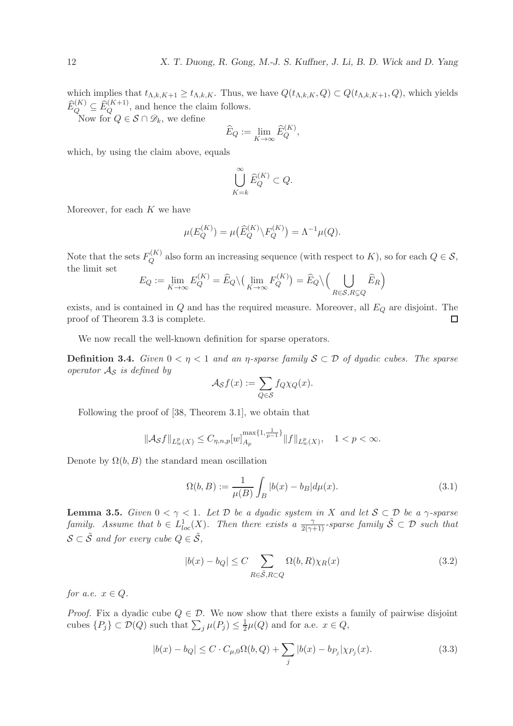which implies that  $t_{\Lambda,k,K+1} \geq t_{\Lambda,k,K}$ . Thus, we have  $Q(t_{\Lambda,k,K}, Q) \subset Q(t_{\Lambda,k,K+1}, Q)$ , which yields  $\widehat{E}_Q^{(K)} \subseteq \widehat{E}_Q^{(K+1)}$ , and hence the claim follows.

Now for  $Q \in \mathcal{S} \cap \mathscr{D}_k$ , we define

$$
\widehat{E}_Q := \lim_{K \to \infty} \widehat{E}_Q^{(K)},
$$

which, by using the claim above, equals

$$
\bigcup_{K=k}^{\infty} \widehat{E}_Q^{(K)} \subset Q.
$$

Moreover, for each  $K$  we have

$$
\mu(E_Q^{(K)}) = \mu(\widehat{E}_Q^{(K)} \backslash F_Q^{(K)}) = \Lambda^{-1} \mu(Q).
$$

Note that the sets  $F_Q^{(K)}$  $Q^{(N)}$  also form an increasing sequence (with respect to K), so for each  $Q \in S$ , the limit set

$$
E_Q := \lim_{K \to \infty} E_Q^{(K)} = \widehat{E}_Q \setminus \Big( \lim_{K \to \infty} F_Q^{(K)} \Big) = \widehat{E}_Q \setminus \Big( \bigcup_{R \in \mathcal{S}, R \subsetneq Q} \widehat{E}_R \Big)
$$

exists, and is contained in  $Q$  and has the required measure. Moreover, all  $E_Q$  are disjoint. The proof of Theorem 3.3 is complete. □

We now recall the well-known definition for sparse operators.

**Definition 3.4.** *Given*  $0 < \eta < 1$  *and an*  $\eta$ -sparse family  $S \subset \mathcal{D}$  of dyadic cubes. The sparse *operator* A<sup>S</sup> *is defined by*

$$
\mathcal{A}_{\mathcal{S}}f(x) := \sum_{Q \in \mathcal{S}} f_Q \chi_Q(x).
$$

Following the proof of [38, Theorem 3.1], we obtain that

$$
\|\mathcal{A}_{\mathcal{S}}f\|_{L^p_w(X)} \leq C_{\eta,n,p}[w]_{A_p}^{\max\{1,\frac{1}{p-1}\}} \|f\|_{L^p_w(X)}, \quad 1 < p < \infty.
$$

Denote by  $\Omega(b, B)$  the standard mean oscillation

$$
\Omega(b, B) := \frac{1}{\mu(B)} \int_{B} |b(x) - b_B| d\mu(x).
$$
\n(3.1)

Lemma 3.5. *Given* 0 < γ < 1*. Let* D *be a dyadic system in* X *and let* S ⊂ D *be a* γ*-sparse family.* Assume that  $b \in L^1_{loc}(X)$ . Then there exists a  $\frac{\gamma}{2(\gamma+1)}$ -sparse family  $\tilde{S} \subset \mathcal{D}$  such that  $\mathcal{S} \subset \tilde{\mathcal{S}}$  *and for every cube*  $Q \in \tilde{\mathcal{S}}$ *,* 

$$
|b(x) - b_Q| \le C \sum_{R \in \tilde{\mathcal{S}}, R \subset Q} \Omega(b, R) \chi_R(x) \tag{3.2}
$$

*for a.e.*  $x \in Q$ *.* 

*Proof.* Fix a dyadic cube  $Q \in \mathcal{D}$ . We now show that there exists a family of pairwise disjoint cubes  $\{P_j\} \subset \mathcal{D}(Q)$  such that  $\sum_j \mu(P_j) \leq \frac{1}{2}$  $\frac{1}{2}\mu(Q)$  and for a.e.  $x \in Q$ ,

$$
|b(x) - b_Q| \le C \cdot C_{\mu,0}\Omega(b,Q) + \sum_j |b(x) - b_{P_j}|\chi_{P_j}(x).
$$
 (3.3)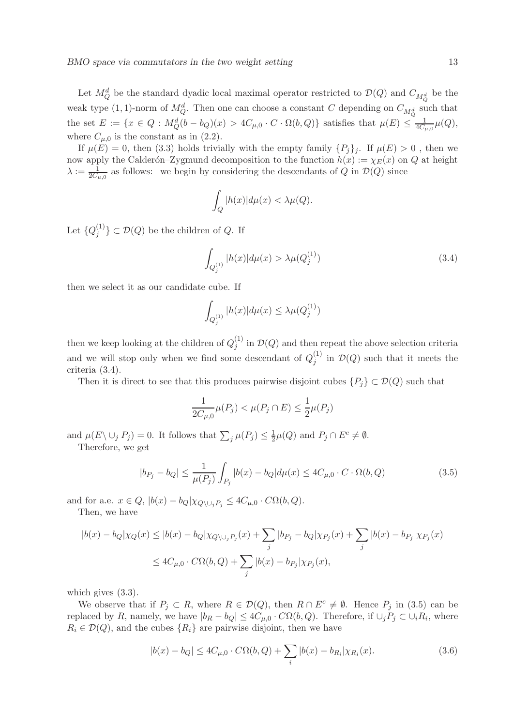Let  $M_Q^d$  be the standard dyadic local maximal operator restricted to  $\mathcal{D}(Q)$  and  $C_{M_Q^d}$  be the weak type  $(1, 1)$ -norm of  $M_Q^d$ . Then one can choose a constant C depending on  $C_{M_Q^d}$  such that the set  $E := \{x \in Q : M_Q^d(b - b_Q)(x) > 4C_{\mu,0} \cdot C \cdot \Omega(b,Q)\}\$  satisfies that  $\mu(E) \leq \frac{1}{4C_{\mu,0}}\mu(Q),$ where  $C_{\mu,0}$  is the constant as in (2.2).

If  $\mu(E) = 0$ , then (3.3) holds trivially with the empty family  $\{P_i\}_i$ . If  $\mu(E) > 0$ , then we now apply the Calderón–Zygmund decomposition to the function  $h(x) := \chi_E(x)$  on Q at height  $\lambda := \frac{1}{2C_{\mu,0}}$  as follows: we begin by considering the descendants of Q in  $\mathcal{D}(Q)$  since

$$
\int_{Q} |h(x)| d\mu(x) < \lambda \mu(Q).
$$

Let  $\{Q_j^{(1)}$  $\{G_j^{(1)}\}\subset \mathcal{D}(Q)$  be the children of Q. If

$$
\int_{Q_j^{(1)}} |h(x)| d\mu(x) > \lambda \mu(Q_j^{(1)}) \tag{3.4}
$$

then we select it as our candidate cube. If

$$
\int_{Q_j^{(1)}} |h(x)| d\mu(x) \leq \lambda \mu(Q_j^{(1)})
$$

then we keep looking at the children of  $Q_i^{(1)}$  $j^{(1)}$  in  $\mathcal{D}(Q)$  and then repeat the above selection criteria and we will stop only when we find some descendant of  $Q_i^{(1)}$  $j^{(1)}$  in  $\mathcal{D}(Q)$  such that it meets the criteria (3.4).

Then it is direct to see that this produces pairwise disjoint cubes  $\{P_i\} \subset \mathcal{D}(Q)$  such that

$$
\frac{1}{2C_{\mu,0}}\mu(P_j)<\mu(P_j\cap E)\leq \frac{1}{2}\mu(P_j)
$$

and  $\mu(E \setminus \cup_j P_j) = 0$ . It follows that  $\sum_j \mu(P_j) \leq \frac{1}{2}$  $\frac{1}{2}\mu(Q)$  and  $P_j \cap E^c \neq \emptyset$ . Therefore, we get

$$
|b_{P_j} - b_Q| \le \frac{1}{\mu(P_j)} \int_{P_j} |b(x) - b_Q| d\mu(x) \le 4C_{\mu,0} \cdot C \cdot \Omega(b,Q)
$$
 (3.5)

and for a.e.  $x \in Q$ ,  $|b(x) - b_Q| \chi_{Q \setminus \bigcup_i P_i} \leq 4C_{\mu,0} \cdot C\Omega(b,Q)$ . Then, we have

 $|b(x) - b_Q|\chi_Q(x) \leq |b(x) - b_Q|\chi_{Q\setminus\cup_j P_j}(x) + \sum$ j  $|b_{P_j} - b_Q|\chi_{P_j}(x) + \sum$ j  $|b(x) - b_{P_j}| \chi_{P_j}(x)$  $\leq 4C_{\mu,0}\cdot C\Omega(b,Q)+\sum$ j  $|b(x)-b_{P_j}|\chi_{P_j}(x),$ 

which gives (3.3).

We observe that if  $P_j \subset R$ , where  $R \in \mathcal{D}(Q)$ , then  $R \cap E^c \neq \emptyset$ . Hence  $P_j$  in (3.5) can be replaced by R, namely, we have  $|b_R - b_Q| \leq 4C_{\mu,0} \cdot C\Omega(b,Q)$ . Therefore, if  $\cup_j P_j \subset \cup_i R_i$ , where  $R_i \in \mathcal{D}(Q)$ , and the cubes  $\{R_i\}$  are pairwise disjoint, then we have

$$
|b(x) - b_Q| \le 4C_{\mu,0} \cdot C\Omega(b,Q) + \sum_i |b(x) - b_{R_i}| \chi_{R_i}(x).
$$
 (3.6)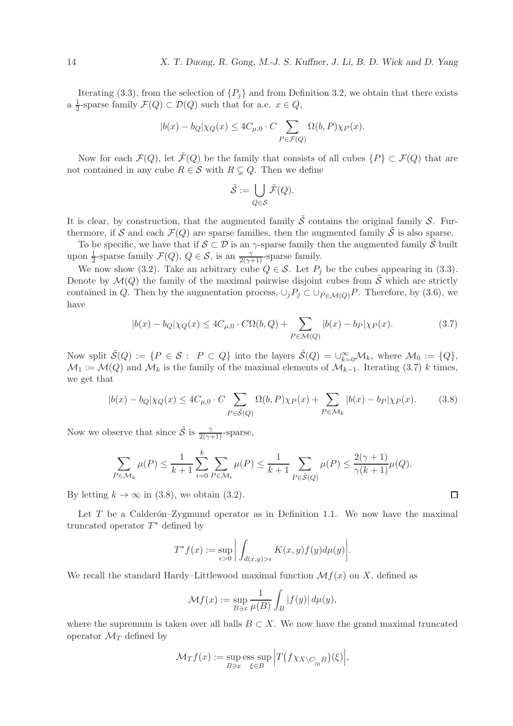Iterating (3.3), from the selection of  $\{P_j\}$  and from Definition 3.2, we obtain that there exists  $a \frac{1}{2}$  $\frac{1}{2}$ -sparse family  $\mathcal{F}(Q) \subset \mathcal{D}(Q)$  such that for a.e.  $x \in Q$ ,

$$
|b(x) - b_Q|\chi_Q(x) \le 4C_{\mu,0} \cdot C \sum_{P \in \mathcal{F}(Q)} \Omega(b,P)\chi_P(x).
$$

Now for each  $\mathcal{F}(Q)$ , let  $\tilde{\mathcal{F}}(Q)$  be the family that consists of all cubes  $\{P\} \subset \mathcal{F}(Q)$  that are not contained in any cube  $R \in \mathcal{S}$  with  $R \subseteq Q$ . Then we define

$$
\tilde{\mathcal{S}}:=\bigcup_{Q\in\mathcal{S}}\tilde{\mathcal{F}}(Q).
$$

It is clear, by construction, that the augmented family  $\tilde{S}$  contains the original family  $S$ . Furthermore, if S and each  $\mathcal{F}(Q)$  are sparse families, then the augmented family  $\tilde{S}$  is also sparse.

To be specific, we have that if  $S \subset \mathcal{D}$  is an  $\gamma$ -sparse family then the augmented family S built upon  $\frac{1}{2}$ -sparse family  $\mathcal{F}(Q)$ ,  $Q \in \mathcal{S}$ , is an  $\frac{\gamma}{2(\gamma+1)}$ -sparse family.

We now show (3.2). Take an arbitrary cube  $Q \in \mathcal{S}$ . Let  $P_j$  be the cubes appearing in (3.3). Denote by  $\mathcal{M}(Q)$  the family of the maximal pairwise disjoint cubes from  $\tilde{\mathcal{S}}$  which are strictly contained in Q. Then by the augmentation process,  $\cup_j P_j \subset \cup_{P \in \mathcal{M}(Q)} P$ . Therefore, by (3.6), we have

$$
|b(x) - b_Q|\chi_Q(x) \le 4C_{\mu,0} \cdot C\Omega(b,Q) + \sum_{P \in \mathcal{M}(Q)} |b(x) - b_P|\chi_P(x). \tag{3.7}
$$

Now split  $\tilde{\mathcal{S}}(Q) := \{P \in \mathcal{S} : P \subset Q\}$  into the layers  $\tilde{\mathcal{S}}(Q) = \bigcup_{k=0}^{\infty} \mathcal{M}_k$ , where  $\mathcal{M}_0 := \{Q\}$ ,  $\mathcal{M}_1 := \mathcal{M}(Q)$  and  $\mathcal{M}_k$  is the family of the maximal elements of  $\mathcal{M}_{k-1}$ . Iterating (3.7) k times, we get that

$$
|b(x) - b_Q|\chi_Q(x) \le 4C_{\mu,0} \cdot C \sum_{P \in \tilde{\mathcal{S}}(Q)} \Omega(b,P)\chi_P(x) + \sum_{P \in \mathcal{M}_k} |b(x) - b_P|\chi_P(x). \tag{3.8}
$$

Now we observe that since  $\tilde{S}$  is  $\frac{\gamma}{2(\gamma+1)}$ -sparse,

$$
\sum_{P \in \mathcal{M}_k} \mu(P) \le \frac{1}{k+1} \sum_{i=0}^k \sum_{P \in \mathcal{M}_i} \mu(P) \le \frac{1}{k+1} \sum_{P \in \tilde{\mathcal{S}}(Q)} \mu(P) \le \frac{2(\gamma+1)}{\gamma(k+1)} \mu(Q).
$$

By letting  $k \to \infty$  in (3.8), we obtain (3.2).

Let T be a Calderón–Zygmund operator as in Definition 1.1. We now have the maximal truncated operator  $T^*$  defined by

$$
T^*f(x) := \sup_{\epsilon > 0} \left| \int_{d(x,y) > \epsilon} K(x,y)f(y)d\mu(y) \right|.
$$

We recall the standard Hardy–Littlewood maximal function  $\mathcal{M}f(x)$  on X, defined as

$$
\mathcal{M}f(x) := \sup_{B \ni x} \frac{1}{\mu(B)} \int_B |f(y)| d\mu(y),
$$

where the supremum is taken over all balls  $B \subset X$ . We now have the grand maximal truncated operator  $\mathcal{M}_T$  defined by

$$
\mathcal{M}_T f(x) := \sup_{B \ni x} \operatorname{ess} \sup_{\xi \in B} \Big| T(f \chi_{X \setminus C_{\widetilde{j}_0} B})(\xi) \Big|,
$$

□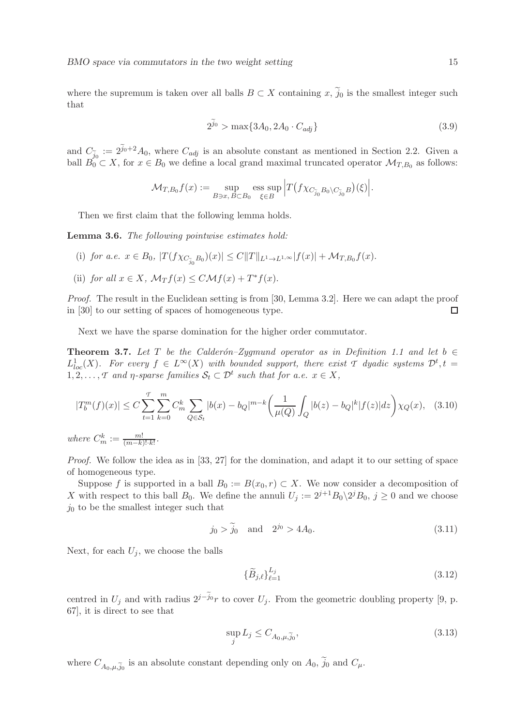where the supremum is taken over all balls  $B \subset X$  containing x,  $\tilde{j}_0$  is the smallest integer such that

$$
2^{\tilde{j}_0} > \max\{3A_0, 2A_0 \cdot C_{adj}\}\tag{3.9}
$$

and  $C_{\tilde{j}_0} := 2^{\tilde{j}_0+2} A_0$ , where  $C_{adj}$  is an absolute constant as mentioned in Section 2.2. Given a ball  $B_0 \subset X$ , for  $x \in B_0$  we define a local grand maximal truncated operator  $\mathcal{M}_{T,B_0}$  as follows:

$$
\mathcal{M}_{T,B_0}f(x) := \sup_{B \ni x, B \subset B_0} \operatorname{ess} \sup_{\xi \in B} \left| T \big( f \chi_{C_{\widetilde{j}_0} B_0 \setminus C_{\widetilde{j}_0} B} \big)(\xi) \right|.
$$

Then we first claim that the following lemma holds.

Lemma 3.6. *The following pointwise estimates hold:*

- (i) *for a.e.*  $x \in B_0$ ,  $|T(f \chi_{C_{\widetilde{j}_0} B_0})(x)| \leq C ||T||_{L^1 \to L^{1,\infty}} |f(x)| + \mathcal{M}_{T,B_0} f(x)$ .
- (ii) *for all*  $x \in X$ ,  $\mathcal{M}_T f(x) \leq C \mathcal{M} f(x) + T^* f(x)$ .

*Proof.* The result in the Euclidean setting is from [30, Lemma 3.2]. Here we can adapt the proof in [30] to our setting of spaces of homogeneous type.  $\Box$ 

Next we have the sparse domination for the higher order commutator.

Theorem 3.7. Let T be the Calder<sub>on–Zygmund</sub> operator as in Definition 1.1 and let  $b \in$  $L^1_{loc}(X)$ . For every  $f \in L^{\infty}(X)$  with bounded support, there exist  $\mathcal T$  dyadic systems  $\mathcal D^t, t =$  $1, 2, \ldots, T$  and  $\eta$ -sparse families  $S_t \subset \mathcal{D}^t$  such that for a.e.  $x \in X$ ,

$$
|T_b^m(f)(x)| \le C \sum_{t=1}^T \sum_{k=0}^m C_m^k \sum_{Q \in \mathcal{S}_t} |b(x) - b_Q|^{m-k} \left(\frac{1}{\mu(Q)} \int_Q |b(z) - b_Q|^k |f(z)| dz\right) \chi_Q(x), \quad (3.10)
$$

*where*  $C_m^k := \frac{m!}{(m-k)!\cdot k!}$ .

*Proof.* We follow the idea as in [33, 27] for the domination, and adapt it to our setting of space of homogeneous type.

Suppose f is supported in a ball  $B_0 := B(x_0, r) \subset X$ . We now consider a decomposition of X with respect to this ball  $B_0$ . We define the annuli  $U_j := 2^{j+1}B_0 \backslash 2^j B_0$ ,  $j \ge 0$  and we choose  $j_0$  to be the smallest integer such that

$$
j_0 > \tilde{j}_0
$$
 and  $2^{j_0} > 4A_0$ . (3.11)

Next, for each  $U_i$ , we choose the balls

$$
\{\widetilde{B}_{j,\ell}\}_{\ell=1}^{L_j} \tag{3.12}
$$

centred in  $U_j$  and with radius  $2^{j-\tilde{j}_0}r$  to cover  $U_j$ . From the geometric doubling property [9, p. 67], it is direct to see that

$$
\sup_j L_j \le C_{A_0,\mu,\tilde{j}_0},\tag{3.13}
$$

where  $C_{A_0,\mu,\tilde{j}_0}$  is an absolute constant depending only on  $A_0$ ,  $j_0$  and  $C_{\mu}$ .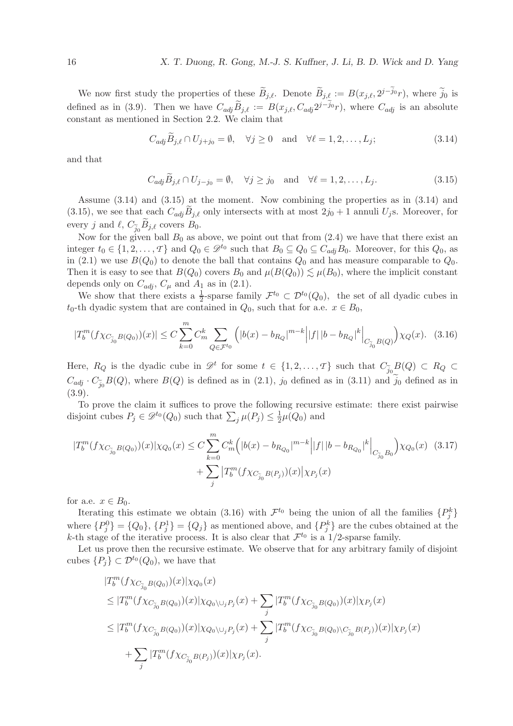We now first study the properties of these  $\widetilde{B}_{j,\ell}$ . Denote  $\widetilde{B}_{j,\ell} := B(x_{j,\ell}, 2^{j-\widetilde{j}_0}r)$ , where  $\widetilde{j}_0$  is defined as in (3.9). Then we have  $C_{adj}\widetilde{B}_{j,\ell} := B(x_{j,\ell}, C_{adj}2^{j-j_0}r)$ , where  $C_{adj}$  is an absolute constant as mentioned in Section 2.2. We claim that

$$
C_{adj}\tilde{B}_{j,\ell} \cap U_{j+j_0} = \emptyset, \quad \forall j \ge 0 \quad \text{and} \quad \forall \ell = 1, 2, \dots, L_j; \tag{3.14}
$$

and that

$$
C_{adj}\tilde{B}_{j,\ell} \cap U_{j-j_0} = \emptyset, \quad \forall j \ge j_0 \quad \text{and} \quad \forall \ell = 1, 2, \dots, L_j.
$$
 (3.15)

Assume (3.14) and (3.15) at the moment. Now combining the properties as in (3.14) and (3.15), we see that each  $C_{adj}B_{j,\ell}$  only intersects with at most  $2j_0+1$  annuli  $U_j$ s. Moreover, for every j and  $\ell$ ,  $C_{\tilde{j}_0}B_{j,\ell}$  covers  $B_0$ .

Now for the given ball  $B_0$  as above, we point out that from  $(2.4)$  we have that there exist an integer  $t_0 \in \{1, 2, ..., T\}$  and  $Q_0 \in \mathcal{D}^{t_0}$  such that  $B_0 \subseteq Q_0 \subseteq C_{adj}B_0$ . Moreover, for this  $Q_0$ , as in (2.1) we use  $B(Q_0)$  to denote the ball that contains  $Q_0$  and has measure comparable to  $Q_0$ . Then it is easy to see that  $B(Q_0)$  covers  $B_0$  and  $\mu(B(Q_0)) \lesssim \mu(B_0)$ , where the implicit constant depends only on  $C_{adj}$ ,  $C_{\mu}$  and  $A_1$  as in (2.1).

We show that there exists a  $\frac{1}{2}$ -sparse family  $\mathcal{F}^{t_0} \subset \mathcal{D}^{t_0}(Q_0)$ , the set of all dyadic cubes in  $t_0$ -th dyadic system that are contained in  $Q_0$ , such that for a.e.  $x \in B_0$ ,

$$
|T_b^m(f\chi_{C_{\widetilde{j}_0}B(Q_0)})(x)| \le C\sum_{k=0}^m C_m^k \sum_{Q \in \mathcal{F}^{t_0}} \left( |b(x) - b_{R_Q}|^{m-k} \left| |f| \left| b - b_{R_Q} \right|^k \right|_{C_{\widetilde{j}_0}B(Q)} \right) \chi_Q(x). \tag{3.16}
$$

Here,  $R_Q$  is the dyadic cube in  $\mathscr{D}^t$  for some  $t \in \{1, 2, ..., T\}$  such that  $C_{\tilde{j}_0}B(Q) \subset R_Q \subset$  $C_{adj} \cdot C_{\tilde{j}_0} B(Q)$ , where  $B(Q)$  is defined as in  $(2.1)$ ,  $j_0$  defined as in  $(3.11)$  and  $j_0$  defined as in (3.9).

To prove the claim it suffices to prove the following recursive estimate: there exist pairwise disjoint cubes  $P_j \in \mathcal{D}^{t_0}(Q_0)$  such that  $\sum_j \mu(P_j) \leq \frac{1}{2}$  $\frac{1}{2}\mu(Q_0)$  and

$$
|T_b^m(f\chi_{C_{\tilde{j}_0}B(Q_0)})(x)|\chi_{Q_0}(x) \le C \sum_{k=0}^m C_m^k \Big(|b(x) - b_{R_{Q_0}}|^{m-k} \Big| |f| \, |b - b_{R_{Q_0}}|^k \Big|_{C_{\tilde{j}_0}B_0} \Big) \chi_{Q_0}(x) \tag{3.17}
$$

$$
+ \sum_j |T_b^m(f\chi_{C_{\tilde{j}_0}B(P_j)})(x)|\chi_{P_j}(x)
$$

for a.e.  $x \in B_0$ .

Iterating this estimate we obtain (3.16) with  $\mathcal{F}^{t_0}$  being the union of all the families  $\{P_j^k\}$ where  ${P_j^0} = {Q_0}, {P_j^1} = {Q_j}$  as mentioned above, and  ${P_j^k}$  are the cubes obtained at the k-th stage of the iterative process. It is also clear that  $\mathcal{F}^{t_0}$  is a 1/2-sparse family.

Let us prove then the recursive estimate. We observe that for any arbitrary family of disjoint cubes  $\{P_i\} \subset \mathcal{D}^{t_0}(Q_0)$ , we have that

$$
|T_b^m(f\chi_{C_{\tilde{j}_0}B(Q_0)})(x)|\chi_{Q_0}(x)
$$
  
\n
$$
\leq |T_b^m(f\chi_{C_{\tilde{j}_0}B(Q_0)})(x)|\chi_{Q_0\setminus\cup_jP_j}(x) + \sum_j |T_b^m(f\chi_{C_{\tilde{j}_0}B(Q_0)})(x)|\chi_{P_j}(x)
$$
  
\n
$$
\leq |T_b^m(f\chi_{C_{\tilde{j}_0}B(Q_0)})(x)|\chi_{Q_0\setminus\cup_jP_j}(x) + \sum_j |T_b^m(f\chi_{C_{\tilde{j}_0}B(Q_0)\setminus C_{\tilde{j}_0}B(P_j)})(x)|\chi_{P_j}(x)
$$
  
\n
$$
+ \sum_j |T_b^m(f\chi_{C_{\tilde{j}_0}B(P_j)})(x)|\chi_{P_j}(x).
$$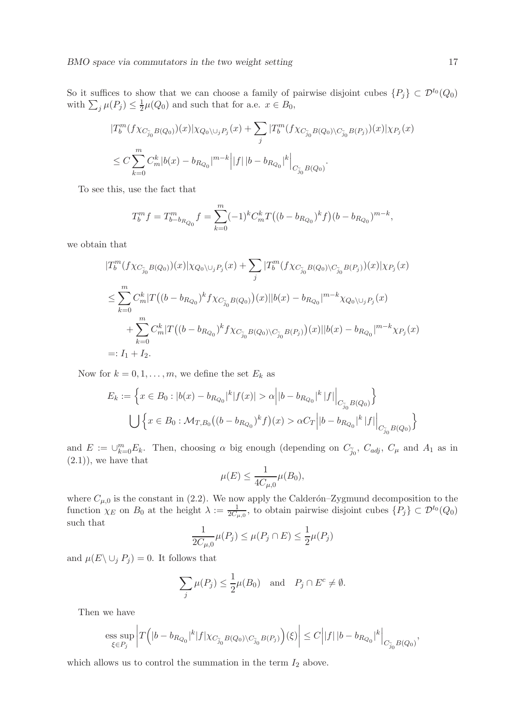So it suffices to show that we can choose a family of pairwise disjoint cubes  $\{P_j\} \subset \mathcal{D}^{t_0}(Q_0)$ with  $\sum_j \mu(P_j) \leq \frac{1}{2}$  $\frac{1}{2}\mu(Q_0)$  and such that for a.e.  $x \in B_0$ ,

$$
\begin{split} &|T_b^m(f\chi_{C_{\widetilde{j}_0}B(Q_0)})(x)|\chi_{Q_0\backslash \cup_j P_j}(x)+\sum_j|T_b^m(f\chi_{C_{\widetilde{j}_0}B(Q_0)\backslash C_{\widetilde{j}_0}B(P_j)})(x)|\chi_{P_j}(x)\\ &\leq C\sum_{k=0}^mC_m^k|b(x)-b_{R_{Q_0}}|^{m-k}\Big||f|\,|b-b_{R_{Q_0}}|^k\Big|_{C_{\widetilde{j}_0}B(Q_0)}. \end{split}
$$

To see this, use the fact that

$$
T_b^m f = T_{b-b_{R_{Q_0}}}^m f = \sum_{k=0}^m (-1)^k C_m^k T((b - b_{R_{Q_0}})^k f)(b - b_{R_{Q_0}})^{m-k},
$$

we obtain that

$$
|T_b^m(f\chi_{C_{\widetilde{j}_0}B(Q_0)})(x)|\chi_{Q_0\setminus\cup_j P_j}(x) + \sum_j |T_b^m(f\chi_{C_{\widetilde{j}_0}B(Q_0)\setminus C_{\widetilde{j}_0}B(P_j)})(x)|\chi_{P_j}(x) \n\leq \sum_{k=0}^m C_m^k |T((b - b_{R_{Q_0}})^k f\chi_{C_{\widetilde{j}_0}B(Q_0)})(x)||b(x) - b_{R_{Q_0}}|^{m-k}\chi_{Q_0\setminus\cup_j P_j}(x) \n+ \sum_{k=0}^m C_m^k |T((b - b_{R_{Q_0}})^k f\chi_{C_{\widetilde{j}_0}B(Q_0)\setminus C_{\widetilde{j}_0}B(P_j)})(x)||b(x) - b_{R_{Q_0}}|^{m-k}\chi_{P_j}(x) \n=: I_1 + I_2.
$$

Now for  $k = 0, 1, \ldots, m$ , we define the set  $E_k$  as

$$
E_k := \left\{ x \in B_0 : |b(x) - b_{R_{Q_0}}|^k |f(x)| > \alpha \left| |b - b_{R_{Q_0}}|^k |f| \right|_{C_{\widetilde{j}_0} B(Q_0)} \right\}
$$
  

$$
\bigcup \left\{ x \in B_0 : \mathcal{M}_{T, B_0} \left( (b - b_{R_{Q_0}})^k f \right)(x) > \alpha C_T \left| |b - b_{R_{Q_0}}|^k |f| \right|_{C_{\widetilde{j}_0} B(Q_0)} \right\}
$$

and  $E := \bigcup_{k=0}^m E_k$ . Then, choosing  $\alpha$  big enough (depending on  $C_{\tilde{j}_0}$ ,  $C_{adj}$ ,  $C_{\mu}$  and  $A_1$  as in  $(2.1)$ , we have that

$$
\mu(E) \le \frac{1}{4C_{\mu,0}} \mu(B_0),
$$

where  $C_{\mu,0}$  is the constant in (2.2). We now apply the Calderón–Zygmund decomposition to the function  $\chi_E$  on  $B_0$  at the height  $\lambda := \frac{1}{2C_{\mu,0}}$ , to obtain pairwise disjoint cubes  $\{P_j\} \subset \mathcal{D}^{t_0}(Q_0)$ such that

$$
\frac{1}{2C_{\mu,0}}\mu(P_j) \le \mu(P_j \cap E) \le \frac{1}{2}\mu(P_j)
$$

and  $\mu(E \setminus \bigcup_j P_j) = 0$ . It follows that

$$
\sum_{j} \mu(P_j) \le \frac{1}{2} \mu(B_0) \quad \text{and} \quad P_j \cap E^c \ne \emptyset.
$$

Then we have

$$
\underset{\xi \in P_j}{\mathop{\rm ess \; sup}} \left| T\Big(|b-b_{R_{Q_0}}|^k |f|\chi_{C_{\widetilde{j}_0}B(Q_0)\backslash C_{\widetilde{j}_0}B(P_j)}\Big)(\xi)\right| \leq C\Big| |f|\, |b-b_{R_{Q_0}}|^k\Big|_{C_{\widetilde{j}_0}B(Q_0)},
$$

which allows us to control the summation in the term  $I_2$  above.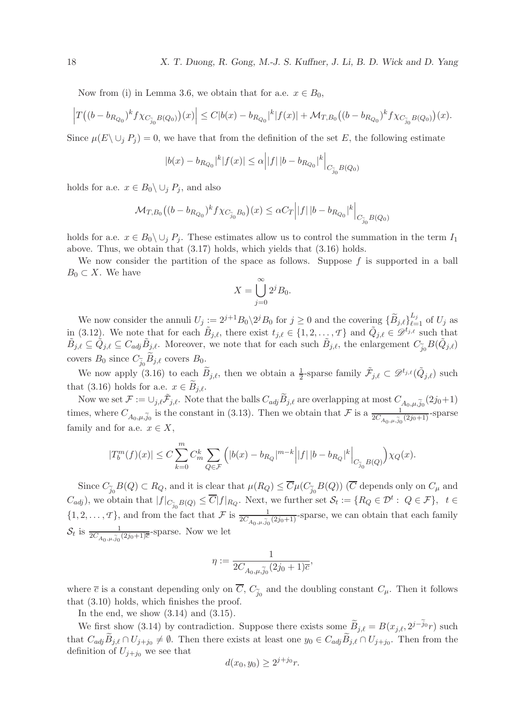Now from (i) in Lemma 3.6, we obtain that for a.e.  $x \in B_0$ ,

$$
\left|T\big((b-b_{R_{Q_0}})^k f\chi_{C_{\widetilde{j}_0}B(Q_0)}\big)(x)\right| \leq C|b(x)-b_{R_{Q_0}}|^k|f(x)|+\mathcal{M}_{T,B_0}\big((b-b_{R_{Q_0}})^k f\chi_{C_{\widetilde{j}_0}B(Q_0)}\big)(x).
$$

Since  $\mu(E \setminus \cup_i P_i) = 0$ , we have that from the definition of the set E, the following estimate

$$
|b(x)-b_{R_{Q_0}}|^k|f(x)| \leq \alpha \Big| |f|\, |b-b_{R_{Q_0}}|^k \Big|_{C_{\widetilde{j}_0} B(Q_0)}
$$

holds for a.e.  $x \in B_0 \backslash \cup_i P_i$ , and also

$$
\mathcal{M}_{T,B_{0}}\big((b-b_{R_{Q_{0}}})^{k}f\chi_{C_{\widetilde{j}_{0}}B_{0}}\big)(x)\leq\alpha C_{T}\Big||f|\,|b-b_{R_{Q_{0}}}|^{k}\Big|_{C_{\widetilde{j}_{0}}B(Q_{0})}
$$

holds for a.e.  $x \in B_0 \setminus \cup_i P_i$ . These estimates allow us to control the summation in the term  $I_1$ above. Thus, we obtain that (3.17) holds, which yields that (3.16) holds.

We now consider the partition of the space as follows. Suppose  $f$  is supported in a ball  $B_0 \subset X$ . We have

$$
X = \bigcup_{j=0}^{\infty} 2^j B_0.
$$

We now consider the annuli  $U_j := 2^{j+1} B_0 \setminus 2^j B_0$  for  $j \ge 0$  and the covering  $\{ \widetilde{B}_{j,\ell} \}_{\ell=1}^{L_j}$  of  $U_j$  as in (3.12). We note that for each  $\tilde{B}_{j,\ell}$ , there exist  $t_{j,\ell} \in \{1, 2, \ldots, T\}$  and  $\tilde{Q}_{j,\ell} \in \mathscr{D}^{t_{j,\ell}}$  such that  $\tilde{B}_{j,\ell} \subseteq \tilde{Q}_{j,\ell} \subseteq C_{adj} \tilde{B}_{j,\ell}$ . Moreover, we note that for each such  $\tilde{B}_{j,\ell}$ , the enlargement  $C_{\tilde{j}_0} B(\tilde{Q}_{j,\ell})$ covers  $B_0$  since  $C_{\widetilde{j}_0}B_{j,\ell}$  covers  $B_0$ .

We now apply (3.16) to each  $\widetilde{B}_{j,\ell}$ , then we obtain a  $\frac{1}{2}$ -sparse family  $\widetilde{\mathcal{F}}_{j,\ell} \subset \mathscr{D}^{t_{j,\ell}}(\widetilde{Q}_{j,\ell})$  such that (3.16) holds for a.e.  $x \in B_{j,\ell}$ .

Now we set  $\mathcal{F} := \cup_{j,\ell} \tilde{\mathcal{F}}_{j,\ell}$ . Note that the balls  $C_{adj} \tilde{B}_{j,\ell}$  are overlapping at most  $C_{A_0,\mu,\tilde{j}_0}(2j_0+1)$ times, where  $C_{A_0,\mu,\tilde{j}_0}$  is the constant in (3.13). Then we obtain that  $\mathcal F$  is a  $\frac{1}{2C_{A_0,\mu,\tilde{j}_0}(2j_0+1)}$ -sparse family and for a.e.  $x \in X$ ,

$$
|T_b^m(f)(x)|\leq C\sum_{k=0}^mC_m^k\sum_{Q\in\mathcal{F}}\Big(|b(x)-b_{R_Q}|^{m-k}\Big| |f|\,|b-b_{R_Q}|^k\Big|_{C_{\widetilde{j}_0}B(Q)}\Big)\chi_Q(x).
$$

Since  $C_{\widetilde{j}_0}B(Q) \subset R_Q$ , and it is clear that  $\mu(R_Q) \leq C \mu(C_{\widetilde{j}_0}B(Q))$  (C depends only on  $C_{\mu}$  and  $(C_{adj})$ , we obtain that  $|f|_{C_{j_0}^-B(Q)} \leq \overline{C}|f|_{R_Q}$ . Next, we further set  $\mathcal{S}_t := \{R_Q \in \mathcal{D}^t : Q \in \mathcal{F}\},\ \ t \in$  $\{1, 2, \ldots, \mathcal{T}\}\$ , and from the fact that  $\mathcal{F}$  is  $\frac{1}{2C_{A_0,\mu,\tilde{j}_0}(2j_0+1)}$ -sparse, we can obtain that each family  $\mathcal{S}_t$  is  $\frac{1}{2C_{A_0,\mu,\tilde{j}_0}(2j_0+1)\overline{c}}$ -sparse. Now we let

$$
\eta:=\frac{1}{2C_{A_0,\mu,\widetilde{j}_0}(2j_0+1)\overline{c}}
$$

,

where  $\overline{c}$  is a constant depending only on C,  $C_{\tilde{j}_0}$  and the doubling constant  $C_{\mu}$ . Then it follows that (3.10) holds, which finishes the proof.

In the end, we show  $(3.14)$  and  $(3.15)$ .

We first show (3.14) by contradiction. Suppose there exists some  $\widetilde{B}_{j,\ell} = B(x_{j,\ell}, 2^{j-\widetilde{j}_0}r)$  such that  $C_{adj}B_{j,\ell} \cap U_{j+j_0} \neq \emptyset$ . Then there exists at least one  $y_0 \in C_{adj}B_{j,\ell} \cap U_{j+j_0}$ . Then from the definition of  $U_{j+j_0}$  we see that

$$
d(x_0, y_0) \ge 2^{j+j_0}r.
$$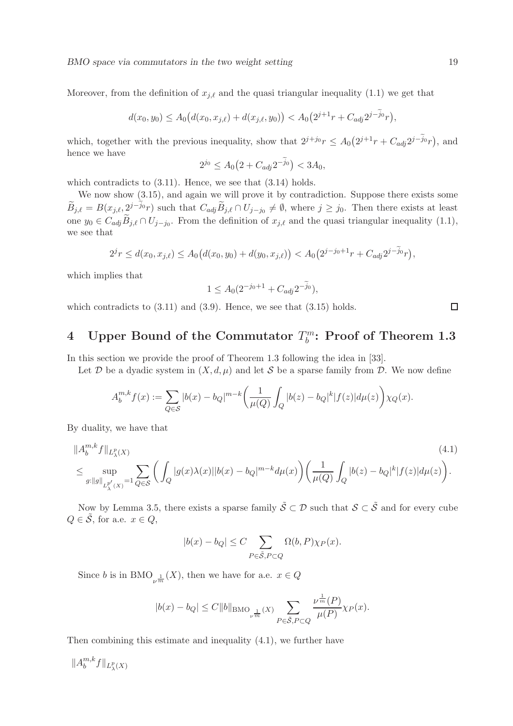Moreover, from the definition of  $x_{i,\ell}$  and the quasi triangular inequality (1.1) we get that

$$
d(x_0, y_0) \le A_0 (d(x_0, x_{j,\ell}) + d(x_{j,\ell}, y_0)) < A_0 (2^{j+1}r + C_{adj}2^{j-\widetilde{j}_0}r),
$$

which, together with the previous inequality, show that  $2^{j+j_0}r \leq A_0(2^{j+1}r + C_{adj}2^{j-\tilde{j}_0}r)$ , and hence we have

$$
2^{j_0} \le A_0 \big( 2 + C_{adj} 2^{-\widetilde{j}_0} \big) < 3A_0,
$$

which contradicts to  $(3.11)$ . Hence, we see that  $(3.14)$  holds.

We now show (3.15), and again we will prove it by contradiction. Suppose there exists some  $\widetilde{B}_{j,\ell} = B(x_{j,\ell}, 2^{j-\widetilde{j}_0}r)$  such that  $C_{adj}\widetilde{B}_{j,\ell} \cap U_{j-j_0} \neq \emptyset$ , where  $j \geq j_0$ . Then there exists at least one  $y_0 \in C_{adj}B_{j,\ell} \cap U_{j-j_0}$ . From the definition of  $x_{j,\ell}$  and the quasi triangular inequality  $(1.1)$ , we see that

$$
2^{j}r \leq d(x_0, x_{j,\ell}) \leq A_0\big(d(x_0, y_0) + d(y_0, x_{j,\ell})\big) < A_0\big(2^{j-j_0+1}r + C_{adj}2^{j-\widetilde{j}_0}r\big),
$$

which implies that

$$
1 \le A_0 (2^{-j_0+1} + C_{adj} 2^{-\widetilde{j}_0}),
$$

which contradicts to  $(3.11)$  and  $(3.9)$ . Hence, we see that  $(3.15)$  holds.

#### 4 Upper Bound of the Commutator  $T_h^m$  $\delta_b^m$ : Proof of Theorem 1.3

In this section we provide the proof of Theorem 1.3 following the idea in [33].

Let D be a dyadic system in  $(X, d, \mu)$  and let S be a sparse family from D. We now define

$$
A_b^{m,k} f(x) := \sum_{Q \in \mathcal{S}} |b(x) - b_Q|^{m-k} \left( \frac{1}{\mu(Q)} \int_Q |b(z) - b_Q|^k |f(z)| d\mu(z) \right) \chi_Q(x).
$$

By duality, we have that

$$
||A_{b}^{m,k}f||_{L_{\lambda}^{p}(X)} \n\leq \sup_{g:\|g\|_{L_{\lambda}^{p'}(X)}=1} \sum_{Q\in\mathcal{S}} \left( \int_{Q} |g(x)\lambda(x)||b(x)-b_{Q}|^{m-k} d\mu(x) \right) \left( \frac{1}{\mu(Q)} \int_{Q} |b(z)-b_{Q}|^{k}|f(z)| d\mu(z) \right). \tag{4.1}
$$

Now by Lemma 3.5, there exists a sparse family  $\tilde{S} \subset \mathcal{D}$  such that  $S \subset \tilde{S}$  and for every cube  $Q \in \tilde{\mathcal{S}}$ , for a.e.  $x \in Q$ ,

$$
|b(x) - b_Q| \le C \sum_{P \in \tilde{\mathcal{S}}, P \subset Q} \Omega(b, P) \chi_P(x).
$$

Since *b* is in BMO<sub> $\nu^{\frac{1}{m}}(X)$ , then we have for a.e.  $x \in Q$ </sub>

$$
|b(x)-b_Q|\leq C\|b\|{\rm BMO}_{\nu^{\frac{1}{m}}}(X)\sum_{P\in \tilde{\mathcal{S}},P\subset Q}\frac{\nu^{\frac{1}{m}}(P)}{\mu(P)}\chi_P(x).
$$

Then combining this estimate and inequality (4.1), we further have

 $||A_b^{m,k}$  $b^{m,\kappa} f\Vert_{L^p_{\lambda}(X)}$   $\Box$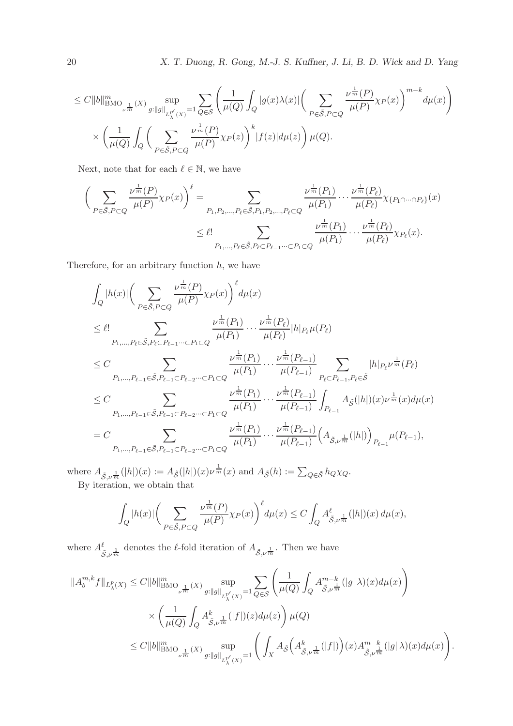20 X. T. Duong, R. Gong, M.-J. S. Kuffner, J. Li, B. D. Wick and D. Yang

$$
\leq C \|b\|_{\text{BMO}_{\nu^{\frac{1}{m}}}(X)}^m \sup_{g: \|g\|_{L^{p'}_\lambda(X)} = 1} \sum_{Q \in \mathcal{S}} \left( \frac{1}{\mu(Q)} \int_Q |g(x) \lambda(x)| \left( \sum_{P \in \tilde{\mathcal{S}}, P \subset Q} \frac{\nu^{\frac{1}{m}}(P)}{\mu(P)} \chi_P(x) \right)^{m-k} d\mu(x) \right) \times \left( \frac{1}{\mu(Q)} \int_Q \left( \sum_{P \in \tilde{\mathcal{S}}, P \subset Q} \frac{\nu^{\frac{1}{m}}(P)}{\mu(P)} \chi_P(x) \right)^k |f(z)| d\mu(z) \right) \mu(Q).
$$

Next, note that for each  $\ell \in \mathbb{N},$  we have

$$
\left(\sum_{P\in\tilde{S},P\subset Q}\frac{\nu^{\frac{1}{m}}(P)}{\mu(P)}\chi_{P}(x)\right)^{\ell} = \sum_{P_1,P_2,\dots,P_{\ell}\in\tilde{S},P_1,P_2,\dots,P_{\ell}\subset Q}\frac{\nu^{\frac{1}{m}}(P_1)}{\mu(P_1)}\cdots\frac{\nu^{\frac{1}{m}}(P_{\ell})}{\mu(P_{\ell})}\chi_{\{P_1\cap\cdots\cap P_{\ell}\}}(x)
$$

$$
\leq \ell! \sum_{P_1,\dots,P_{\ell}\in\tilde{S},P_{\ell}\subset P_{\ell-1}\cdots\subset P_1\subset Q}\frac{\nu^{\frac{1}{m}}(P_1)}{\mu(P_1)}\cdots\frac{\nu^{\frac{1}{m}}(P_{\ell})}{\mu(P_{\ell})}\chi_{P_{\ell}}(x).
$$

Therefore, for an arbitrary function  $h$ , we have

$$
\begin{split} & \int_{Q} |h(x)| \bigg( \sum_{P \in \tilde{\mathcal{S}}, P \subset Q} \frac{\nu^{\frac{1}{m}}(P)}{\mu(P)} \chi_{P}(x) \bigg)^{\ell} d\mu(x) \\ & \leq \ell! \sum_{P_1, \ldots, P_{\ell} \in \tilde{\mathcal{S}}, P_{\ell} \subset P_{\ell-1} \cdots \subset P_1 \subset Q} \frac{\nu^{\frac{1}{m}}(P_1)}{\mu(P_1)} \cdots \frac{\nu^{\frac{1}{m}}(P_{\ell})}{\mu(P_{\ell})} |h|_{P_{\ell}} \mu(P_{\ell}) \\ & \leq C \sum_{P_1, \ldots, P_{\ell-1} \in \tilde{\mathcal{S}}, P_{\ell-1} \subset P_{\ell-2} \cdots \subset P_1 \subset Q} \frac{\nu^{\frac{1}{m}}(P_1)}{\mu(P_1)} \cdots \frac{\nu^{\frac{1}{m}}(P_{\ell-1})}{\mu(P_{\ell-1})} \sum_{P_{\ell} \subset P_{\ell-1}, P_{\ell} \in \tilde{\mathcal{S}}} |h|_{P_{\ell}} \nu^{\frac{1}{m}}(P_{\ell}) \\ & \leq C \sum_{P_1, \ldots, P_{\ell-1} \in \tilde{\mathcal{S}}, P_{\ell-1} \subset P_{\ell-2} \cdots \subset P_1 \subset Q} \frac{\nu^{\frac{1}{m}}(P_1)}{\mu(P_1)} \cdots \frac{\nu^{\frac{1}{m}}(P_{\ell-1})}{\mu(P_{\ell-1})} \int_{P_{\ell-1}} A_{\tilde{\mathcal{S}}}(|h|)(x) \nu^{\frac{1}{m}}(x) d\mu(x) \\ & = C \sum_{P_1, \ldots, P_{\ell-1} \in \tilde{\mathcal{S}}, P_{\ell-1} \subset P_{\ell-2} \cdots \subset P_1 \subset Q} \frac{\nu^{\frac{1}{m}}(P_1)}{\mu(P_1)} \cdots \frac{\nu^{\frac{1}{m}}(P_{\ell-1})}{\mu(P_{\ell-1})} \bigg( A_{\tilde{\mathcal{S}}, \nu^{\frac{1}{m}}}(|h|) \bigg)_{P_{\ell-1}} \mu(P_{\ell-1}), \end{split}
$$

where  $A_{\tilde{S},\nu^{\frac{1}{m}}}(|h|)(x) := A_{\tilde{S}}(|h|)(x)\nu^{\frac{1}{m}}(x)$  and  $A_{\tilde{S}}(h) := \sum_{Q \in \tilde{S}} h_Q \chi_Q$ . By iteration, we obtain that

$$
\int_{Q} |h(x)| \bigg( \sum_{P \in \tilde{\mathcal{S}}, P \subset Q} \frac{\nu^{\frac{1}{m}}(P)}{\mu(P)} \chi_P(x) \bigg)^{\ell} d\mu(x) \le C \int_{Q} A^{\ell}_{\tilde{\mathcal{S}}, \nu^{\frac{1}{m}}}(|h|)(x) d\mu(x),
$$

where  $A^{\ell}$  $\frac{\varepsilon}{\tilde{S}, \nu^{\frac{1}{m}}}$  denotes the  $\ell$ -fold iteration of  $A_{\tilde{S}, \nu^{\frac{1}{m}}}$ . Then we have

$$
\label{eq:bound_hyp} \begin{split} \|A_{b}^{m,k}f\|_{L_{\lambda}^{p}(X)} & \leq C\|b\|_{\operatorname{BMO}_{\nu^{\frac{1}{m}}}(X)}^m \sup_{g: \|g\|_{L_{\lambda}^{p'}(X)}=1} \sum_{Q\in\mathcal{S}} \left(\frac{1}{\mu(Q)}\int_{Q} A^{m-k}_{\tilde{\mathcal{S}},\nu^{\frac{1}{m}}}(|g| \, \lambda)(x) d\mu(x)\right) \\ & \times \left(\frac{1}{\mu(Q)}\int_{Q} A^{k}_{\tilde{\mathcal{S}},\nu^{\frac{1}{m}}}(|f|)(z) d\mu(z)\right) \mu(Q) \\ & \leq C\|b\|_{\operatorname{BMO}_{\nu^{\frac{1}{m}}}(X)}^m \sup_{g: \|g\|_{L_{\lambda}^{p'}(X)}=1} \left(\int_{X} A_{\tilde{\mathcal{S}}}\Big(A^{k}_{\tilde{\mathcal{S}},\nu^{\frac{1}{m}}}(|f|)\Big)(x) A^{m-k}_{\tilde{\mathcal{S}},\nu^{\frac{1}{m}}}(|g| \, \lambda)(x) d\mu(x)\right). \end{split}
$$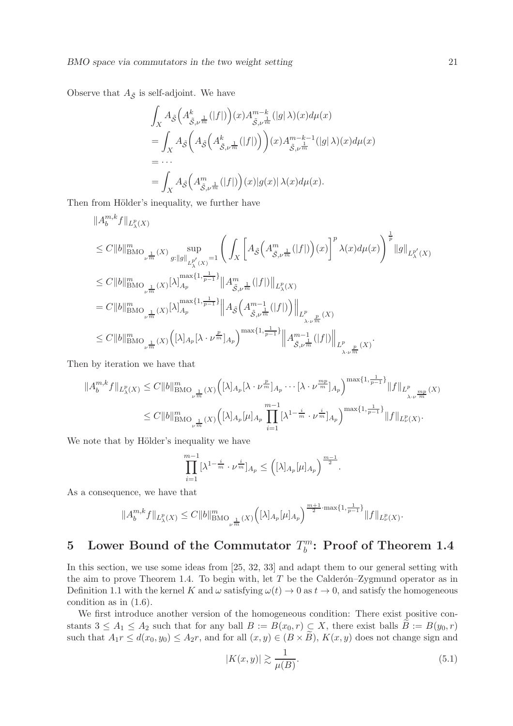Observe that  $A_{\tilde{S}}$  is self-adjoint. We have

$$
\int_X A_{\tilde{\mathcal{S}}}\Big(A_{\tilde{\mathcal{S}},\nu}^k \frac{1}{m}(|f|)\Big)(x)A_{\tilde{\mathcal{S}},\nu}^{m-k}(|g| \lambda)(x)d\mu(x)
$$
\n
$$
= \int_X A_{\tilde{\mathcal{S}}}\Big(A_{\tilde{\mathcal{S}}}\Big(A_{\tilde{\mathcal{S}},\nu}^k \frac{1}{m}(|f|)\Big)\Big)(x)A_{\tilde{\mathcal{S}},\nu}^{m-k-1}(|g| \lambda)(x)d\mu(x)
$$
\n
$$
= \cdots
$$
\n
$$
= \int_X A_{\tilde{\mathcal{S}}}\Big(A_{\tilde{\mathcal{S}},\nu}^m \frac{1}{m}(|f|)\Big)(x)|g(x)| \lambda(x)d\mu(x).
$$

Then from Hölder's inequality, we further have

$$
\|A_{b}^{m,k}f\|_{L_{\lambda}^{p}(X)}
$$
\n
$$
\leq C\|b\|_{\text{BMO}_{\nu^{\frac{1}{m}}}(X)}^m \sup_{g:\|g\|_{L_{\lambda}^{p'}(X)}=1} \left(\int_{X} \left[A_{\tilde{\mathcal{S}}}\left(A_{\tilde{\mathcal{S}},\nu^{\frac{1}{m}}}^{m}(|f|)\right)(x)\right]^{p} \lambda(x)d\mu(x)\right)^{\frac{1}{p}}\|g\|_{L_{\lambda}^{p'}(X)}
$$
\n
$$
\leq C\|b\|_{\text{BMO}_{\nu^{\frac{1}{m}}}(X)}^m |\lambda|_{A_p}^{\max\{1,\frac{1}{p-1}\}}\|A_{\tilde{\mathcal{S}},\nu^{\frac{1}{m}}}^{m}(|f|)\|_{L_{\lambda}^{p}(X)}
$$
\n
$$
= C\|b\|_{\text{BMO}_{\nu^{\frac{1}{m}}}(X)}^m |\lambda|_{A_p}^{\max\{1,\frac{1}{p-1}\}}\|A_{\tilde{\mathcal{S}}}\left(A_{\tilde{\mathcal{S}},\nu^{\frac{1}{m}}}^{m-1}(|f|)\right)\|_{L_{\lambda}^{p}}}{\lambda_{\nu^{\frac{p}{m}}}(X)}
$$
\n
$$
\leq C\|b\|_{\text{BMO}_{\nu^{\frac{1}{m}}}(X)}^m (\lambda)\left([\lambda]_{A_p}[\lambda \cdot \nu^{\frac{p}{m}}]_{A_p}\right)^{\max\{1,\frac{1}{p-1}\}}\|A_{\tilde{\mathcal{S}},\nu^{\frac{1}{m}}}^{m-1} (|f|)\|_{L_{\lambda_{\nu}^{\frac{p}{m}}(X)}^{p}}.
$$

Then by iteration we have that

$$
||A_{b}^{m,k}f||_{L_{\lambda}^{p}(X)} \leq C||b||_{\text{BMO}_{\nu^{\frac{1}{m}}}(X)}^{m} \Big( [\lambda]_{A_{p}} [\lambda \cdot \nu^{\frac{p}{m}}]_{A_{p}} \cdots [\lambda \cdot \nu^{\frac{m_{p}}{m}}]_{A_{p}} \Big)^{\max\{1, \frac{1}{p-1}\}} ||f||_{L_{\lambda \cdot \nu^{\frac{m_{p}}{m}}(X)}^{p}} \leq C||b||_{\text{BMO}_{\nu^{\frac{1}{m}}}(X)}^{m} \Big( [\lambda]_{A_{p}} [\mu]_{A_{p}} \prod_{i=1}^{m-1} [\lambda^{1-\frac{i}{m}} \cdot \nu^{\frac{i}{m}}]_{A_{p}} \Big)^{\max\{1, \frac{1}{p-1}\}} ||f||_{L_{\nu}^{p}(X)}.
$$

We note that by Hölder's inequality we have

$$
\prod_{i=1}^{m-1} [\lambda^{1-\frac{i}{m}} \cdot \nu^{\frac{i}{m}}]_{A_p} \leq \left( [\lambda]_{A_p} [\mu]_{A_p} \right)^{\frac{m-1}{2}}.
$$

As a consequence, we have that

$$
||A_{b}^{m,k}f||_{L_{\lambda}^{p}(X)} \leq C||b||_{\text{BMO}_{\nu^{\frac{1}{m}}}(X)}^{m}\Big([\lambda]_{A_{p}}[\mu]_{A_{p}}\Big)^{\frac{m+1}{2}\cdot\max\{1,\frac{1}{p-1}\}}||f||_{L_{\nu}^{p}(X)}.
$$

#### 5 Lower Bound of the Commutator  $T_h^m$  $\delta_b^m$ : Proof of Theorem 1.4

In this section, we use some ideas from [25, 32, 33] and adapt them to our general setting with the aim to prove Theorem 1.4. To begin with, let  $T$  be the Calderon–Zygmund operator as in Definition 1.1 with the kernel K and  $\omega$  satisfying  $\omega(t) \to 0$  as  $t \to 0$ , and satisfy the homogeneous condition as in (1.6).

We first introduce another version of the homogeneous condition: There exist positive constants  $3 \le A_1 \le A_2$  such that for any ball  $B := B(x_0, r) \subset X$ , there exist balls  $B := B(y_0, r)$ such that  $A_1r \leq d(x_0, y_0) \leq A_2r$ , and for all  $(x, y) \in (B \times \tilde{B})$ ,  $K(x, y)$  does not change sign and

$$
|K(x,y)| \gtrsim \frac{1}{\mu(B)}.\tag{5.1}
$$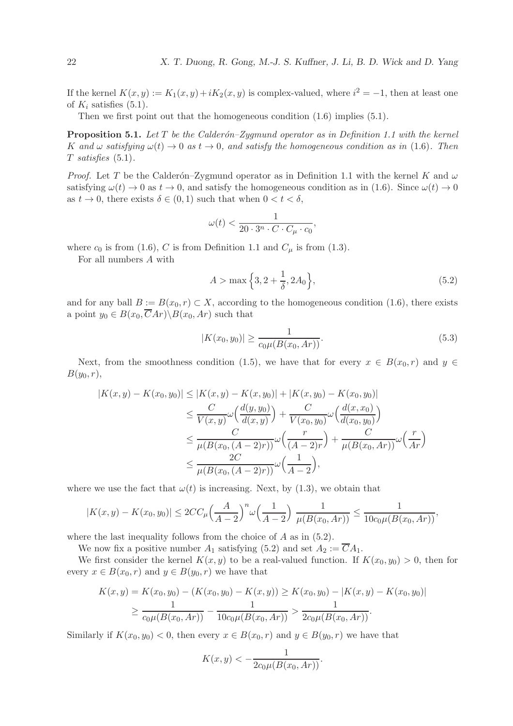If the kernel  $K(x, y) := K_1(x, y) + iK_2(x, y)$  is complex-valued, where  $i^2 = -1$ , then at least one of  $K_i$  satisfies (5.1).

Then we first point out that the homogeneous condition  $(1.6)$  implies  $(5.1)$ .

Proposition 5.1. *Let* T *be the Calder´on–Zygmund operator as in Definition 1.1 with the kernel* K and  $\omega$  *satisfying*  $\omega(t) \to 0$  *as*  $t \to 0$ *, and satisfy the homogeneous condition as in* (1.6). Then T *satisfies* (5.1)*.*

*Proof.* Let T be the Calderón–Zygmund operator as in Definition 1.1 with the kernel K and  $\omega$ satisfying  $\omega(t) \to 0$  as  $t \to 0$ , and satisfy the homogeneous condition as in (1.6). Since  $\omega(t) \to 0$ as  $t \to 0$ , there exists  $\delta \in (0,1)$  such that when  $0 < t < \delta$ ,

$$
\omega(t) < \frac{1}{20 \cdot 3^n \cdot C \cdot C_\mu \cdot c_0},
$$

where  $c_0$  is from (1.6), C is from Definition 1.1 and  $C_\mu$  is from (1.3).

For all numbers A with

$$
A > \max\left\{3, 2 + \frac{1}{\delta}, 2A_0\right\},\tag{5.2}
$$

and for any ball  $B := B(x_0, r) \subset X$ , according to the homogeneous condition (1.6), there exists a point  $y_0 \in B(x_0, \overline{C}Ar) \backslash B(x_0, Ar)$  such that

$$
|K(x_0, y_0)| \ge \frac{1}{c_0 \mu(B(x_0, Ar))}.\tag{5.3}
$$

Next, from the smoothness condition (1.5), we have that for every  $x \in B(x_0, r)$  and  $y \in$  $B(y_0, r),$ 

$$
|K(x,y) - K(x_0, y_0)| \le |K(x,y) - K(x,y_0)| + |K(x,y_0) - K(x_0, y_0)|
$$
  
\n
$$
\le \frac{C}{V(x,y)} \omega \left(\frac{d(y,y_0)}{d(x,y)}\right) + \frac{C}{V(x_0, y_0)} \omega \left(\frac{d(x,x_0)}{d(x_0, y_0)}\right)
$$
  
\n
$$
\le \frac{C}{\mu(B(x_0, (A-2)r))} \omega \left(\frac{r}{(A-2)r}\right) + \frac{C}{\mu(B(x_0, Ar))} \omega \left(\frac{r}{Ar}\right)
$$
  
\n
$$
\le \frac{2C}{\mu(B(x_0, (A-2)r))} \omega \left(\frac{1}{A-2}\right),
$$

where we use the fact that  $\omega(t)$  is increasing. Next, by (1.3), we obtain that

$$
|K(x,y)-K(x_0,y_0)| \leq 2CC_{\mu} \left(\frac{A}{A-2}\right)^n \omega \left(\frac{1}{A-2}\right) \frac{1}{\mu(B(x_0,Ar))} \leq \frac{1}{10c_0\mu(B(x_0,Ar))},
$$

where the last inequality follows from the choice of A as in  $(5.2)$ .

We now fix a positive number  $A_1$  satisfying (5.2) and set  $A_2 := \overline{C}A_1$ .

We first consider the kernel  $K(x, y)$  to be a real-valued function. If  $K(x_0, y_0) > 0$ , then for every  $x \in B(x_0, r)$  and  $y \in B(y_0, r)$  we have that

$$
K(x,y) = K(x_0, y_0) - (K(x_0, y_0) - K(x, y)) \ge K(x_0, y_0) - |K(x, y) - K(x_0, y_0)|
$$
  
\n
$$
\ge \frac{1}{c_0 \mu(B(x_0, Ar))} - \frac{1}{10c_0 \mu(B(x_0, Ar))} > \frac{1}{2c_0 \mu(B(x_0, Ar))}.
$$

Similarly if  $K(x_0, y_0) < 0$ , then every  $x \in B(x_0, r)$  and  $y \in B(y_0, r)$  we have that

$$
K(x, y) < -\frac{1}{2c_0 \mu(B(x_0, Ar))}.
$$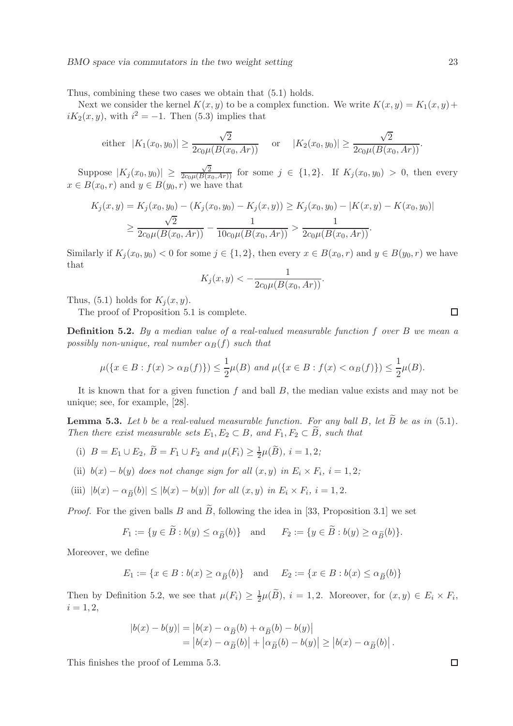Thus, combining these two cases we obtain that (5.1) holds.

Next we consider the kernel  $K(x, y)$  to be a complex function. We write  $K(x, y) = K_1(x, y) +$  $iK_2(x, y)$ , with  $i^2 = -1$ . Then (5.3) implies that

either 
$$
|K_1(x_0, y_0)| \ge \frac{\sqrt{2}}{2c_0\mu(B(x_0, Ar))}
$$
 or  $|K_2(x_0, y_0)| \ge \frac{\sqrt{2}}{2c_0\mu(B(x_0, Ar))}$ .

Suppose  $|K_j(x_0, y_0)| \ge \frac{\sqrt{2}}{2c_0\mu(B(x_0, Ar))}$  for some  $j \in \{1, 2\}$ . If  $K_j(x_0, y_0) > 0$ , then every  $x \in B(x_0, r)$  and  $y \in B(y_0, r)$  we have that

$$
K_j(x, y) = K_j(x_0, y_0) - (K_j(x_0, y_0) - K_j(x, y)) \ge K_j(x_0, y_0) - |K(x, y) - K(x_0, y_0)|
$$
  
\n
$$
\ge \frac{\sqrt{2}}{2c_0\mu(B(x_0, Ar))} - \frac{1}{10c_0\mu(B(x_0, Ar))} > \frac{1}{2c_0\mu(B(x_0, Ar))}.
$$

Similarly if  $K_i(x_0, y_0) < 0$  for some  $j \in \{1, 2\}$ , then every  $x \in B(x_0, r)$  and  $y \in B(y_0, r)$  we have that

$$
K_j(x,y) < -\frac{1}{2c_0\mu(B(x_0,Ar))}.
$$

Thus, (5.1) holds for  $K_i(x, y)$ .

The proof of Proposition 5.1 is complete.

Definition 5.2. *By a median value of a real-valued measurable function* f *over* B *we mean a possibly non-unique, real number*  $\alpha_B(f)$  *such that* 

$$
\mu(\{x \in B : f(x) > \alpha_B(f)\}) \le \frac{1}{2}\mu(B) \text{ and } \mu(\{x \in B : f(x) < \alpha_B(f)\}) \le \frac{1}{2}\mu(B).
$$

It is known that for a given function  $f$  and ball  $B$ , the median value exists and may not be unique; see, for example, [28].

**Lemma 5.3.** Let b be a real-valued measurable function. For any ball B, let  $\widetilde{B}$  be as in (5.1). *Then there exist measurable sets*  $E_1, E_2 \subset B$ *, and*  $F_1, F_2 \subset \widetilde{B}$ *, such that* 

- (i)  $B = E_1 \cup E_2$ ,  $\widetilde{B} = F_1 \cup F_2$  and  $\mu(F_i) \ge \frac{1}{2}$  $\frac{1}{2}\mu(B), i = 1, 2;$
- (ii)  $b(x) b(y)$  does not change sign for all  $(x, y)$  in  $E_i \times F_i$ ,  $i = 1, 2;$

(iii) 
$$
|b(x) - \alpha_{\widetilde{B}}(b)| \le |b(x) - b(y)| \text{ for all } (x, y) \text{ in } E_i \times F_i, i = 1, 2.
$$

*Proof.* For the given balls B and  $\tilde{B}$ , following the idea in [33, Proposition 3.1] we set

$$
F_1 := \{ y \in \tilde{B} : b(y) \le \alpha_{\tilde{B}}(b) \} \quad \text{and} \quad F_2 := \{ y \in \tilde{B} : b(y) \ge \alpha_{\tilde{B}}(b) \}.
$$

Moreover, we define

$$
E_1 := \{ x \in B : b(x) \ge \alpha_{\widetilde{B}}(b) \} \quad \text{and} \quad E_2 := \{ x \in B : b(x) \le \alpha_{\widetilde{B}}(b) \}
$$

Then by Definition 5.2, we see that  $\mu(F_i) \geq \frac{1}{2}$  $\frac{1}{2}\mu(B), i = 1, 2.$  Moreover, for  $(x, y) \in E_i \times F_i$ ,  $i = 1, 2,$ 

$$
|b(x) - b(y)| = |b(x) - \alpha_{\widetilde{B}}(b) + \alpha_{\widetilde{B}}(b) - b(y)|
$$
  
= 
$$
|b(x) - \alpha_{\widetilde{B}}(b)| + |\alpha_{\widetilde{B}}(b) - b(y)| \ge |b(x) - \alpha_{\widetilde{B}}(b)|.
$$

This finishes the proof of Lemma 5.3.

 $\Box$ 

 $\Box$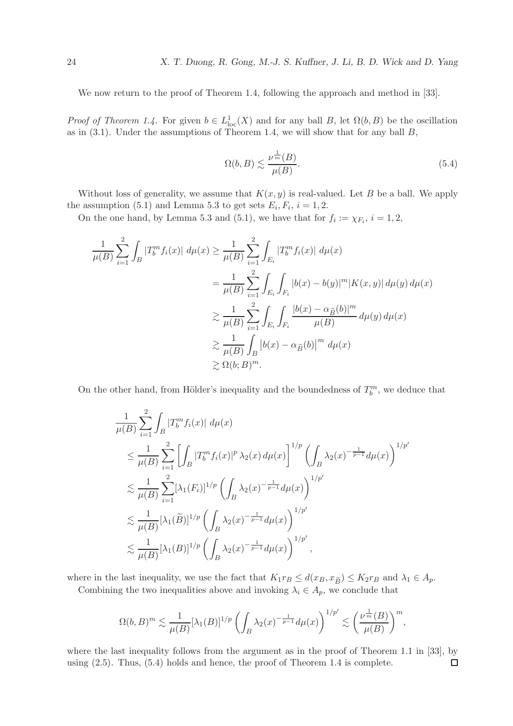We now return to the proof of Theorem 1.4, following the approach and method in [33].

*Proof of Theorem 1.4.* For given  $b \in L^1_{loc}(X)$  and for any ball B, let  $\Omega(b, B)$  be the oscillation as in  $(3.1)$ . Under the assumptions of Theorem 1.4, we will show that for any ball  $B$ ,

$$
\Omega(b, B) \lesssim \frac{\nu^{\frac{1}{m}}(B)}{\mu(B)}.\tag{5.4}
$$

Without loss of generality, we assume that  $K(x, y)$  is real-valued. Let B be a ball. We apply the assumption (5.1) and Lemma 5.3 to get sets  $E_i, F_i, i = 1, 2$ .

On the one hand, by Lemma 5.3 and (5.1), we have that for  $f_i := \chi_{F_i}, i = 1, 2$ ,

$$
\frac{1}{\mu(B)} \sum_{i=1}^{2} \int_{B} |T_{b}^{m} f_{i}(x)| d\mu(x) \ge \frac{1}{\mu(B)} \sum_{i=1}^{2} \int_{E_{i}} |T_{b}^{m} f_{i}(x)| d\mu(x)
$$
\n
$$
= \frac{1}{\mu(B)} \sum_{i=1}^{2} \int_{E_{i}} \int_{F_{i}} |b(x) - b(y)|^{m} |K(x, y)| d\mu(y) d\mu(x)
$$
\n
$$
\ge \frac{1}{\mu(B)} \sum_{i=1}^{2} \int_{E_{i}} \int_{F_{i}} \frac{|b(x) - \alpha_{\tilde{B}}(b)|^{m}}{\mu(B)} d\mu(y) d\mu(x)
$$
\n
$$
\ge \frac{1}{\mu(B)} \int_{B} |b(x) - \alpha_{\tilde{B}}(b)|^{m} d\mu(x)
$$
\n
$$
\ge \Omega(b; B)^{m}.
$$

On the other hand, from Hölder's inequality and the boundedness of  $T_b^m$ , we deduce that

$$
\frac{1}{\mu(B)} \sum_{i=1}^{2} \int_{B} |T_{b}^{m} f_{i}(x)| d\mu(x)
$$
\n
$$
\leq \frac{1}{\mu(B)} \sum_{i=1}^{2} \left[ \int_{B} |T_{b}^{m} f_{i}(x)|^{p} \lambda_{2}(x) d\mu(x) \right]^{1/p} \left( \int_{B} \lambda_{2}(x)^{-\frac{1}{p-1}} d\mu(x) \right)^{1/p'}
$$
\n
$$
\lesssim \frac{1}{\mu(B)} \sum_{i=1}^{2} [\lambda_{1}(F_{i})]^{1/p} \left( \int_{B} \lambda_{2}(x)^{-\frac{1}{p-1}} d\mu(x) \right)^{1/p'}
$$
\n
$$
\lesssim \frac{1}{\mu(B)} [\lambda_{1}(B)]^{1/p} \left( \int_{B} \lambda_{2}(x)^{-\frac{1}{p-1}} d\mu(x) \right)^{1/p'}
$$
\n
$$
\lesssim \frac{1}{\mu(B)} [\lambda_{1}(B)]^{1/p} \left( \int_{B} \lambda_{2}(x)^{-\frac{1}{p-1}} d\mu(x) \right)^{1/p'},
$$

where in the last inequality, we use the fact that  $K_1r_B \leq d(x_B, x_{\widetilde{B}}) \leq K_2r_B$  and  $\lambda_1 \in A_p$ .

Combining the two inequalities above and invoking  $\lambda_i \in A_p$ , we conclude that

$$
\Omega(b,B)^m \lesssim \frac{1}{\mu(B)} [\lambda_1(B)]^{1/p} \left( \int_B \lambda_2(x)^{-\frac{1}{p-1}} d\mu(x) \right)^{1/p'} \lesssim \left( \frac{\nu^{\frac{1}{m}}(B)}{\mu(B)} \right)^m,
$$

where the last inequality follows from the argument as in the proof of Theorem 1.1 in [33], by using (2.5). Thus, (5.4) holds and hence, the proof of Theorem 1.4 is complete. $\Box$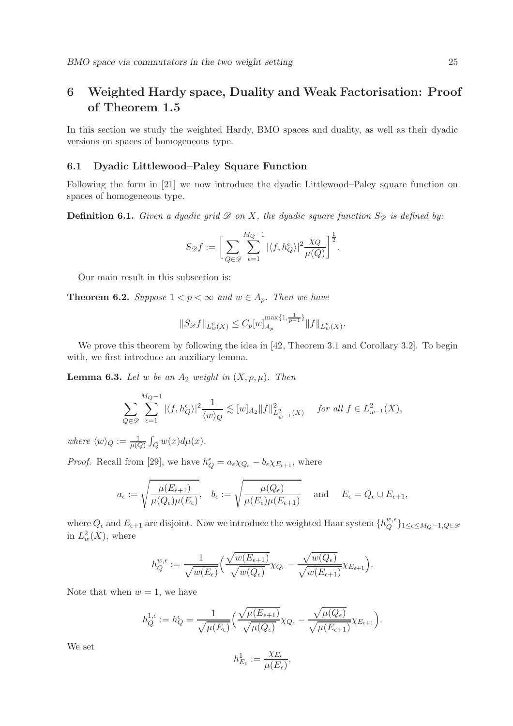# 6 Weighted Hardy space, Duality and Weak Factorisation: Proof of Theorem 1.5

In this section we study the weighted Hardy, BMO spaces and duality, as well as their dyadic versions on spaces of homogeneous type.

# 6.1 Dyadic Littlewood–Paley Square Function

Following the form in [21] we now introduce the dyadic Littlewood–Paley square function on spaces of homogeneous type.

**Definition 6.1.** *Given a dyadic grid*  $\mathscr{D}$  *on* X, the dyadic square function  $S_{\mathscr{D}}$  is defined by:

$$
S_{\mathscr{D}}f := \bigg[\sum_{Q \in \mathscr{D}} \sum_{\epsilon=1}^{M_Q-1} |\langle f, h_Q^{\epsilon} \rangle|^2 \frac{\chi_Q}{\mu(Q)}\bigg]^{\frac{1}{2}}.
$$

Our main result in this subsection is:

**Theorem 6.2.** *Suppose*  $1 < p < \infty$  *and*  $w \in A_p$ *. Then we have* 

$$
||S_{\mathscr{D}}f||_{L_w^p(X)} \leq C_p[w]_{A_p}^{\max\{1,\frac{1}{p-1}\}} ||f||_{L_w^p(X)}.
$$

We prove this theorem by following the idea in [42, Theorem 3.1 and Corollary 3.2]. To begin with, we first introduce an auxiliary lemma.

**Lemma 6.3.** *Let* w *be an*  $A_2$  *weight in*  $(X, \rho, \mu)$ *. Then* 

$$
\sum_{Q\in\mathscr{D}}\sum_{\epsilon=1}^{M_Q-1}|\langle f,h_Q^{\epsilon}\rangle|^2\frac{1}{\langle w\rangle_Q}\lesssim [w]_{A_2}\|f\|_{L^2_{w^{-1}}(X)}^2 \quad \text{for all } f\in L^2_{w^{-1}}(X),
$$

where  $\langle w \rangle_Q := \frac{1}{\mu(Q)} \int_Q w(x) d\mu(x)$ .

*Proof.* Recall from [29], we have  $h_Q^{\epsilon} = a_{\epsilon} \chi_{Q_{\epsilon}} - b_{\epsilon} \chi_{E_{\epsilon+1}}$ , where

$$
a_{\epsilon} := \sqrt{\frac{\mu(E_{\epsilon+1})}{\mu(Q_{\epsilon})\mu(E_{\epsilon})}}, \quad b_{\epsilon} := \sqrt{\frac{\mu(Q_{\epsilon})}{\mu(E_{\epsilon})\mu(E_{\epsilon+1})}} \quad \text{ and } \quad E_{\epsilon} = Q_{\epsilon} \cup E_{\epsilon+1},
$$

where  $Q_{\epsilon}$  and  $E_{\epsilon+1}$  are disjoint. Now we introduce the weighted Haar system  $\{h_Q^{w,\epsilon}$  $Q^{\circ}$ }1≤ $\epsilon$ ≤M $_Q$ −1, $Q \in \mathscr{D}$ in  $L_w^2(X)$ , where

$$
h_Q^{w,\epsilon} := \frac{1}{\sqrt{w(E_{\epsilon})}} \Big( \frac{\sqrt{w(E_{\epsilon+1})}}{\sqrt{w(Q_{\epsilon})}} \chi_{Q_{\epsilon}} - \frac{\sqrt{w(Q_{\epsilon})}}{\sqrt{w(E_{\epsilon+1})}} \chi_{E_{\epsilon+1}} \Big).
$$

Note that when  $w = 1$ , we have

$$
h_Q^{1,\epsilon}:=h_Q^{\epsilon}=\frac{1}{\sqrt{\mu(E_{\epsilon})}}\Big(\frac{\sqrt{\mu(E_{\epsilon+1})}}{\sqrt{\mu(Q_{\epsilon})}}\chi_{Q_{\epsilon}}-\frac{\sqrt{\mu(Q_{\epsilon})}}{\sqrt{\mu(E_{\epsilon+1})}}\chi_{E_{\epsilon+1}}\Big).
$$

We set

$$
h^1_{E_\epsilon}:=\frac{\chi_{E_\epsilon}}{\mu(E_\epsilon)},
$$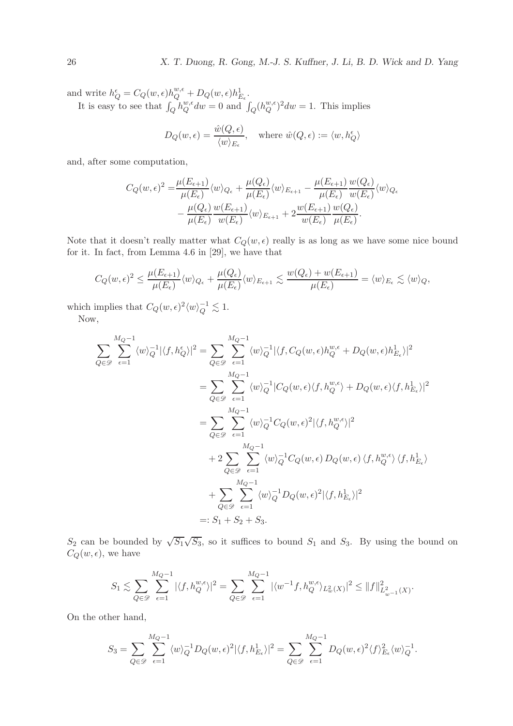and write  $h_Q^{\epsilon} = C_Q(w, \epsilon) h_Q^{w, \epsilon} + D_Q(w, \epsilon) h_{E_{\epsilon}}^1$ .

It is easy to see that  $\int_Q h_Q^{w,\epsilon}$  $Q^{w,\epsilon}dw = 0$  and  $\int_Q (h_Q^{w,\epsilon})$  $_{Q}^{w,\epsilon}$ <sup>2</sup> $dw = 1$ . This implies

$$
D_Q(w, \epsilon) = \frac{\hat{w}(Q, \epsilon)}{\langle w \rangle_{E_{\epsilon}}}, \text{ where } \hat{w}(Q, \epsilon) := \langle w, h_Q^{\epsilon} \rangle
$$

and, after some computation,

$$
C_Q(w,\epsilon)^2 = \frac{\mu(E_{\epsilon+1})}{\mu(E_{\epsilon})} \langle w \rangle_{Q_{\epsilon}} + \frac{\mu(Q_{\epsilon})}{\mu(E_{\epsilon})} \langle w \rangle_{E_{\epsilon+1}} - \frac{\mu(E_{\epsilon+1})}{\mu(E_{\epsilon})} \frac{w(Q_{\epsilon})}{w(E_{\epsilon})} \langle w \rangle_{Q_{\epsilon}} -\frac{\mu(Q_{\epsilon})}{\mu(E_{\epsilon})} \frac{w(E_{\epsilon+1})}{w(E_{\epsilon})} \langle w \rangle_{E_{\epsilon+1}} + 2 \frac{w(E_{\epsilon+1})}{w(E_{\epsilon})} \frac{w(Q_{\epsilon})}{\mu(E_{\epsilon})}.
$$

Note that it doesn't really matter what  $C_Q(w, \epsilon)$  really is as long as we have some nice bound for it. In fact, from Lemma 4.6 in [29], we have that

$$
C_Q(w,\epsilon)^2 \leq \frac{\mu(E_{\epsilon+1})}{\mu(E_{\epsilon})} \langle w \rangle_{Q_{\epsilon}} + \frac{\mu(Q_{\epsilon})}{\mu(E_{\epsilon})} \langle w \rangle_{E_{\epsilon+1}} \lesssim \frac{w(Q_{\epsilon}) + w(E_{\epsilon+1})}{\mu(E_{\epsilon})} = \langle w \rangle_{E_{\epsilon}} \lesssim \langle w \rangle_Q,
$$

which implies that  $C_Q(w, \epsilon)^2 \langle w \rangle_Q^{-1} \lesssim 1$ .

Now,

$$
\sum_{Q \in \mathcal{D}} \sum_{\epsilon=1}^{M_Q-1} \langle w \rangle_Q^{-1} |\langle f, h_Q^{\epsilon} \rangle|^2 = \sum_{Q \in \mathcal{D}} \sum_{\epsilon=1}^{M_Q-1} \langle w \rangle_Q^{-1} |\langle f, C_Q(w, \epsilon) h_Q^{w, \epsilon} + D_Q(w, \epsilon) h_{E_{\epsilon}}^1 \rangle|^2
$$
  
\n
$$
= \sum_{Q \in \mathcal{D}} \sum_{\epsilon=1}^{M_Q-1} \langle w \rangle_Q^{-1} |C_Q(w, \epsilon) \langle f, h_Q^{w, \epsilon} \rangle + D_Q(w, \epsilon) \langle f, h_{E_{\epsilon}}^1 \rangle|^2
$$
  
\n
$$
= \sum_{Q \in \mathcal{D}} \sum_{\epsilon=1}^{M_Q-1} \langle w \rangle_Q^{-1} C_Q(w, \epsilon)^2 |\langle f, h_Q^{w, \epsilon} \rangle|^2
$$
  
\n
$$
+ 2 \sum_{Q \in \mathcal{D}} \sum_{\epsilon=1}^{M_Q-1} \langle w \rangle_Q^{-1} C_Q(w, \epsilon) D_Q(w, \epsilon) \langle f, h_Q^{w, \epsilon} \rangle \langle f, h_{E_{\epsilon}}^1 \rangle
$$
  
\n
$$
+ \sum_{Q \in \mathcal{D}} \sum_{\epsilon=1}^{M_Q-1} \langle w \rangle_Q^{-1} D_Q(w, \epsilon)^2 |\langle f, h_{E_{\epsilon}}^1 \rangle|^2
$$
  
\n
$$
=: S_1 + S_2 + S_3.
$$

 $S_2$  can be bounded by  $\sqrt{S_1}\sqrt{S_3}$ , so it suffices to bound  $S_1$  and  $S_3$ . By using the bound on  $C_Q(w, \epsilon)$ , we have

$$
S_1 \lesssim \sum_{Q \in \mathscr{D}} \sum_{\epsilon=1}^{M_Q-1} |\langle f, h_Q^{w,\epsilon} \rangle|^2 = \sum_{Q \in \mathscr{D}} \sum_{\epsilon=1}^{M_Q-1} |\langle w^{-1}f, h_Q^{w,\epsilon} \rangle_{L^2_w(X)}|^2 \le ||f||^2_{L^2_{w^{-1}}(X)}.
$$

On the other hand,

$$
S_3 = \sum_{Q \in \mathscr{D}} \sum_{\epsilon=1}^{M_Q-1} \langle w \rangle_Q^{-1} D_Q(w, \epsilon)^2 |\langle f, h_{E_{\epsilon}}^1 \rangle|^2 = \sum_{Q \in \mathscr{D}} \sum_{\epsilon=1}^{M_Q-1} D_Q(w, \epsilon)^2 \langle f \rangle_{E_{\epsilon}}^2 \langle w \rangle_Q^{-1}.
$$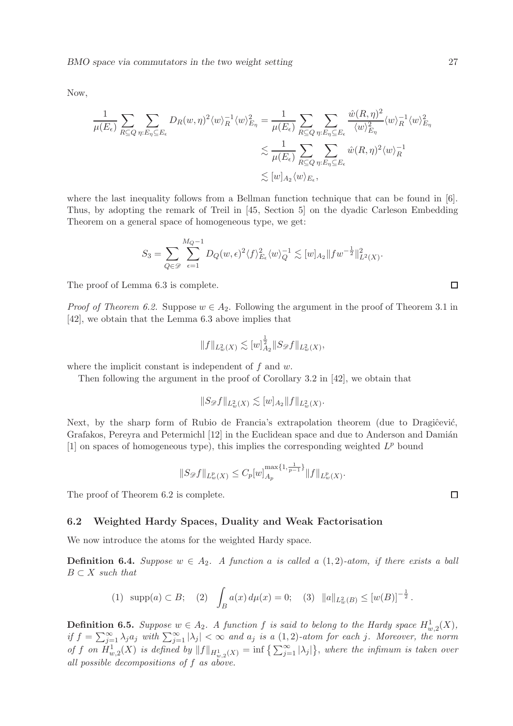Now,

$$
\frac{1}{\mu(E_{\epsilon})} \sum_{R \subseteq Q} \sum_{\eta: E_{\eta} \subseteq E_{\epsilon}} D_R(w, \eta)^2 \langle w \rangle_R^{-1} \langle w \rangle_{E_{\eta}}^2 = \frac{1}{\mu(E_{\epsilon})} \sum_{R \subseteq Q} \sum_{\eta: E_{\eta} \subseteq E_{\epsilon}} \frac{\hat{w}(R, \eta)^2}{\langle w \rangle_{E_{\eta}}^2} \langle w \rangle_R^{-1} \langle w \rangle_{E_{\eta}}^2
$$
  

$$
\lesssim \frac{1}{\mu(E_{\epsilon})} \sum_{R \subseteq Q} \sum_{\eta: E_{\eta} \subseteq E_{\epsilon}} \hat{w}(R, \eta)^2 \langle w \rangle_R^{-1}
$$
  

$$
\lesssim [w]_{A_2} \langle w \rangle_{E_{\epsilon}},
$$

where the last inequality follows from a Bellman function technique that can be found in [6]. Thus, by adopting the remark of Treil in [45, Section 5] on the dyadic Carleson Embedding Theorem on a general space of homogeneous type, we get:

$$
S_3 = \sum_{Q \in \mathscr{D}} \sum_{\epsilon=1}^{M_Q - 1} D_Q(w, \epsilon)^2 \langle f \rangle_{E_\epsilon}^2 \langle w \rangle_Q^{-1} \lesssim [w]_{A_2} || f w^{-\frac{1}{2}} ||_{L^2(X)}^2.
$$

The proof of Lemma 6.3 is complete.

*Proof of Theorem 6.2.* Suppose  $w \in A_2$ . Following the argument in the proof of Theorem 3.1 in [42], we obtain that the Lemma 6.3 above implies that

$$
||f||_{L_w^2(X)} \lesssim [w]_{A_2}^{\frac{1}{2}} ||S_{\mathscr{D}}f||_{L_w^2(X)},
$$

where the implicit constant is independent of  $f$  and  $w$ .

Then following the argument in the proof of Corollary 3.2 in [42], we obtain that

$$
||S_{\mathscr{D}}f||_{L^2_w(X)} \lesssim [w]_{A_2} ||f||_{L^2_w(X)}.
$$

Next, by the sharp form of Rubio de Francia's extrapolation theorem (due to Dragicević, Grafakos, Pereyra and Petermichl [12] in the Euclidean space and due to Anderson and Damián [1] on spaces of homogeneous type), this implies the corresponding weighted  $L^p$  bound

$$
||S_{\mathscr{D}}f||_{L^p_w(X)} \leq C_p[w]_{A_p}^{\max\{1,\frac{1}{p-1}\}}||f||_{L^p_w(X)}.
$$

The proof of Theorem 6.2 is complete.

#### 6.2 Weighted Hardy Spaces, Duality and Weak Factorisation

We now introduce the atoms for the weighted Hardy space.

**Definition 6.4.** *Suppose*  $w \in A_2$ *. A function* a *is called* a  $(1, 2)$ *-atom, if there exists* a ball  $B \subset X$  *such that* 

(1) supp(a) 
$$
\subset B
$$
; (2)  $\int_B a(x) d\mu(x) = 0$ ; (3)  $||a||_{L^2_w(B)} \leq [w(B)]^{-\frac{1}{2}}$ .

**Definition 6.5.** Suppose  $w \in A_2$ . A function f is said to belong to the Hardy space  $H^1_{w,2}(X)$ , *if*  $f = \sum_{j=1}^{\infty} \lambda_j a_j$  *with*  $\sum_{j=1}^{\infty} |\lambda_j| < \infty$  *and*  $a_j$  *is a* (1, 2)*-atom for each j. Moreover, the norm* of f on  $H_{w,2}^1(X)$  is defined by  $||f||_{H_{w,2}^1(X)} = \inf \left\{ \sum_{j=1}^{\infty} |\lambda_j| \right\}$ , where the infimum is taken over *all possible decompositions of* f *as above.*

 $\Box$ 

 $\Box$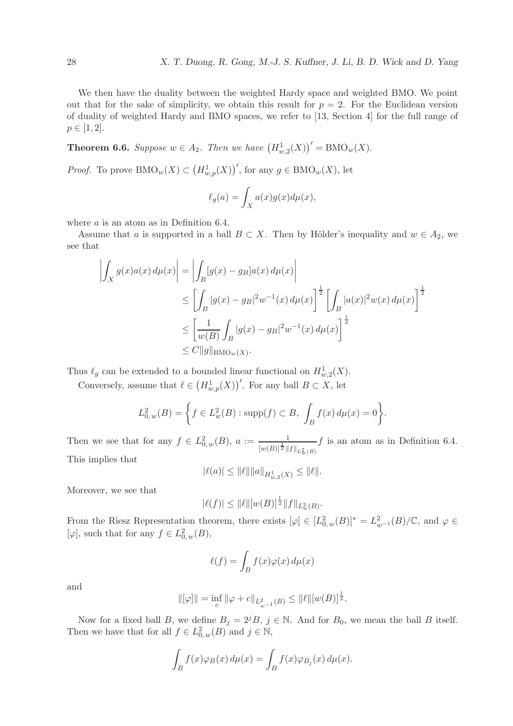We then have the duality between the weighted Hardy space and weighted BMO. We point out that for the sake of simplicity, we obtain this result for  $p = 2$ . For the Euclidean version of duality of weighted Hardy and BMO spaces, we refer to [13, Section 4] for the full range of  $p \in [1, 2].$ 

**Theorem 6.6.** Suppose  $w \in A_2$ . Then we have  $(H_{w,2}^1(X))' = \text{BMO}_w(X)$ .

*Proof.* To prove  $\text{BMO}_w(X) \subset (H^1_{w,p}(X))'$ , for any  $g \in \text{BMO}_w(X)$ , let

$$
\ell_g(a) = \int_X a(x)g(x)d\mu(x),
$$

where *a* is an atom as in Definition 6.4.

Assume that a is supported in a ball  $B \subset X$ . Then by Hölder's inequality and  $w \in A_2$ , we see that

$$
\left| \int_X g(x) a(x) d\mu(x) \right| = \left| \int_B [g(x) - g_B] a(x) d\mu(x) \right|
$$
  
\n
$$
\leq \left[ \int_B |g(x) - g_B|^2 w^{-1}(x) d\mu(x) \right]^{\frac{1}{2}} \left[ \int_B |a(x)|^2 w(x) d\mu(x) \right]^{\frac{1}{2}}
$$
  
\n
$$
\leq \left[ \frac{1}{w(B)} \int_B |g(x) - g_B|^2 w^{-1}(x) d\mu(x) \right]^{\frac{1}{2}}
$$
  
\n
$$
\leq C ||g||_{\text{BMO}_w(X)}.
$$

Thus  $\ell_g$  can be extended to a bounded linear functional on  $H^1_{w,2}(X)$ .

Conversely, assume that  $\ell \in (H^1_{w,p}(X))'$ . For any ball  $B \subset X$ , let

$$
L_{0,w}^{2}(B) = \left\{ f \in L_{w}^{2}(B) : \text{supp}(f) \subset B, \int_{B} f(x) d\mu(x) = 0 \right\}.
$$

Then we see that for any  $f \in L^2_{0,w}(B)$ ,  $a := \frac{1}{[w(B)]^{\frac{1}{2}} \|f\|_{L^2_w(B)}}$  $f$  is an atom as in Definition 6.4. This implies that

$$
|\ell(a)| \leq ||\ell|| ||a||_{H^1_{w,2}(X)} \leq ||\ell||.
$$

Moreover, we see that

$$
|\ell(f)| \leq ||\ell|| [w(B)]^{\frac{1}{2}} ||f||_{L^2_w(B)}.
$$

From the Riesz Representation theorem, there exists  $[\varphi] \in [L^2_{0,w}(B)]^* = L^2_{w^{-1}}(B)/\mathbb{C}$ , and  $\varphi \in$ [ $\varphi$ ], such that for any  $f \in L^2_{0,w}(B)$ ,

$$
\ell(f) = \int_B f(x)\varphi(x) \, d\mu(x)
$$

and

$$
\|[\varphi]\| = \inf_c \|\varphi + c\|_{L^2_{w^{-1}}(B)} \le \|\ell\| [w(B)]^{\frac{1}{2}}.
$$

Now for a fixed ball B, we define  $B_j = 2^j B$ ,  $j \in \mathbb{N}$ . And for  $B_0$ , we mean the ball B itself. Then we have that for all  $f \in L^2_{0,w}(B)$  and  $j \in \mathbb{N}$ ,

$$
\int_B f(x)\varphi_B(x) d\mu(x) = \int_B f(x)\varphi_{B_j}(x) d\mu(x).
$$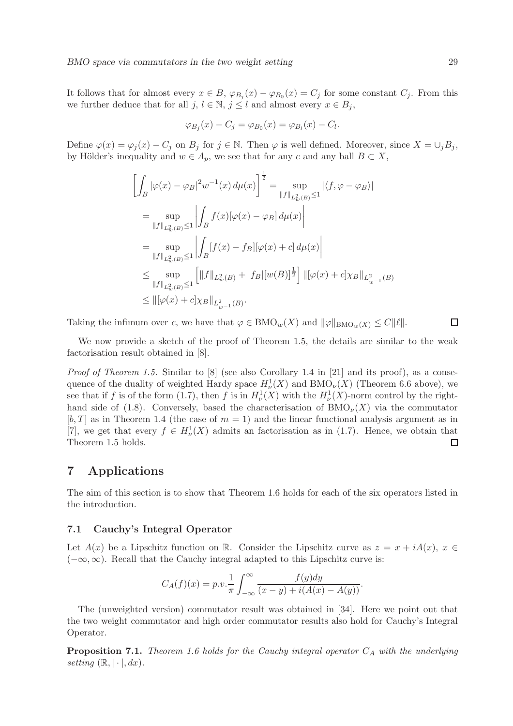It follows that for almost every  $x \in B$ ,  $\varphi_{B_j}(x) - \varphi_{B_0}(x) = C_j$  for some constant  $C_j$ . From this we further deduce that for all j,  $l \in \mathbb{N}$ ,  $j \leq l$  and almost every  $x \in B_j$ ,

$$
\varphi_{B_j}(x) - C_j = \varphi_{B_0}(x) = \varphi_{B_l}(x) - C_l.
$$

Define  $\varphi(x) = \varphi_j(x) - C_j$  on  $B_j$  for  $j \in \mathbb{N}$ . Then  $\varphi$  is well defined. Moreover, since  $X = \bigcup_j B_j$ , by Hölder's inequality and  $w \in A_p$ , we see that for any c and any ball  $B \subset X$ ,

$$
\left[\int_{B} |\varphi(x) - \varphi_{B}|^{2} w^{-1}(x) d\mu(x)\right]^{\frac{1}{2}} = \sup_{\|f\|_{L^{2}_{w}(B)} \leq 1} |\langle f, \varphi - \varphi_{B} \rangle|
$$
  
\n
$$
= \sup_{\|f\|_{L^{2}_{w}(B)} \leq 1} \left|\int_{B} f(x) [\varphi(x) - \varphi_{B}] d\mu(x)\right|
$$
  
\n
$$
= \sup_{\|f\|_{L^{2}_{w}(B)} \leq 1} \left|\int_{B} [f(x) - f_{B}] [\varphi(x) + c] d\mu(x)\right|
$$
  
\n
$$
\leq \sup_{\|f\|_{L^{2}_{w}(B)} \leq 1} \left[\|f\|_{L^{2}_{w}(B)} + |f_{B}| [w(B)]^{\frac{1}{2}}\right] \| [\varphi(x) + c] \chi_{B} \|_{L^{2}_{w^{-1}}(B)}
$$
  
\n
$$
\leq \| [\varphi(x) + c] \chi_{B} \|_{L^{2}_{w^{-1}}(B)}.
$$

Taking the infimum over c, we have that  $\varphi \in BMO_w(X)$  and  $\|\varphi\|_{BMO_w(X)} \leq C||\ell||$ .  $\Box$ 

We now provide a sketch of the proof of Theorem 1.5, the details are similar to the weak factorisation result obtained in [8].

*Proof of Theorem 1.5.* Similar to [8] (see also Corollary 1.4 in [21] and its proof), as a consequence of the duality of weighted Hardy space  $H^1_\nu(X)$  and  $\text{BMO}_\nu(X)$  (Theorem 6.6 above), we see that if f is of the form (1.7), then f is in  $H^1_\nu(X)$  with the  $H^1_\nu(X)$ -norm control by the righthand side of (1.8). Conversely, based the characterisation of  $BMO_{\nu}(X)$  via the commutator  $[b, T]$  as in Theorem 1.4 (the case of  $m = 1$ ) and the linear functional analysis argument as in [7], we get that every  $f \in H^1_{\nu}(X)$  admits an factorisation as in (1.7). Hence, we obtain that Theorem 1.5 holds.  $\Box$ 

## 7 Applications

The aim of this section is to show that Theorem 1.6 holds for each of the six operators listed in the introduction.

#### 7.1 Cauchy's Integral Operator

Let  $A(x)$  be a Lipschitz function on R. Consider the Lipschitz curve as  $z = x + iA(x)$ ,  $x \in$  $(-\infty,\infty)$ . Recall that the Cauchy integral adapted to this Lipschitz curve is:

$$
C_A(f)(x) = p.v.\frac{1}{\pi} \int_{-\infty}^{\infty} \frac{f(y)dy}{(x-y) + i(A(x) - A(y))}.
$$

The (unweighted version) commutator result was obtained in [34]. Here we point out that the two weight commutator and high order commutator results also hold for Cauchy's Integral Operator.

Proposition 7.1. *Theorem 1.6 holds for the Cauchy integral operator*  $C_A$  *with the underlying setting*  $(\mathbb{R}, |\cdot|, dx)$ .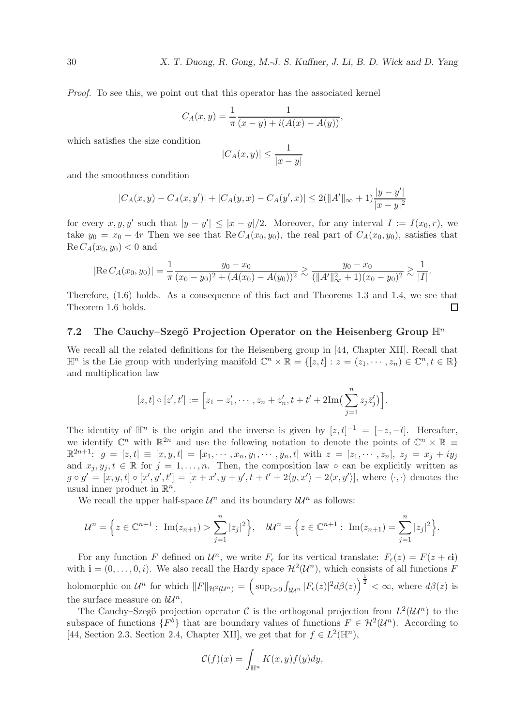*Proof.* To see this, we point out that this operator has the associated kernel

$$
C_A(x,y) = \frac{1}{\pi} \frac{1}{(x-y) + i(A(x) - A(y))},
$$

which satisfies the size condition

$$
|C_A(x,y)| \le \frac{1}{|x-y|}
$$

and the smoothness condition

$$
|C_A(x,y) - C_A(x,y')| + |C_A(y,x) - C_A(y',x)| \le 2(||A'||_{\infty} + 1)\frac{|y - y'|}{|x - y|^2}
$$

for every  $x, y, y'$  such that  $|y - y'| \le |x - y|/2$ . Moreover, for any interval  $I := I(x_0, r)$ , we take  $y_0 = x_0 + 4r$  Then we see that Re  $C_A(x_0, y_0)$ , the real part of  $C_A(x_0, y_0)$ , satisfies that  $\text{Re } C_A(x_0, y_0) < 0$  and

$$
|\text{Re } C_A(x_0, y_0)| = \frac{1}{\pi} \frac{y_0 - x_0}{(x_0 - y_0)^2 + (A(x_0) - A(y_0))^2} \gtrsim \frac{y_0 - x_0}{(\|A'\|_{\infty}^2 + 1)(x_0 - y_0)^2} \gtrsim \frac{1}{|I|}.
$$

Therefore, (1.6) holds. As a consequence of this fact and Theorems 1.3 and 1.4, we see that Theorem 1.6 holds.  $\Box$ 

#### 7.2 The Cauchy–Szegö Projection Operator on the Heisenberg Group  $\mathbb{H}^n$

We recall all the related definitions for the Heisenberg group in [44, Chapter XII]. Recall that  $\mathbb{H}^n$  is the Lie group with underlying manifold  $\mathbb{C}^n \times \mathbb{R} = \{ [z, t] : z = (z_1, \dots, z_n) \in \mathbb{C}^n, t \in \mathbb{R} \}$ and multiplication law

$$
[z,t] \circ [z',t'] := [z_1 + z'_1, \cdots, z_n + z'_n, t + t' + 2\mathrm{Im}(\sum_{j=1}^n z_j \bar{z}'_j)].
$$

The identity of  $\mathbb{H}^n$  is the origin and the inverse is given by  $[z, t]^{-1} = [-z, -t]$ . Hereafter, we identify  $\mathbb{C}^n$  with  $\mathbb{R}^{2n}$  and use the following notation to denote the points of  $\mathbb{C}^n \times \mathbb{R} \equiv$  $\mathbb{R}^{2n+1}$ :  $g = [z, t] \equiv [x, y, t] = [x_1, \cdots, x_n, y_1, \cdots, y_n, t]$  with  $z = [z_1, \cdots, z_n]$ ,  $z_j = x_j + iy_j$ and  $x_j, y_j, t \in \mathbb{R}$  for  $j = 1, \ldots, n$ . Then, the composition law  $\circ$  can be explicitly written as  $g \circ g' = [x, y, t] \circ [x', y', t'] = [x + x', y + y', t + t' + 2\langle y, x' \rangle - 2\langle x, y' \rangle],$  where  $\langle \cdot, \cdot \rangle$  denotes the usual inner product in  $\mathbb{R}^n$ .

We recall the upper half-space  $\mathcal{U}^n$  and its boundary  $b\mathcal{U}^n$  as follows:

$$
\mathcal{U}^{n} = \left\{ z \in \mathbb{C}^{n+1} : \operatorname{Im}(z_{n+1}) > \sum_{j=1}^{n} |z_{j}|^{2} \right\}, \quad b\mathcal{U}^{n} = \left\{ z \in \mathbb{C}^{n+1} : \operatorname{Im}(z_{n+1}) = \sum_{j=1}^{n} |z_{j}|^{2} \right\}.
$$

For any function F defined on  $\mathcal{U}^n$ , we write  $F_{\epsilon}$  for its vertical translate:  $F_{\epsilon}(z) = F(z + \epsilon \mathbf{i})$ with  $\mathbf{i} = (0, \ldots, 0, i)$ . We also recall the Hardy space  $\mathcal{H}^2(\mathcal{U}^n)$ , which consists of all functions F holomorphic on  $\mathcal{U}^n$  for which  $||F||_{\mathcal{H}^2(\mathcal{U}^n)} = \left(\sup_{\epsilon>0} \int_{\mathcal{U}^n} |F_{\epsilon}(z)|^2 d\beta(z)\right)^{\frac{1}{2}} < \infty$ , where  $d\beta(z)$  is the surface measure on  $b\mathcal{U}^n$ .

The Cauchy–Szegö projection operator C is the orthogonal projection from  $L^2(b\mathcal{U}^n)$  to the subspace of functions  $\{F^b\}$  that are boundary values of functions  $F \in H^2(\mathcal{U}^n)$ . According to [44, Section 2.3, Section 2.4, Chapter XII], we get that for  $f \in L^2(\mathbb{H}^n)$ ,

$$
\mathcal{C}(f)(x) = \int_{\mathbb H^n} K(x,y) f(y) dy,
$$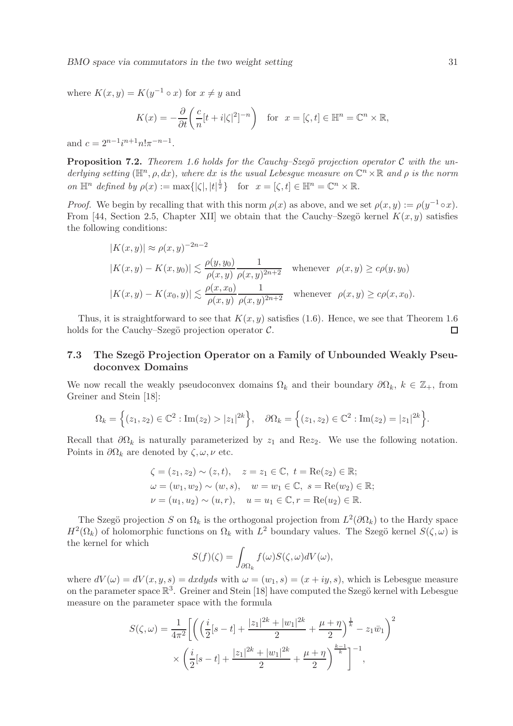where  $K(x, y) = K(y^{-1} \circ x)$  for  $x \neq y$  and

$$
K(x) = -\frac{\partial}{\partial t} \left( \frac{c}{n} [t + i|\zeta|^2]^{-n} \right) \quad \text{for} \quad x = [\zeta, t] \in \mathbb{H}^n = \mathbb{C}^n \times \mathbb{R},
$$

and  $c = 2^{n-1}i^{n+1}n!\pi^{-n-1}$ .

**Proposition 7.2.** *Theorem 1.6 holds for the Cauchy–Szegö projection operator* C with the underlying setting  $(\mathbb{H}^n, \rho, dx)$ , where  $dx$  is the usual Lebesgue measure on  $\mathbb{C}^n \times \mathbb{R}$  and  $\rho$  is the norm *on*  $\mathbb{H}^n$  *defined by*  $\rho(x) := \max\{|\zeta|, |t|^{\frac{1}{2}}\}$  for  $x = [\zeta, t] \in \mathbb{H}^n = \mathbb{C}^n \times \mathbb{R}$ .

*Proof.* We begin by recalling that with this norm  $\rho(x)$  as above, and we set  $\rho(x, y) := \rho(y^{-1} \circ x)$ . From [44, Section 2.5, Chapter XII] we obtain that the Cauchy–Szegö kernel  $K(x, y)$  satisfies the following conditions:

$$
|K(x,y)| \approx \rho(x,y)^{-2n-2}
$$
  
\n
$$
|K(x,y) - K(x,y_0)| \lesssim \frac{\rho(y,y_0)}{\rho(x,y)} \frac{1}{\rho(x,y)^{2n+2}}
$$
 whenever  $\rho(x,y) \ge c\rho(y,y_0)$   
\n
$$
|K(x,y) - K(x_0,y)| \lesssim \frac{\rho(x,x_0)}{\rho(x,y)} \frac{1}{\rho(x,y)^{2n+2}}
$$
 whenever  $\rho(x,y) \ge c\rho(x,x_0)$ .

Thus, it is straightforward to see that  $K(x, y)$  satisfies (1.6). Hence, we see that Theorem 1.6 holds for the Cauchy–Szegö projection operator  $\mathcal{C}$ .  $\Box$ 

# 7.3 The Szegö Projection Operator on a Family of Unbounded Weakly Pseudoconvex Domains

We now recall the weakly pseudoconvex domains  $\Omega_k$  and their boundary  $\partial \Omega_k$ ,  $k \in \mathbb{Z}_+$ , from Greiner and Stein [18]:

$$
\Omega_k = \left\{ (z_1, z_2) \in \mathbb{C}^2 : \text{Im}(z_2) > |z_1|^{2k} \right\}, \quad \partial \Omega_k = \left\{ (z_1, z_2) \in \mathbb{C}^2 : \text{Im}(z_2) = |z_1|^{2k} \right\}.
$$

Recall that  $\partial \Omega_k$  is naturally parameterized by  $z_1$  and Re $z_2$ . We use the following notation. Points in  $\partial\Omega_k$  are denoted by  $\zeta, \omega, \nu$  etc.

$$
\zeta = (z_1, z_2) \sim (z, t), \quad z = z_1 \in \mathbb{C}, \ t = \text{Re}(z_2) \in \mathbb{R};
$$
  
\n
$$
\omega = (w_1, w_2) \sim (w, s), \quad w = w_1 \in \mathbb{C}, \ s = \text{Re}(w_2) \in \mathbb{R};
$$
  
\n
$$
\nu = (u_1, u_2) \sim (u, r), \quad u = u_1 \in \mathbb{C}, r = \text{Re}(u_2) \in \mathbb{R}.
$$

The Szegö projection S on  $\Omega_k$  is the orthogonal projection from  $L^2(\partial\Omega_k)$  to the Hardy space  $H^2(\Omega_k)$  of holomorphic functions on  $\Omega_k$  with  $L^2$  boundary values. The Szegö kernel  $S(\zeta,\omega)$  is the kernel for which

$$
S(f)(\zeta) = \int_{\partial\Omega_k} f(\omega)S(\zeta,\omega)dV(\omega),
$$

where  $dV(\omega) = dV(x, y, s) = dxdyds$  with  $\omega = (w_1, s) = (x + iy, s)$ , which is Lebesgue measure on the parameter space  $\mathbb{R}^3$ . Greiner and Stein [18] have computed the Szegö kernel with Lebesgue measure on the parameter space with the formula

$$
S(\zeta, \omega) = \frac{1}{4\pi^2} \left[ \left( \left( \frac{i}{2} [s-t] + \frac{|z_1|^{2k} + |w_1|^{2k}}{2} + \frac{\mu + \eta}{2} \right)^{\frac{1}{k}} - z_1 \bar{w}_1 \right)^2 \right. \\ \times \left. \left( \frac{i}{2} [s-t] + \frac{|z_1|^{2k} + |w_1|^{2k}}{2} + \frac{\mu + \eta}{2} \right)^{\frac{k-1}{k}} \right]^{-1},
$$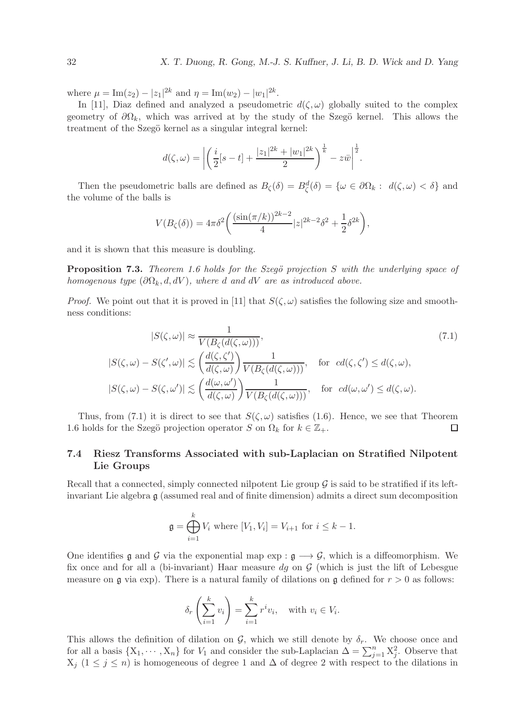where  $\mu = \text{Im}(z_2) - |z_1|^{2k}$  and  $\eta = \text{Im}(w_2) - |w_1|^{2k}$ .

In [11], Diaz defined and analyzed a pseudometric  $d(\zeta, \omega)$  globally suited to the complex geometry of  $\partial\Omega_k$ , which was arrived at by the study of the Szegö kernel. This allows the treatment of the Szegö kernel as a singular integral kernel:

$$
d(\zeta,\omega) = \left| \left( \frac{i}{2} [s-t] + \frac{|z_1|^{2k} + |w_1|^{2k}}{2} \right)^{\frac{1}{k}} - z\bar{w} \right|^{\frac{1}{2}}.
$$

Then the pseudometric balls are defined as  $B_{\zeta}(\delta) = B_{\zeta}^d(\delta) = {\omega \in \partial \Omega_k : d(\zeta, \omega) < \delta}$  and the volume of the balls is

$$
V(B_{\zeta}(\delta)) = 4\pi \delta^2 \bigg( \frac{(\sin(\pi/k))^{2k-2}}{4} |z|^{2k-2} \delta^2 + \frac{1}{2} \delta^{2k} \bigg),
$$

and it is shown that this measure is doubling.

**Proposition 7.3.** *Theorem 1.6 holds for the Szegö projection* S with the underlying space of *homogenous type*  $(\partial \Omega_k, d, dV)$ *, where* d and dV are as introduced above.

*Proof.* We point out that it is proved in [11] that  $S(\zeta, \omega)$  satisfies the following size and smoothness conditions:

$$
|S(\zeta, \omega)| \approx \frac{1}{V(B_{\zeta}(d(\zeta, \omega)))},
$$
  
\n
$$
|S(\zeta, \omega) - S(\zeta', \omega)| \lesssim \left(\frac{d(\zeta, \zeta')}{d(\zeta, \omega)}\right) \frac{1}{V(B_{\zeta}(d(\zeta, \omega)))}, \text{ for } cd(\zeta, \zeta') \le d(\zeta, \omega),
$$
  
\n
$$
|S(\zeta, \omega) - S(\zeta, \omega')| \lesssim \left(\frac{d(\omega, \omega')}{d(\zeta, \omega)}\right) \frac{1}{V(B_{\zeta}(d(\zeta, \omega)))}, \text{ for } cd(\omega, \omega') \le d(\zeta, \omega).
$$
\n(7.1)

Thus, from (7.1) it is direct to see that  $S(\zeta,\omega)$  satisfies (1.6). Hence, we see that Theorem 1.6 holds for the Szegö projection operator S on  $\Omega_k$  for  $k \in \mathbb{Z}_+$ .  $\Box$ 

## 7.4 Riesz Transforms Associated with sub-Laplacian on Stratified Nilpotent Lie Groups

Recall that a connected, simply connected nilpotent Lie group  $\mathcal G$  is said to be stratified if its leftinvariant Lie algebra g (assumed real and of finite dimension) admits a direct sum decomposition

$$
\mathfrak{g} = \bigoplus_{i=1}^k V_i \text{ where } [V_1, V_i] = V_{i+1} \text{ for } i \leq k-1.
$$

One identifies  $\mathfrak g$  and  $\mathcal G$  via the exponential map exp :  $\mathfrak g \longrightarrow \mathcal G$ , which is a diffeomorphism. We fix once and for all a (bi-invariant) Haar measure dg on  $\mathcal G$  (which is just the lift of Lebesgue measure on  $\mathfrak g$  via exp). There is a natural family of dilations on  $\mathfrak g$  defined for  $r > 0$  as follows:

$$
\delta_r\left(\sum_{i=1}^k v_i\right) = \sum_{i=1}^k r^i v_i, \quad \text{with } v_i \in V_i.
$$

This allows the definition of dilation on  $\mathcal{G}$ , which we still denote by  $\delta_r$ . We choose once and for all a basis  $\{X_1, \dots, X_n\}$  for  $V_1$  and consider the sub-Laplacian  $\Delta = \sum_{j=1}^n X_j^2$ . Observe that  $X_j$  ( $1 \leq j \leq n$ ) is homogeneous of degree 1 and  $\Delta$  of degree 2 with respect to the dilations in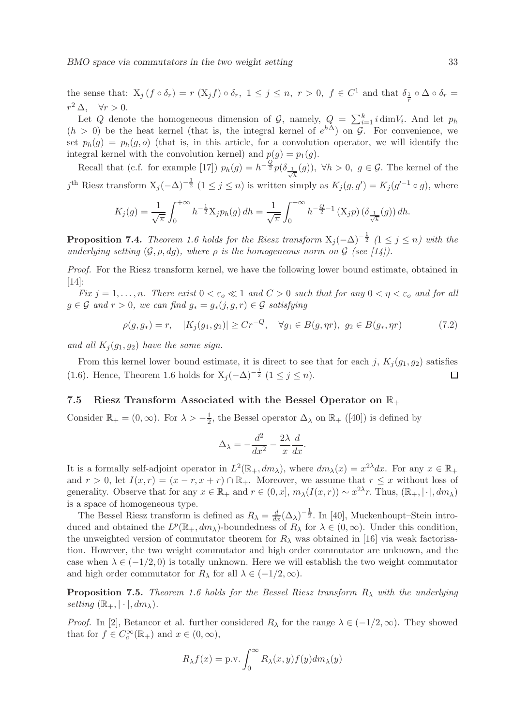the sense that:  $X_j$   $(f \circ \delta_r) = r(X_j f) \circ \delta_r$ ,  $1 \leq j \leq n$ ,  $r > 0$ ,  $f \in C^1$  and that  $\delta_{\frac{1}{r}} \circ \Delta \circ \delta_r =$  $r^2 \Delta$ ,  $\forall r > 0$ .

Let Q denote the homogeneous dimension of G, namely,  $Q = \sum_{i=1}^{k} i \dim V_i$ . And let  $p_h$  $(h > 0)$  be the heat kernel (that is, the integral kernel of  $e^{h\Delta}$ ) on G. For convenience, we set  $p_h(q) = p_h(q, o)$  (that is, in this article, for a convolution operator, we will identify the integral kernel with the convolution kernel) and  $p(g) = p_1(g)$ .

Recall that (c.f. for example [17])  $p_h(g) = h^{-\frac{Q}{2}} p(\delta_{\frac{1}{\sqrt{h}}}(g))$ ,  $\forall h > 0$ ,  $g \in \mathcal{G}$ . The kernel of the j<sup>th</sup> Riesz transform  $X_j(-\Delta)^{-\frac{1}{2}}$   $(1 \leq j \leq n)$  is written simply as  $K_j(g, g') = K_j(g'^{-1} \circ g)$ , where

$$
K_j(g) = \frac{1}{\sqrt{\pi}} \int_0^{+\infty} h^{-\frac{1}{2}} X_j p_h(g) \, dh = \frac{1}{\sqrt{\pi}} \int_0^{+\infty} h^{-\frac{Q}{2}-1} \left( X_j p \right) \left( \delta_{\frac{1}{\sqrt{h}}}(g) \right) dh.
$$

**Proposition 7.4.** *Theorem 1.6 holds for the Riesz transform*  $X_j(-\Delta)^{-\frac{1}{2}}$  (1 ≤ j ≤ n) with the *underlying setting*  $(G, \rho, dq)$ *, where*  $\rho$  *is the homogeneous norm on*  $G$  *(see [14]).* 

*Proof.* For the Riesz transform kernel, we have the following lower bound estimate, obtained in [14]:

*Fix*  $j = 1, \ldots, n$ *. There exist*  $0 < \varepsilon_o \ll 1$  *and*  $C > 0$  *such that for any*  $0 < \eta < \varepsilon_o$  *and for all* g ∈ G *and* r > 0*, we can find* g<sup>∗</sup> = g∗(j, g, r) ∈ G *satisfying*

$$
\rho(g, g_*) = r, \quad |K_j(g_1, g_2)| \ge Cr^{-Q}, \quad \forall g_1 \in B(g, \eta r), \ g_2 \in B(g_*, \eta r) \tag{7.2}
$$

*and all*  $K_i(q_1, q_2)$  *have the same sign.* 

From this kernel lower bound estimate, it is direct to see that for each j,  $K_j (g_1, g_2)$  satisfies (1.6). Hence, Theorem 1.6 holds for  $X_j(-\Delta)^{-\frac{1}{2}}$   $(1 \le j \le n)$ .  $\Box$ 

### 7.5 Riesz Transform Associated with the Bessel Operator on  $\mathbb{R}_+$

Consider  $\mathbb{R}_+ = (0, \infty)$ . For  $\lambda > -\frac{1}{2}$  $\frac{1}{2}$ , the Bessel operator  $\Delta_{\lambda}$  on  $\mathbb{R}_{+}$  ([40]) is defined by

$$
\Delta_{\lambda} = -\frac{d^2}{dx^2} - \frac{2\lambda}{x}\frac{d}{dx}.
$$

It is a formally self-adjoint operator in  $L^2(\mathbb{R}_+, dm_\lambda)$ , where  $dm_\lambda(x) = x^{2\lambda} dx$ . For any  $x \in \mathbb{R}_+$ and  $r > 0$ , let  $I(x,r) = (x - r, x + r) \cap \mathbb{R}_+$ . Moreover, we assume that  $r \leq x$  without loss of generality. Observe that for any  $x \in \mathbb{R}_+$  and  $r \in (0, x]$ ,  $m_\lambda(I(x, r)) \sim x^{2\lambda}r$ . Thus,  $(\mathbb{R}_+, |\cdot|, dm_\lambda)$ is a space of homogeneous type.

The Bessel Riesz transform is defined as  $R_{\lambda} = \frac{d}{dx} (\Delta_{\lambda})^{-\frac{1}{2}}$ . In [40], Muckenhoupt–Stein introduced and obtained the  $L^p(\mathbb{R}_+, dm_\lambda)$ -boundedness of  $R_\lambda$  for  $\lambda \in (0, \infty)$ . Under this condition, the unweighted version of commutator theorem for  $R_{\lambda}$  was obtained in [16] via weak factorisation. However, the two weight commutator and high order commutator are unknown, and the case when  $\lambda \in (-1/2, 0)$  is totally unknown. Here we will establish the two weight commutator and high order commutator for  $R_{\lambda}$  for all  $\lambda \in (-1/2, \infty)$ .

Proposition 7.5. *Theorem 1.6 holds for the Bessel Riesz transform* R<sup>λ</sup> *with the underlying setting*  $(\mathbb{R}_+, |\cdot|, dm_\lambda)$ .

*Proof.* In [2], Betancor et al. further considered  $R_{\lambda}$  for the range  $\lambda \in (-1/2, \infty)$ . They showed that for  $f \in C_c^{\infty}(\mathbb{R}_+)$  and  $x \in (0, \infty)$ ,

$$
R_{\lambda}f(x) = \text{p.v.} \int_0^{\infty} R_{\lambda}(x, y) f(y) dm_{\lambda}(y)
$$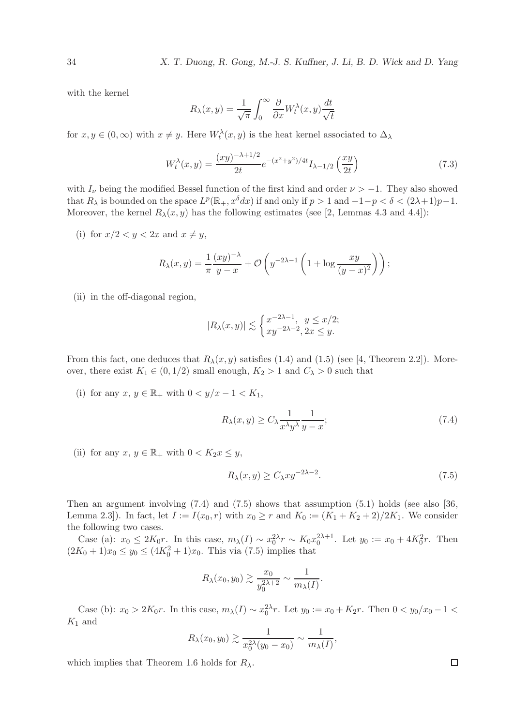with the kernel

$$
R_{\lambda}(x,y) = \frac{1}{\sqrt{\pi}} \int_0^{\infty} \frac{\partial}{\partial x} W_t^{\lambda}(x,y) \frac{dt}{\sqrt{t}}
$$

for  $x, y \in (0, \infty)$  with  $x \neq y$ . Here  $W_t^{\lambda}(x, y)$  is the heat kernel associated to  $\Delta_{\lambda}$ 

$$
W_t^{\lambda}(x,y) = \frac{(xy)^{-\lambda + 1/2}}{2t} e^{-(x^2 + y^2)/4t} I_{\lambda - 1/2} \left(\frac{xy}{2t}\right)
$$
 (7.3)

with  $I_{\nu}$  being the modified Bessel function of the first kind and order  $\nu > -1$ . They also showed that  $R_\lambda$  is bounded on the space  $L^p(\mathbb{R}_+, x^\delta dx)$  if and only if  $p > 1$  and  $-1-p < \delta < (2\lambda+1)p-1$ . Moreover, the kernel  $R_{\lambda}(x, y)$  has the following estimates (see [2, Lemmas 4.3 and 4.4]):

(i) for  $x/2 < y < 2x$  and  $x \neq y$ ,

$$
R_{\lambda}(x,y) = \frac{1}{\pi} \frac{(xy)^{-\lambda}}{y-x} + \mathcal{O}\left(y^{-2\lambda-1}\left(1 + \log \frac{xy}{(y-x)^2}\right)\right);
$$

(ii) in the off-diagonal region,

$$
|R_{\lambda}(x,y)| \lesssim \begin{cases} x^{-2\lambda - 1}, & y \leq x/2; \\ xy^{-2\lambda - 2}, & 2x \leq y. \end{cases}
$$

From this fact, one deduces that  $R_{\lambda}(x, y)$  satisfies (1.4) and (1.5) (see [4, Theorem 2.2]). Moreover, there exist  $K_1 \in (0, 1/2)$  small enough,  $K_2 > 1$  and  $C_\lambda > 0$  such that

(i) for any  $x, y \in \mathbb{R}_+$  with  $0 < y/x - 1 < K_1$ ,

$$
R_{\lambda}(x,y) \ge C_{\lambda} \frac{1}{x^{\lambda} y^{\lambda}} \frac{1}{y-x};
$$
\n(7.4)

(ii) for any  $x, y \in \mathbb{R}_+$  with  $0 < K_2 x \leq y$ ,

$$
R_{\lambda}(x,y) \ge C_{\lambda}xy^{-2\lambda - 2}.\tag{7.5}
$$

Then an argument involving (7.4) and (7.5) shows that assumption (5.1) holds (see also [36, Lemma 2.3. In fact, let  $I := I(x_0, r)$  with  $x_0 \ge r$  and  $K_0 := (K_1 + K_2 + 2)/2K_1$ . We consider the following two cases.

Case (a):  $x_0 \leq 2K_0r$ . In this case,  $m_\lambda(I) \sim x_0^{2\lambda}r \sim K_0x_0^{2\lambda+1}$ . Let  $y_0 := x_0 + 4K_0^2r$ . Then  $(2K_0 + 1)x_0 \leq y_0 \leq (4K_0^2 + 1)x_0$ . This via (7.5) implies that

$$
R_{\lambda}(x_0, y_0) \gtrsim \frac{x_0}{y_0^{2\lambda+2}} \sim \frac{1}{m_{\lambda}(I)}.
$$

Case (b):  $x_0 > 2K_0r$ . In this case,  $m_\lambda(I) \sim x_0^{2\lambda}r$ . Let  $y_0 := x_0 + K_2r$ . Then  $0 < y_0/x_0 - 1 <$  $K_1$  and

$$
R_{\lambda}(x_0, y_0) \gtrsim \frac{1}{x_0^{2\lambda}(y_0 - x_0)} \sim \frac{1}{m_{\lambda}(I)},
$$

which implies that Theorem 1.6 holds for  $R_{\lambda}$ .

 $\Box$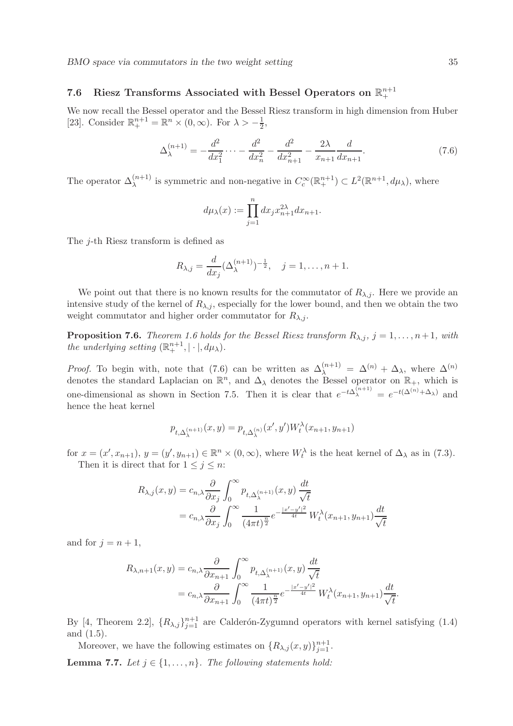# 7.6 Riesz Transforms Associated with Bessel Operators on  $\mathbb{R}^{n+1}_+$

We now recall the Bessel operator and the Bessel Riesz transform in high dimension from Huber [23]. Consider  $\mathbb{R}^{n+1}_+ = \mathbb{R}^n \times (0, \infty)$ . For  $\lambda > -\frac{1}{2}$  $\frac{1}{2}$ ,

$$
\Delta_{\lambda}^{(n+1)} = -\frac{d^2}{dx_1^2} \cdots - \frac{d^2}{dx_n^2} - \frac{d^2}{dx_{n+1}^2} - \frac{2\lambda}{x_{n+1}} \frac{d}{dx_{n+1}}.
$$
\n(7.6)

The operator  $\Delta_{\lambda}^{(n+1)}$  is symmetric and non-negative in  $C_c^{\infty}(\mathbb{R}^{n+1}_+) \subset L^2(\mathbb{R}^{n+1}, d\mu_{\lambda})$ , where

$$
d\mu_{\lambda}(x) := \prod_{j=1}^{n} dx_j x_{n+1}^{2\lambda} dx_{n+1}.
$$

The j-th Riesz transform is defined as

$$
R_{\lambda,j} = \frac{d}{dx_j} (\Delta_{\lambda}^{(n+1)})^{-\frac{1}{2}}, \quad j = 1, \dots, n+1.
$$

We point out that there is no known results for the commutator of  $R_{\lambda,i}$ . Here we provide an intensive study of the kernel of  $R_{\lambda,j}$ , especially for the lower bound, and then we obtain the two weight commutator and higher order commutator for  $R_{\lambda,i}$ .

**Proposition 7.6.** *Theorem 1.6 holds for the Bessel Riesz transform*  $R_{\lambda,j}$ ,  $j = 1, \ldots, n+1$ , with *the underlying setting*  $(\mathbb{R}^{n+1}_+, |\cdot|, d\mu_\lambda)$ *.* 

*Proof.* To begin with, note that (7.6) can be written as  $\Delta_{\lambda}^{(n+1)} = \Delta^{(n)} + \Delta_{\lambda}$ , where  $\Delta^{(n)}$ denotes the standard Laplacian on  $\mathbb{R}^n$ , and  $\Delta_\lambda$  denotes the Bessel operator on  $\mathbb{R}_+$ , which is one-dimensional as shown in Section 7.5. Then it is clear that  $e^{-t\Delta_{\lambda}^{(n+1)}} = e^{-t(\Delta^{(n)} + \Delta_{\lambda})}$  and hence the heat kernel

$$
p_{t,\Delta_\lambda^{(n+1)}}(x,y)=p_{t,\Delta_\lambda^{(n)}}(x',y')W_t^\lambda(x_{n+1},y_{n+1})
$$

for  $x = (x', x_{n+1}), y = (y', y_{n+1}) \in \mathbb{R}^n \times (0, \infty)$ , where  $W_t^{\lambda}$  is the heat kernel of  $\Delta_{\lambda}$  as in (7.3). Then it is direct that for  $1 \leq j \leq n$ :

$$
R_{\lambda,j}(x,y) = c_{n,\lambda} \frac{\partial}{\partial x_j} \int_0^\infty p_{t,\Delta_\lambda^{(n+1)}}(x,y) \frac{dt}{\sqrt{t}}
$$
  
=  $c_{n,\lambda} \frac{\partial}{\partial x_j} \int_0^\infty \frac{1}{(4\pi t)^{\frac{n}{2}}} e^{-\frac{|x'-y'|^2}{4t}} W_t^\lambda(x_{n+1}, y_{n+1}) \frac{dt}{\sqrt{t}}$ 

and for  $j = n + 1$ ,

$$
R_{\lambda,n+1}(x,y) = c_{n,\lambda} \frac{\partial}{\partial x_{n+1}} \int_0^\infty p_{t,\Delta_\lambda^{(n+1)}}(x,y) \frac{dt}{\sqrt{t}}
$$
  
=  $c_{n,\lambda} \frac{\partial}{\partial x_{n+1}} \int_0^\infty \frac{1}{(4\pi t)^{\frac{n}{2}}} e^{-\frac{|x'-y'|^2}{4t}} W_t^\lambda(x_{n+1}, y_{n+1}) \frac{dt}{\sqrt{t}}.$ 

By [4, Theorem 2.2],  $\{R_{\lambda,j}\}_{j=1}^{n+1}$  are Calderón-Zygumnd operators with kernel satisfying (1.4) and (1.5).

Moreover, we have the following estimates on  $\{R_{\lambda,j}(x,y)\}_{j=1}^{n+1}$ .

**Lemma 7.7.** *Let*  $j \in \{1, \ldots, n\}$ *. The following statements hold:*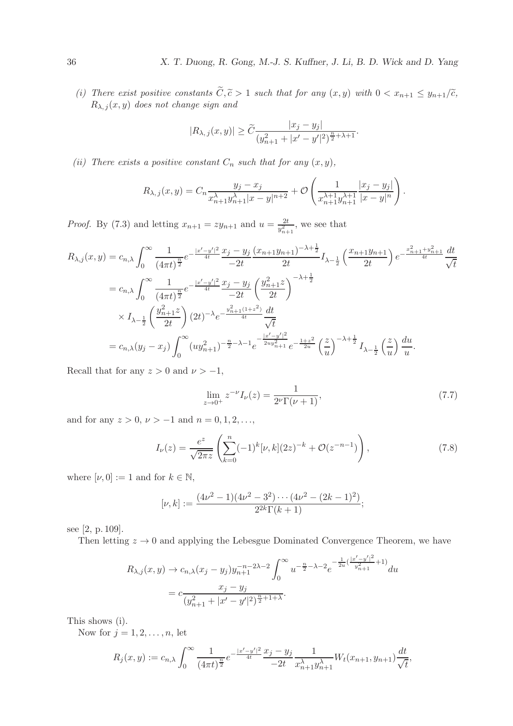*(i) There exist positive constants*  $\widetilde{C}, \widetilde{c} > 1$  *such that for any*  $(x, y)$  *with*  $0 < x_{n+1} \leq y_{n+1}/\widetilde{c}$ ,  $R_{\lambda, j}(x, y)$  does not change sign and

$$
|R_{\lambda,j}(x,y)| \geq \widetilde{C} \frac{|x_j - y_j|}{(y_{n+1}^2 + |x' - y'|^2)^{\frac{n}{2} + \lambda + 1}}.
$$

*(ii)* There exists a positive constant  $C_n$  such that for any  $(x, y)$ ,

$$
R_{\lambda,j}(x,y) = C_n \frac{y_j - x_j}{x_{n+1}^{\lambda} y_{n+1}^{\lambda} |x - y|^{n+2}} + \mathcal{O}\left(\frac{1}{x_{n+1}^{\lambda+1} y_{n+1}^{\lambda+1}} \frac{|x_j - y_j|}{|x - y|^n}\right).
$$

*Proof.* By (7.3) and letting  $x_{n+1} = zy_{n+1}$  and  $u = \frac{2t}{y_{n+1}^2}$ , we see that

$$
R_{\lambda,j}(x,y) = c_{n,\lambda} \int_0^\infty \frac{1}{(4\pi t)^{\frac{n}{2}}} e^{-\frac{|x'-y'|^2}{4t}} \frac{x_j - y_j}{-2t} \frac{(x_{n+1}y_{n+1})^{-\lambda + \frac{1}{2}}}{2t} I_{\lambda - \frac{1}{2}}\left(\frac{x_{n+1}y_{n+1}}{2t}\right) e^{-\frac{x_{n+1}^2 + y_{n+1}^2}{4t}} \frac{dt}{\sqrt{t}}
$$
  
\n
$$
= c_{n,\lambda} \int_0^\infty \frac{1}{(4\pi t)^{\frac{n}{2}}} e^{-\frac{|x'-y'|^2}{4t}} \frac{x_j - y_j}{-2t} \left(\frac{y_{n+1}^2 z}{2t}\right)^{-\lambda + \frac{1}{2}}
$$
  
\n
$$
\times I_{\lambda - \frac{1}{2}}\left(\frac{y_{n+1}^2 z}{2t}\right) (2t)^{-\lambda} e^{-\frac{y_{n+1}^2 (1+z^2)}{4t}} \frac{dt}{\sqrt{t}}
$$
  
\n
$$
= c_{n,\lambda}(y_j - x_j) \int_0^\infty (uy_{n+1}^2)^{-\frac{n}{2}-\lambda - 1} e^{-\frac{|x'-y'|^2}{2uy_{n+1}^2}} e^{-\frac{1+z^2}{2u}} \left(\frac{z}{u}\right)^{-\lambda + \frac{1}{2}} I_{\lambda - \frac{1}{2}}\left(\frac{z}{u}\right) \frac{du}{u}.
$$

Recall that for any  $z > 0$  and  $\nu > -1$ ,

$$
\lim_{z \to 0^+} z^{-\nu} I_{\nu}(z) = \frac{1}{2^{\nu} \Gamma(\nu + 1)},\tag{7.7}
$$

and for any  $z > 0$ ,  $\nu > -1$  and  $n = 0, 1, 2, \ldots$ ,

$$
I_{\nu}(z) = \frac{e^{z}}{\sqrt{2\pi z}} \left( \sum_{k=0}^{n} (-1)^{k} [\nu, k] (2z)^{-k} + \mathcal{O}(z^{-n-1}) \right), \tag{7.8}
$$

where  $[\nu, 0] := 1$  and for  $k \in \mathbb{N}$ ,

$$
[\nu, k] := \frac{(4\nu^2 - 1)(4\nu^2 - 3^2) \cdots (4\nu^2 - (2k - 1)^2)}{2^{2k}\Gamma(k + 1)};
$$

see [2, p. 109].

Then letting  $z \to 0$  and applying the Lebesgue Dominated Convergence Theorem, we have

$$
R_{\lambda,j}(x,y) \to c_{n,\lambda}(x_j - y_j)y_{n+1}^{-n-2\lambda-2} \int_0^\infty u^{-\frac{n}{2}-\lambda-2} e^{-\frac{1}{2u}(\frac{|x'-y'|^2}{y_{n+1}^2}+1)} du
$$
  
=  $c \frac{x_j - y_j}{(y_{n+1}^2 + |x'-y'|^2)^{\frac{n}{2}+1+\lambda}}.$ 

This shows (i).

Now for  $j = 1, 2, \ldots, n$ , let

$$
R_j(x,y) := c_{n,\lambda} \int_0^\infty \frac{1}{(4\pi t)^{\frac{n}{2}}} e^{-\frac{|x'-y'|^2}{4t}} \frac{x_j - y_j}{-2t} \frac{1}{x_{n+1}^\lambda y_{n+1}^\lambda} W_t(x_{n+1}, y_{n+1}) \frac{dt}{\sqrt{t}},
$$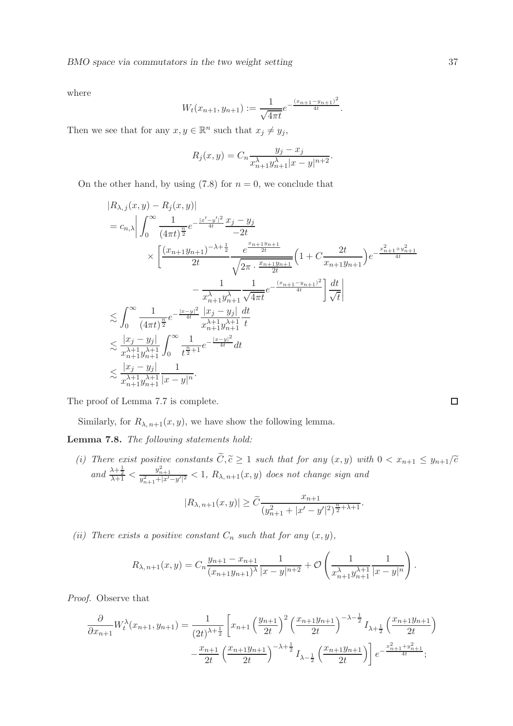where

$$
W_t(x_{n+1}, y_{n+1}) := \frac{1}{\sqrt{4\pi t}} e^{-\frac{(x_{n+1} - y_{n+1})^2}{4t}}.
$$

Then we see that for any  $x, y \in \mathbb{R}^n$  such that  $x_j \neq y_j$ ,

$$
R_j(x, y) = C_n \frac{y_j - x_j}{x_{n+1}^{\lambda} y_{n+1}^{\lambda} |x - y|^{n+2}}.
$$

On the other hand, by using  $(7.8)$  for  $n = 0$ , we conclude that

$$
|R_{\lambda,j}(x,y) - R_j(x,y)|
$$
  
\n
$$
= c_{n,\lambda} \left| \int_0^\infty \frac{1}{(4\pi t)^{\frac{n}{2}}} e^{-\frac{|x'-y'|^2}{4t}} \frac{x_j - y_j}{-2t} \times \left[ \frac{(x_{n+1}y_{n+1})^{-\lambda + \frac{1}{2}}}{2t} \frac{e^{\frac{x_{n+1}y_{n+1}}{2t}}}{\sqrt{2\pi \cdot \frac{x_{n+1}y_{n+1}}{2t}}} \left( 1 + C \frac{2t}{x_{n+1}y_{n+1}} \right) e^{-\frac{x_{n+1}^2 + y_{n+1}^2}{4t}} \right] \times \int_0^\infty \frac{1}{(4\pi t)^{\frac{n}{2}}} e^{-\frac{|x-y|^2}{4t}} \frac{|x_j - y_j|}{x_{n+1}^{\lambda + 1}} \frac{dt}{\sqrt{4\pi t}}
$$
  
\n
$$
\leq \int_0^\infty \frac{1}{(4\pi t)^{\frac{n}{2}}} e^{-\frac{|x-y|^2}{4t}} \frac{|x_j - y_j|}{x_{n+1}^{\lambda + 1}} \frac{dt}{t}
$$
  
\n
$$
\leq \frac{|x_j - y_j|}{x_{n+1}^{\lambda + 1}} \int_0^\infty \frac{1}{t^{\frac{n}{2}+1}} e^{-\frac{|x-y|^2}{4t}} dt \times \frac{|x_j - y_j|}{x_{n+1}^{\lambda + 1}} \frac{1}{|x - y|^n}.
$$

The proof of Lemma 7.7 is complete.

Similarly, for  $R_{\lambda, n+1}(x, y)$ , we have show the following lemma.

Lemma 7.8. *The following statements hold:*

*(i)* There exist positive constants  $C, \tilde{c} \ge 1$  such that for any  $(x, y)$  with  $0 < x_{n+1} \le y_{n+1}/\tilde{c}$  $and \frac{\lambda + \frac{1}{2}}{\lambda + 1} < \frac{y_{n+1}^2}{y_{n+1}^2 + |x' - y'|^2} < 1, R_{\lambda, n+1}(x, y)$  *does not change sign and* 

$$
|R_{\lambda,\,n+1}(x,y)|\geq \widetilde{C}\frac{x_{n+1}}{(y_{n+1}^2+|x'-y'|^2)^{\frac{n}{2}+\lambda+1}}.
$$

*(ii)* There exists a positive constant  $C_n$  such that for any  $(x, y)$ ,

$$
R_{\lambda,n+1}(x,y) = C_n \frac{y_{n+1} - x_{n+1}}{(x_{n+1}y_{n+1})^{\lambda}} \frac{1}{|x-y|^{n+2}} + \mathcal{O}\left(\frac{1}{x_{n+1}^{\lambda} y_{n+1}^{\lambda+1}} \frac{1}{|x-y|^n}\right).
$$

*Proof.* Observe that

$$
\frac{\partial}{\partial x_{n+1}} W_t^{\lambda}(x_{n+1}, y_{n+1}) = \frac{1}{(2t)^{\lambda + \frac{1}{2}}} \left[ x_{n+1} \left( \frac{y_{n+1}}{2t} \right)^2 \left( \frac{x_{n+1} y_{n+1}}{2t} \right)^{-\lambda - \frac{1}{2}} I_{\lambda + \frac{1}{2}} \left( \frac{x_{n+1} y_{n+1}}{2t} \right) - \frac{x_{n+1}}{2t} \left( \frac{x_{n+1} y_{n+1}}{2t} \right)^{-\lambda + \frac{1}{2}} I_{\lambda - \frac{1}{2}} \left( \frac{x_{n+1} y_{n+1}}{2t} \right) \right] e^{-\frac{x_{n+1}^2 + y_{n+1}^2}{4t}};
$$

 $\Box$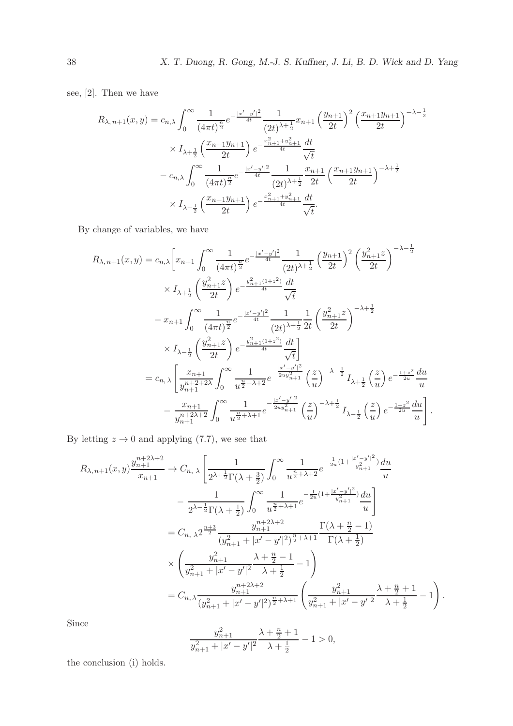see, [2]. Then we have

$$
R_{\lambda,n+1}(x,y) = c_{n,\lambda} \int_0^\infty \frac{1}{(4\pi t)^{\frac{n}{2}}} e^{-\frac{|x'-y'|^2}{4t}} \frac{1}{(2t)^{\lambda+\frac{1}{2}}} x_{n+1} \left(\frac{y_{n+1}}{2t}\right)^2 \left(\frac{x_{n+1}y_{n+1}}{2t}\right)^{-\lambda-\frac{1}{2}}
$$

$$
\times I_{\lambda+\frac{1}{2}} \left(\frac{x_{n+1}y_{n+1}}{2t}\right) e^{-\frac{x_{n+1}^2+y_{n+1}^2}{4t}} \frac{dt}{\sqrt{t}}
$$

$$
-c_{n,\lambda} \int_0^\infty \frac{1}{(4\pi t)^{\frac{n}{2}}} e^{-\frac{|x'-y'|^2}{4t}} \frac{1}{(2t)^{\lambda+\frac{1}{2}}} \frac{x_{n+1}}{2t} \left(\frac{x_{n+1}y_{n+1}}{2t}\right)^{-\lambda+\frac{1}{2}}
$$

$$
\times I_{\lambda-\frac{1}{2}} \left(\frac{x_{n+1}y_{n+1}}{2t}\right) e^{-\frac{x_{n+1}^2+y_{n+1}^2}{4t}} \frac{dt}{\sqrt{t}}.
$$

By change of variables, we have

$$
R_{\lambda,n+1}(x,y) = c_{n,\lambda} \left[ x_{n+1} \int_0^\infty \frac{1}{(4\pi t)^{\frac{n}{2}}} e^{-\frac{|x'-y'|^2}{4t}} \frac{1}{(2t)^{\lambda+\frac{1}{2}}} \left( \frac{y_{n+1}^2}{2t} \right)^2 \left( \frac{y_{n+1}^2 z}{2t} \right)^{-\lambda-\frac{1}{2}}
$$
  

$$
\times I_{\lambda+\frac{1}{2}} \left( \frac{y_{n+1}^2 z}{2t} \right) e^{-\frac{y_{n+1}^2 (1+z^2)}{4t}} \frac{dt}{\sqrt{t}}
$$
  

$$
-x_{n+1} \int_0^\infty \frac{1}{(4\pi t)^{\frac{n}{2}}} e^{-\frac{|x'-y'|^2}{4t}} \frac{1}{(2t)^{\lambda+\frac{1}{2}}} \frac{1}{2t} \left( \frac{y_{n+1}^2 z}{2t} \right)^{-\lambda+\frac{1}{2}}
$$
  

$$
\times I_{\lambda-\frac{1}{2}} \left( \frac{y_{n+1}^2 z}{2t} \right) e^{-\frac{y_{n+1}^2 (1+z^2)}{4t}} \frac{dt}{\sqrt{t}}
$$
  

$$
= c_{n,\lambda} \left[ \frac{x_{n+1}}{y_{n+1}^{n+2+\lambda}} \int_0^\infty \frac{1}{u^{\frac{n}{2}+\lambda+2}} e^{-\frac{|x'-y'|^2}{2uy_{n+1}^2}} \left( \frac{z}{u} \right)^{-\lambda-\frac{1}{2}} I_{\lambda+\frac{1}{2}} \left( \frac{z}{u} \right) e^{-\frac{1+z^2}{2u}} \frac{du}{u}
$$
  

$$
- \frac{x_{n+1}}{y_{n+1}^{n+2\lambda+2}} \int_0^\infty \frac{1}{u^{\frac{n}{2}+\lambda+1}} e^{-\frac{|x'-y'|^2}{2uy_{n+1}^2}} \left( \frac{z}{u} \right)^{-\lambda+\frac{1}{2}} I_{\lambda-\frac{1}{2}} \left( \frac{z}{u} \right) e^{-\frac{1+z^2}{2u}} \frac{du}{u} \right].
$$

By letting  $z \to 0$  and applying (7.7), we see that

$$
R_{\lambda,n+1}(x,y) \frac{y_{n+1}^{n+2\lambda+2}}{x_{n+1}} \to C_{n,\lambda} \left[ \frac{1}{2^{\lambda+\frac{1}{2}}\Gamma(\lambda+\frac{3}{2})} \int_0^\infty \frac{1}{u^{\frac{n}{2}+\lambda+2}} e^{-\frac{1}{2u}(1+\frac{|x'-y'|^2}{y_{n+1}^2})} \frac{du}{u} \right]
$$
  

$$
- \frac{1}{2^{\lambda-\frac{1}{2}}\Gamma(\lambda+\frac{1}{2})} \int_0^\infty \frac{1}{u^{\frac{n}{2}+\lambda+1}} e^{-\frac{1}{2u}(1+\frac{|x'-y'|^2}{y_{n+1}^2})} \frac{du}{u} \right]
$$
  

$$
= C_{n,\lambda} 2^{\frac{n+3}{2}} \frac{y_{n+1}^{n+2\lambda+2}}{(y_{n+1}^2+|x'-y'|^2)^{\frac{n}{2}+\lambda+1}} \frac{\Gamma(\lambda+\frac{n}{2}-1)}{\Gamma(\lambda+\frac{1}{2})}
$$
  

$$
\times \left( \frac{y_{n+1}^2}{y_{n+1}^2+|x'-y'|^2} \frac{\lambda+\frac{n}{2}-1}{\lambda+\frac{1}{2}} - 1 \right)
$$
  

$$
= C_{n,\lambda} \frac{y_{n+1}^{n+2\lambda+2}}{(y_{n+1}^2+|x'-y'|^2)^{\frac{n}{2}+\lambda+1}} \left( \frac{y_{n+1}^2}{y_{n+1}^2+|x'-y'|^2} \frac{\lambda+\frac{n}{2}+1}{\lambda+\frac{1}{2}} - 1 \right).
$$

Since

$$
\frac{y_{n+1}^2}{y_{n+1}^2+|x'-y'|^2} \frac{\lambda+\frac{n}{2}+1}{\lambda+\frac{1}{2}}-1 > 0,
$$

the conclusion (i) holds.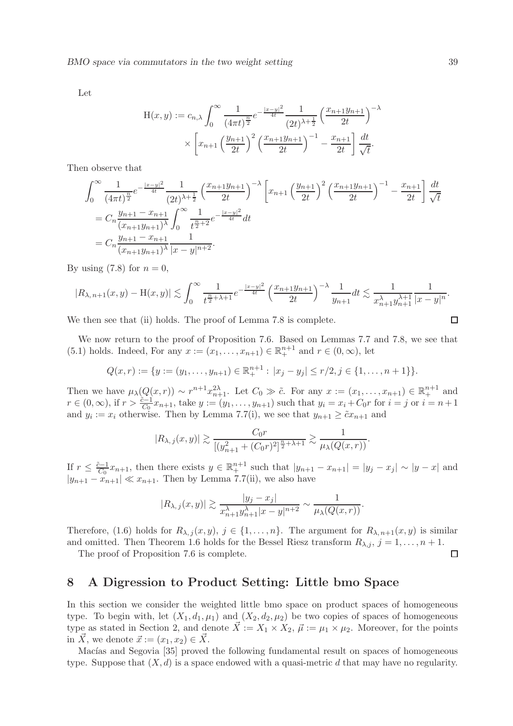Let

$$
H(x,y) := c_{n,\lambda} \int_0^{\infty} \frac{1}{(4\pi t)^{\frac{n}{2}}} e^{-\frac{|x-y|^2}{4t}} \frac{1}{(2t)^{\lambda + \frac{1}{2}}} \left(\frac{x_{n+1}y_{n+1}}{2t}\right)^{-\lambda}
$$

$$
\times \left[x_{n+1} \left(\frac{y_{n+1}}{2t}\right)^2 \left(\frac{x_{n+1}y_{n+1}}{2t}\right)^{-1} - \frac{x_{n+1}}{2t}\right] \frac{dt}{\sqrt{t}}.
$$

Then observe that

$$
\int_0^\infty \frac{1}{(4\pi t)^{\frac{n}{2}}} e^{-\frac{|x-y|^2}{4t}} \frac{1}{(2t)^{\lambda+\frac{1}{2}}} \left(\frac{x_{n+1}y_{n+1}}{2t}\right)^{-\lambda} \left[x_{n+1}\left(\frac{y_{n+1}}{2t}\right)^2 \left(\frac{x_{n+1}y_{n+1}}{2t}\right)^{-1} - \frac{x_{n+1}}{2t}\right] \frac{dt}{\sqrt{t}}
$$
  
=  $C_n \frac{y_{n+1} - x_{n+1}}{(x_{n+1}y_{n+1})^{\lambda}} \int_0^\infty \frac{1}{t^{\frac{n}{2}+2}} e^{-\frac{|x-y|^2}{4t}} dt$   
=  $C_n \frac{y_{n+1} - x_{n+1}}{(x_{n+1}y_{n+1})^{\lambda}} \frac{1}{|x-y|^{n+2}}.$ 

By using  $(7.8)$  for  $n = 0$ ,

$$
|R_{\lambda,n+1}(x,y)-H(x,y)| \lesssim \int_0^\infty \frac{1}{t^{\frac{n}{2}+\lambda+1}} e^{-\frac{|x-y|^2}{4t}} \left(\frac{x_{n+1}y_{n+1}}{2t}\right)^{-\lambda} \frac{1}{y_{n+1}} dt \lesssim \frac{1}{x_{n+1}^{\lambda}y_{n+1}^{\lambda+1}} \frac{1}{|x-y|^n}.
$$

We then see that (ii) holds. The proof of Lemma 7.8 is complete.

We now return to the proof of Proposition 7.6. Based on Lemmas 7.7 and 7.8, we see that (5.1) holds. Indeed, For any  $x := (x_1, ..., x_{n+1}) \in \mathbb{R}^{n+1}_+$  and  $r \in (0, \infty)$ , let

$$
Q(x,r) := \{y := (y_1,\ldots,y_{n+1}) \in \mathbb{R}^{n+1}_+ : |x_j - y_j| \le r/2, j \in \{1,\ldots,n+1\}\}.
$$

Then we have  $\mu_{\lambda}(Q(x,r)) \sim r^{n+1}x_{n+1}^{2\lambda}$ . Let  $C_0 \gg \tilde{c}$ . For any  $x := (x_1, \ldots, x_{n+1}) \in \mathbb{R}^{n+1}_+$  and  $r \in (0, \infty)$ , if  $r > \frac{\tilde{c}-1}{C_0}x_{n+1}$ , take  $y := (y_1, \ldots, y_{n+1})$  such that  $y_i = x_i + C_0r$  for  $i = j$  or  $i = n+1$ and  $y_i := x_i$  otherwise. Then by Lemma 7.7(i), we see that  $y_{n+1} \geq \tilde{c}x_{n+1}$  and

$$
|R_{\lambda,j}(x,y)| \gtrsim \frac{C_0 r}{[(y_{n+1}^2 + (C_0 r)^2]^{\frac{n}{2} + \lambda + 1}} \gtrsim \frac{1}{\mu_{\lambda}(Q(x,r))}.
$$

If  $r \leq \frac{\tilde{c}-1}{C_0}x_{n+1}$ , then there exists  $y \in \mathbb{R}^{n+1}$  such that  $|y_{n+1} - x_{n+1}| = |y_j - x_j| \sim |y - x|$  and  $|y_{n+1} - x_{n+1}| \ll x_{n+1}$ . Then by Lemma 7.7(ii), we also have

$$
|R_{\lambda,j}(x,y)| \gtrsim \frac{|y_j - x_j|}{x_{n+1}^{\lambda} y_{n+1}^{\lambda} |x - y|^{n+2}} \sim \frac{1}{\mu_{\lambda}(Q(x,r))}.
$$

Therefore, (1.6) holds for  $R_{\lambda,j}(x,y), j \in \{1,\ldots,n\}$ . The argument for  $R_{\lambda,n+1}(x,y)$  is similar and omitted. Then Theorem 1.6 holds for the Bessel Riesz transform  $R_{\lambda,j}$ ,  $j = 1, \ldots, n + 1$ .

The proof of Proposition 7.6 is complete.

# 8 A Digression to Product Setting: Little bmo Space

In this section we consider the weighted little bmo space on product spaces of homogeneous type. To begin with, let  $(X_1, d_1, \mu_1)$  and  $(X_2, d_2, \mu_2)$  be two copies of spaces of homogeneous type as stated in Section 2, and denote  $\vec{X} := X_1 \times X_2, \vec{\mu} := \mu_1 \times \mu_2$ . Moreover, for the points in  $\vec{X}$ , we denote  $\vec{x} := (x_1, x_2) \in \vec{X}$ .

Macías and Segovia [35] proved the following fundamental result on spaces of homogeneous type. Suppose that  $(X, d)$  is a space endowed with a quasi-metric d that may have no regularity.

$$
\qquad \qquad \Box
$$

 $\Box$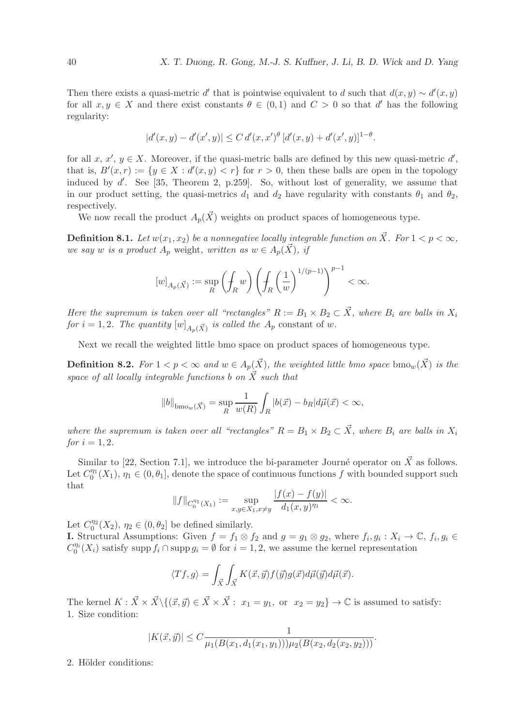Then there exists a quasi-metric d' that is pointwise equivalent to d such that  $d(x, y) \sim d'(x, y)$ for all  $x, y \in X$  and there exist constants  $\theta \in (0,1)$  and  $C > 0$  so that d' has the following regularity:

$$
|d'(x,y) - d'(x',y)| \le C d'(x,x')^{\theta} [d'(x,y) + d'(x',y)]^{1-\theta}.
$$

for all  $x, x', y \in X$ . Moreover, if the quasi-metric balls are defined by this new quasi-metric  $d'$ , that is,  $B'(x,r) := \{y \in X : d'(x,y) < r\}$  for  $r > 0$ , then these balls are open in the topology induced by d'. See [35, Theorem 2, p.259]. So, without lost of generality, we assume that in our product setting, the quasi-metrics  $d_1$  and  $d_2$  have regularity with constants  $\theta_1$  and  $\theta_2$ , respectively.

We now recall the product  $A_n(\vec{X})$  weights on product spaces of homogeneous type.

**Definition 8.1.** Let  $w(x_1, x_2)$  be a nonnegative locally integrable function on  $\vec{X}$ . For  $1 < p < \infty$ , *we say w is a product*  $A_p$  weight, *written as*  $w \in A_p(\vec{X})$ *, if* 

$$
[w]_{A_p(\vec{X})} := \sup_R \left( \oint_R w \right) \left( \oint_R \left( \frac{1}{w} \right)^{1/(p-1)} \right)^{p-1} < \infty.
$$

*Here the supremum is taken over all "rectangles"*  $R := B_1 \times B_2 \subset \overrightarrow{X}$ , where  $B_i$  are balls in  $X_i$ *for*  $i = 1, 2$ *. The quantity*  $[w]_{A_p(\vec{X})}$  *is called the*  $A_p$  constant of w.

Next we recall the weighted little bmo space on product spaces of homogeneous type.

**Definition 8.2.** *For*  $1 < p < \infty$  *and*  $w \in A_p(\vec{X})$ *, the weighted little bmo space*  $bmo_w(\vec{X})$  *is the space of all locally integrable functions* b on  $\vec{X}$  *such that* 

$$
||b||_{\text{bmo}_w(\vec{X})} = \sup_R \frac{1}{w(R)} \int_R |b(\vec{x}) - b_R| d\vec{\mu}(\vec{x}) < \infty,
$$

*where the supremum is taken over all "rectangles"*  $R = B_1 \times B_2 \subset \overrightarrow{X}$ , where  $B_i$  are balls in  $X_i$ *for*  $i = 1, 2$ *.* 

Similar to [22, Section 7.1], we introduce the bi-parameter Journé operator on  $\vec{X}$  as follows. Let  $C_0^{\eta_1}(X_1)$ ,  $\eta_1 \in (0, \theta_1]$ , denote the space of continuous functions f with bounded support such that

$$
||f||_{C_0^{\eta_1}(X_1)} := \sup_{x,y \in X_1, x \neq y} \frac{|f(x) - f(y)|}{d_1(x,y)^{\eta_1}} < \infty.
$$

Let  $C_0^{\eta_2}(X_2)$ ,  $\eta_2 \in (0, \theta_2]$  be defined similarly.

**I.** Structural Assumptions: Given  $f = f_1 \otimes f_2$  and  $g = g_1 \otimes g_2$ , where  $f_i, g_i : X_i \to \mathbb{C}, f_i, g_i \in \mathbb{C}$  $C_0^{n_i}(X_i)$  satisfy supp  $f_i \cap \text{supp } g_i = \emptyset$  for  $i = 1, 2$ , we assume the kernel representation

$$
\langle Tf, g \rangle = \int_{\vec{X}} \int_{\vec{X}} K(\vec{x}, \vec{y}) f(\vec{y}) g(\vec{x}) d\vec{\mu}(\vec{y}) d\vec{\mu}(\vec{x}).
$$

The kernel  $K : \vec{X} \times \vec{X} \setminus \{(\vec{x}, \vec{y}) \in \vec{X} \times \vec{X} : x_1 = y_1, \text{ or } x_2 = y_2\} \rightarrow \mathbb{C}$  is assumed to satisfy: 1. Size condition:

$$
|K(\vec{x}, \vec{y})| \le C \frac{1}{\mu_1(B(x_1, d_1(x_1, y_1)))\mu_2(B(x_2, d_2(x_2, y_2)))}.
$$

2. Hölder conditions: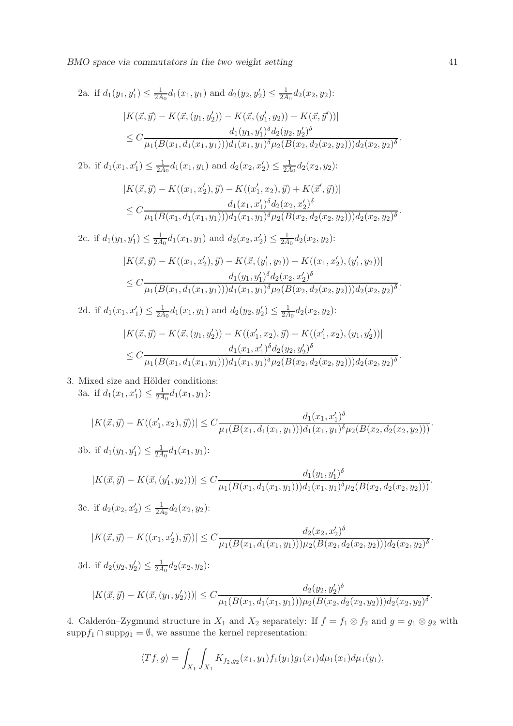BMO space via commutators in the two weight setting 41

2a. if 
$$
d_1(y_1, y'_1) \leq \frac{1}{2A_0}d_1(x_1, y_1)
$$
 and  $d_2(y_2, y'_2) \leq \frac{1}{2A_0}d_2(x_2, y_2)$ :  
\n
$$
|K(\vec{x}, \vec{y}) - K(\vec{x}, (y_1, y'_2)) - K(\vec{x}, (y'_1, y_2)) + K(\vec{x}, \vec{y}'))|
$$
\n
$$
\leq C \frac{d_1(y_1, y'_1)^{\delta}d_2(y_2, y'_2)^{\delta}}{\mu_1(B(x_1, d_1(x_1, y_1)))d_1(x_1, y_1)^{\delta} \mu_2(B(x_2, d_2(x_2, y_2)))d_2(x_2, y_2)^{\delta}}.
$$
\n2b. if  $d_1(x_1, x'_1) \leq \frac{1}{2A_0}d_1(x_1, y_1)$  and  $d_2(x_2, x'_2) \leq \frac{1}{2A_0}d_2(x_2, y_2)$ :  
\n
$$
|K(\vec{x}, \vec{y}) - K((x_1, x'_2), \vec{y}) - K((x'_1, x_2), \vec{y}) + K(\vec{x}', \vec{y}))|
$$
\n
$$
\leq C \frac{d_1(x_1, x'_1)^{\delta}d_2(x_2, x'_2)^{\delta}}{\mu_1(B(x_1, d_1(x_1, y_1)))d_1(x_1, y_1)^{\delta} \mu_2(B(x_2, d_2(x_2, y_2)))d_2(x_2, y_2)^{\delta}}.
$$
\n2c. if  $d_1(y_1, y'_1) \leq \frac{1}{2A_0}d_1(x_1, y_1)$  and  $d_2(x_2, x'_2) \leq \frac{1}{2A_0}d_2(x_2, y_2)$ :  
\n
$$
|K(\vec{x}, \vec{y}) - K((x_1, x'_2), \vec{y}) - K(\vec{x}, (y'_1, y_2)) + K((x_1, x'_2), (y'_1, y_2))|
$$
\n
$$
\leq C \frac{d_1(y_1, y'_1)^{\delta}d_2(x_2, x'_2)^{\delta}}{\mu_1(B(x_1, d_1(x_1, y_1)))d_1(x_1, y_1)^{\delta} \mu_2
$$

3. Mixed size and Hölder conditions: 3a. if  $d_1(x_1, x_1') \leq \frac{1}{2A}$  $\frac{1}{2A_0}d_1(x_1,y_1)$ :

$$
|K(\vec{x}, \vec{y}) - K((x'_1, x_2), \vec{y}))| \leq C \frac{d_1(x_1, x'_1)^{\delta}}{\mu_1(B(x_1, d_1(x_1, y_1))) d_1(x_1, y_1)^{\delta} \mu_2(B(x_2, d_2(x_2, y_2)))}.
$$

3b. if 
$$
d_1(y_1, y'_1) \leq \frac{1}{2A_0}d_1(x_1, y_1)
$$
:

$$
|K(\vec{x}, \vec{y}) - K(\vec{x}, (y'_1, y_2)))| \leq C \frac{d_1(y_1, y'_1)^{\delta}}{\mu_1(B(x_1, d_1(x_1, y_1))) d_1(x_1, y_1)^{\delta} \mu_2(B(x_2, d_2(x_2, y_2)))}.
$$

3c. if  $d_2(x_2, x'_2) \leq \frac{1}{2A}$  $\frac{1}{2A_0}d_2(x_2,y_2)$ :

$$
|K(\vec{x}, \vec{y}) - K((x_1, x_2'), \vec{y}))| \le C \frac{d_2(x_2, x_2')^{\delta}}{\mu_1(B(x_1, d_1(x_1, y_1)))\mu_2(B(x_2, d_2(x_2, y_2)))d_2(x_2, y_2)^{\delta}}
$$

3d. if  $d_2(y_2, y_2') \leq \frac{1}{2A}$  $\frac{1}{2A_0}d_2(x_2,y_2)$ :

$$
|K(\vec{x}, \vec{y}) - K(\vec{x}, (y_1, y_2'))| \leq C \frac{d_2(y_2, y_2')^{\delta}}{\mu_1(B(x_1, d_1(x_1, y_1)))\mu_2(B(x_2, d_2(x_2, y_2)))d_2(x_2, y_2)^{\delta}}.
$$

4. Calderón–Zygmund structure in  $X_1$  and  $X_2$  separately: If  $f = f_1 \otimes f_2$  and  $g = g_1 \otimes g_2$  with supp $f_1 \cap \text{supp} g_1 = \emptyset$ , we assume the kernel representation:

$$
\langle Tf, g \rangle = \int_{X_1} \int_{X_1} K_{f_2, g_2}(x_1, y_1) f_1(y_1) g_1(x_1) d\mu_1(x_1) d\mu_1(y_1),
$$

.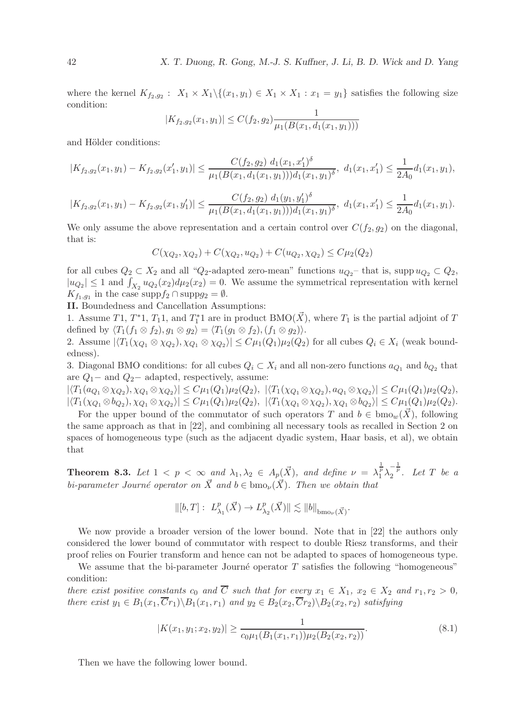where the kernel  $K_{f_2,g_2}$ :  $X_1 \times X_1 \setminus \{(x_1,y_1) \in X_1 \times X_1 : x_1 = y_1\}$  satisfies the following size condition:

$$
|K_{f_2,g_2}(x_1,y_1)| \le C(f_2,g_2) \frac{1}{\mu_1(B(x_1,d_1(x_1,y_1)))}
$$

and Hölder conditions:

$$
|K_{f_2,g_2}(x_1,y_1)-K_{f_2,g_2}(x'_1,y_1)| \leq \frac{C(f_2,g_2) d_1(x_1,x'_1)^{\delta}}{\mu_1(B(x_1,d_1(x_1,y_1)))d_1(x_1,y_1)^{\delta}}, d_1(x_1,x'_1) \leq \frac{1}{2A_0}d_1(x_1,y_1),
$$

$$
|K_{f_2,g_2}(x_1,y_1)-K_{f_2,g_2}(x_1,y_1')|\leq \frac{C(f_2,g_2) d_1(y_1,y_1')^{\delta}}{\mu_1(B(x_1,d_1(x_1,y_1)))d_1(x_1,y_1)^{\delta}}, d_1(x_1,x_1')\leq \frac{1}{2A_0}d_1(x_1,y_1).
$$

We only assume the above representation and a certain control over  $C(f_2, g_2)$  on the diagonal, that is:

$$
C(\chi_{Q_2}, \chi_{Q_2}) + C(\chi_{Q_2}, u_{Q_2}) + C(u_{Q_2}, \chi_{Q_2}) \le C\mu_2(Q_2)
$$

for all cubes  $Q_2 \subset X_2$  and all " $Q_2$ -adapted zero-mean" functions  $u_{Q_2}$  that is, supp  $u_{Q_2} \subset Q_2$ ,  $|u_{Q_2}| \leq 1$  and  $\int_{X_2} u_{Q_2}(x_2) d\mu_2(x_2) = 0$ . We assume the symmetrical representation with kernel  $K_{f_1,g_1}$  in the case supp $f_2 \cap \text{supp} g_2 = \emptyset$ .

II. Boundedness and Cancellation Assumptions:

1. Assume T1,  $T^*$ 1,  $T_1$ 1, and  $T_1^*$ 1 are in product BMO( $\vec{X}$ ), where  $T_1$  is the partial adjoint of T defined by  $\langle T_1(f_1 \otimes f_2), g_1 \otimes g_2 \rangle = \langle T_1(g_1 \otimes f_2), (f_1 \otimes g_2) \rangle.$ 

2. Assume  $|\langle T_1(\chi_{Q_1} \otimes \chi_{Q_2}), \chi_{Q_1} \otimes \chi_{Q_2}\rangle| \le C\mu_1(Q_1)\mu_2(Q_2)$  for all cubes  $Q_i \in X_i$  (weak boundedness).

3. Diagonal BMO conditions: for all cubes  $Q_i \subset X_i$  and all non-zero functions  $a_{Q_1}$  and  $b_{Q_2}$  that are  $Q_1$  – and  $Q_2$  – adapted, respectively, assume:

 $|\langle T_1(a_{Q_1} \otimes \chi_{Q_2}), \chi_{Q_1} \otimes \chi_{Q_2} \rangle| \le C\mu_1(Q_1)\mu_2(Q_2), \ |\langle T_1(\chi_{Q_1} \otimes \chi_{Q_2}), a_{Q_1} \otimes \chi_{Q_2} \rangle| \le C\mu_1(Q_1)\mu_2(Q_2),$  $|\langle T_1(\chi_{Q_1} \otimes b_{Q_2}), \chi_{Q_1} \otimes \chi_{Q_2} \rangle| \le C \mu_1(Q_1) \mu_2(Q_2), \ |\langle T_1(\chi_{Q_1} \otimes \chi_{Q_2}), \chi_{Q_1} \otimes b_{Q_2} \rangle| \le C \mu_1(Q_1) \mu_2(Q_2).$ 

For the upper bound of the commutator of such operators T and  $b \in \text{bmo}_w(\vec{X})$ , following the same approach as that in [22], and combining all necessary tools as recalled in Section 2 on spaces of homogeneous type (such as the adjacent dyadic system, Haar basis, et al), we obtain that

**Theorem 8.3.** Let  $1 < p < \infty$  and  $\lambda_1, \lambda_2 \in A_p(\vec{X})$ , and define  $\nu = \lambda_1^{\frac{1}{p}} \lambda_2^{-\frac{1}{p}}$ . Let T be a *bi-parameter Journé operator on*  $\vec{X}$  *and*  $b \in bmo_{\nu}(\vec{X})$ *. Then we obtain that* 

$$
\|[b,T]:\ L^p_{\lambda_1}(\vec{X})\to L^p_{\lambda_2}(\vec{X})\|\lesssim \|b\|_{{\rm bmo}_\nu(\vec{X})}.
$$

We now provide a broader version of the lower bound. Note that in [22] the authors only considered the lower bound of commutator with respect to double Riesz transforms, and their proof relies on Fourier transform and hence can not be adapted to spaces of homogeneous type.

We assume that the bi-parameter Journé operator  $T$  satisfies the following "homogeneous" condition:

*there exist positive constants*  $c_0$  *and*  $\overline{C}$  *such that for every*  $x_1 \in X_1$ ,  $x_2 \in X_2$  *and*  $r_1, r_2 > 0$ , *there exist*  $y_1 \in B_1(x_1, \overline{C}r_1) \backslash B_1(x_1, r_1)$  *and*  $y_2 \in B_2(x_2, \overline{C}r_2) \backslash B_2(x_2, r_2)$  *satisfying* 

$$
|K(x_1, y_1; x_2, y_2)| \ge \frac{1}{c_0 \mu_1(B_1(x_1, r_1)) \mu_2(B_2(x_2, r_2))}.
$$
\n(8.1)

Then we have the following lower bound.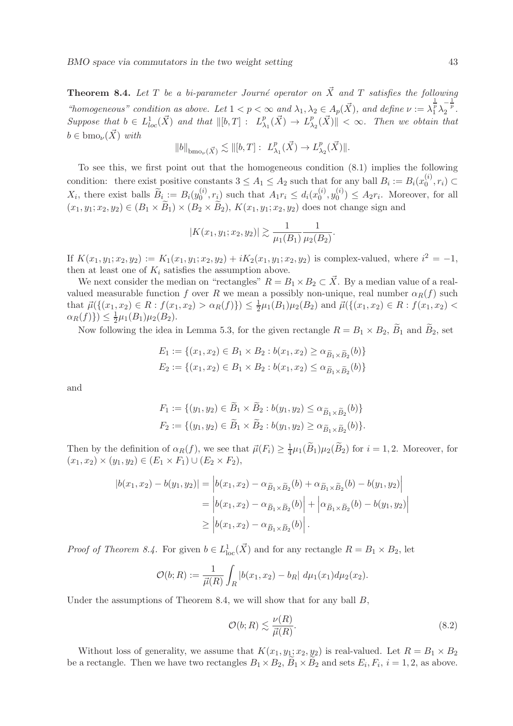**Theorem 8.4.** Let T be a bi-parameter Journé operator on  $\vec{X}$  and T satisfies the following "homogeneous" condition as above. Let  $1 < p < \infty$  and  $\lambda_1, \lambda_2 \in A_p(\vec{X})$ , and define  $\nu := \lambda_1^{\frac{1}{p}} \lambda_2^{-\frac{1}{p}}$ . *Suppose that*  $b \in L^{1}_{loc}(\vec{X})$  *and that*  $\Vert [b, T] : L^{p}_{\lambda}$  $_{\lambda_1}^p(\vec{X}) \to L^p_{\lambda}$  $\frac{p}{\lambda_2}(\vec{X})$   $\parallel$  <  $\infty$ *. Then we obtain that*  $b \in \text{bmo}_{\nu}(\vec{X})$  *with* 

$$
||b||_{\mathrm{bmo}_{\nu}(\vec{X})} \lesssim ||[b,T]: L^p_{\lambda_1}(\vec{X}) \to L^p_{\lambda_2}(\vec{X})||.
$$

To see this, we first point out that the homogeneous condition (8.1) implies the following condition: there exist positive constants  $3 \le A_1 \le A_2$  such that for any ball  $B_i := B_i(x_0^{(i)})$  $\binom{v}{0}, r_i \subset$  $X_i$ , there exist balls  $\widetilde{B}_i := B_i(y_0^{(i)})$  $\binom{i}{0}, r_i$  such that  $A_1 r_i \leq d_i(x_0^{(i)})$  $_0^{(i)}, y_0^{(i)}$  $\binom{0}{0}$   $\leq A_2 r_i$ . Moreover, for all  $(x_1, y_1; x_2, y_2) \in (B_1 \times B_1) \times (B_2 \times B_2), K(x_1, y_1; x_2, y_2)$  does not change sign and

$$
|K(x_1, y_1; x_2, y_2)| \gtrsim \frac{1}{\mu_1(B_1)} \frac{1}{\mu_2(B_2)}.
$$

If  $K(x_1, y_1; x_2, y_2) := K_1(x_1, y_1; x_2, y_2) + iK_2(x_1, y_1; x_2, y_2)$  is complex-valued, where  $i^2 = -1$ , then at least one of  $K_i$  satisfies the assumption above.

We next consider the median on "rectangles"  $R = B_1 \times B_2 \subset \overrightarrow{X}$ . By a median value of a realvalued measurable function f over R we mean a possibly non-unique, real number  $\alpha_R(f)$  such that  $\vec{\mu}(\{(x_1, x_2) \in R : f(x_1, x_2) > \alpha_R(f)\}) \leq \frac{1}{2}\mu_1(B_1)\mu_2(B_2)$  and  $\vec{\mu}(\{(x_1, x_2) \in R : f(x_1, x_2) <$  $\alpha_R(f) \}$ )  $\leq \frac{1}{2}\mu_1(B_1)\mu_2(B_2)$ .

Now following the idea in Lemma 5.3, for the given rectangle  $R = B_1 \times B_2$ ,  $\widetilde{B}_1$  and  $\widetilde{B}_2$ , set

$$
E_1 := \{(x_1, x_2) \in B_1 \times B_2 : b(x_1, x_2) \ge \alpha_{\widetilde{B}_1 \times \widetilde{B}_2}(b)\}
$$
  

$$
E_2 := \{(x_1, x_2) \in B_1 \times B_2 : b(x_1, x_2) \le \alpha_{\widetilde{B}_1 \times \widetilde{B}_2}(b)\}
$$

and

$$
F_1 := \{ (y_1, y_2) \in \widetilde{B}_1 \times \widetilde{B}_2 : b(y_1, y_2) \le \alpha_{\widetilde{B}_1 \times \widetilde{B}_2}(b) \}
$$
  

$$
F_2 := \{ (y_1, y_2) \in \widetilde{B}_1 \times \widetilde{B}_2 : b(y_1, y_2) \ge \alpha_{\widetilde{B}_1 \times \widetilde{B}_2}(b) \}.
$$

Then by the definition of  $\alpha_R(f)$ , we see that  $\vec{\mu}(F_i) \geq \frac{1}{4}$  $\frac{1}{4}\mu_1(B_1)\mu_2(B_2)$  for  $i=1,2$ . Moreover, for  $(x_1, x_2) \times (y_1, y_2) \in (E_1 \times F_1) \cup (E_2 \times F_2),$ 

$$
|b(x_1, x_2) - b(y_1, y_2)| = |b(x_1, x_2) - \alpha_{\widetilde{B}_1 \times \widetilde{B}_2}(b) + \alpha_{\widetilde{B}_1 \times \widetilde{B}_2}(b) - b(y_1, y_2)|
$$
  
= 
$$
|b(x_1, x_2) - \alpha_{\widetilde{B}_1 \times \widetilde{B}_2}(b)| + |\alpha_{\widetilde{B}_1 \times \widetilde{B}_2}(b) - b(y_1, y_2)|
$$
  

$$
\ge |b(x_1, x_2) - \alpha_{\widetilde{B}_1 \times \widetilde{B}_2}(b)|.
$$

*Proof of Theorem 8.4.* For given  $b \in L^1_{loc}(\mathbf{X})$  and for any rectangle  $R = B_1 \times B_2$ , let

$$
\mathcal{O}(b;R) := \frac{1}{\vec{\mu}(R)} \int_R |b(x_1, x_2) - b_R| \ d\mu_1(x_1) d\mu_2(x_2).
$$

Under the assumptions of Theorem 8.4, we will show that for any ball  $B$ ,

$$
\mathcal{O}(b;R) \lesssim \frac{\nu(R)}{\vec{\mu}(R)}.\tag{8.2}
$$

Without loss of generality, we assume that  $K(x_1, y_1; x_2, y_2)$  is real-valued. Let  $R = B_1 \times B_2$ be a rectangle. Then we have two rectangles  $B_1 \times B_2$ ,  $B_1 \times B_2$  and sets  $E_i$ ,  $F_i$ ,  $i = 1, 2$ , as above.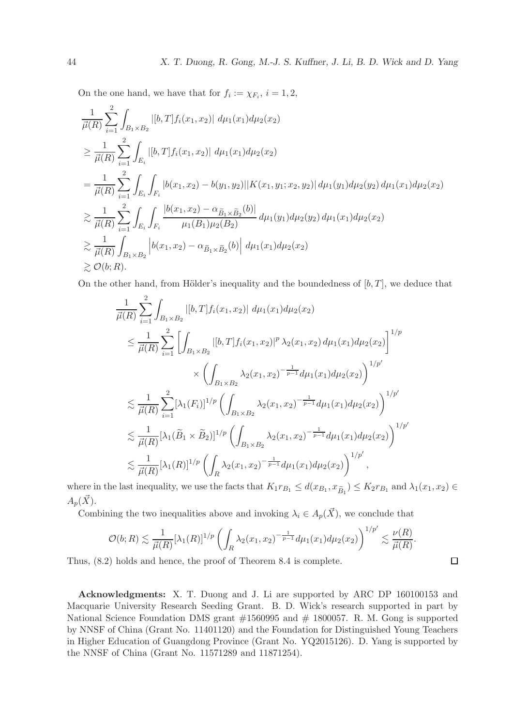On the one hand, we have that for  $f_i := \chi_{F_i}, i = 1, 2$ ,

$$
\frac{1}{\mu(R)} \sum_{i=1}^{2} \int_{B_1 \times B_2} |[b, T] f_i(x_1, x_2)| d\mu_1(x_1) d\mu_2(x_2)
$$
\n
$$
\geq \frac{1}{\mu(R)} \sum_{i=1}^{2} \int_{E_i} |[b, T] f_i(x_1, x_2)| d\mu_1(x_1) d\mu_2(x_2)
$$
\n
$$
= \frac{1}{\mu(R)} \sum_{i=1}^{2} \int_{E_i} \int_{F_i} |b(x_1, x_2) - b(y_1, y_2)| |K(x_1, y_1; x_2, y_2)| d\mu_1(y_1) d\mu_2(y_2) d\mu_1(x_1) d\mu_2(x_2)
$$
\n
$$
\geq \frac{1}{\mu(R)} \sum_{i=1}^{2} \int_{E_i} \int_{F_i} \frac{|b(x_1, x_2) - \alpha_{\widetilde{B}_1 \times \widetilde{B}_2}(b)|}{\mu_1(B_1)\mu_2(B_2)} d\mu_1(y_1) d\mu_2(y_2) d\mu_1(x_1) d\mu_2(x_2)
$$
\n
$$
\geq \frac{1}{\mu(R)} \int_{B_1 \times B_2} |b(x_1, x_2) - \alpha_{\widetilde{B}_1 \times \widetilde{B}_2}(b)| d\mu_1(x_1) d\mu_2(x_2)
$$
\n
$$
\geq \mathcal{O}(b; R).
$$

On the other hand, from Hölder's inequality and the boundedness of  $[b, T]$ , we deduce that

$$
\frac{1}{\vec{\mu}(R)} \sum_{i=1}^{2} \int_{B_1 \times B_2} |[b, T] f_i(x_1, x_2)| d\mu_1(x_1) d\mu_2(x_2)
$$
\n
$$
\leq \frac{1}{\vec{\mu}(R)} \sum_{i=1}^{2} \left[ \int_{B_1 \times B_2} |[b, T] f_i(x_1, x_2)|^p \lambda_2(x_1, x_2) d\mu_1(x_1) d\mu_2(x_2) \right]^{1/p}
$$
\n
$$
\times \left( \int_{B_1 \times B_2} \lambda_2(x_1, x_2)^{-\frac{1}{p-1}} d\mu_1(x_1) d\mu_2(x_2) \right)^{1/p'}
$$
\n
$$
\lesssim \frac{1}{\vec{\mu}(R)} \sum_{i=1}^{2} [\lambda_1(F_i)]^{1/p} \left( \int_{B_1 \times B_2} \lambda_2(x_1, x_2)^{-\frac{1}{p-1}} d\mu_1(x_1) d\mu_2(x_2) \right)^{1/p'}
$$
\n
$$
\lesssim \frac{1}{\vec{\mu}(R)} [\lambda_1(\widetilde{B}_1 \times \widetilde{B}_2)]^{1/p} \left( \int_{B_1 \times B_2} \lambda_2(x_1, x_2)^{-\frac{1}{p-1}} d\mu_1(x_1) d\mu_2(x_2) \right)^{1/p'}
$$
\n
$$
\lesssim \frac{1}{\vec{\mu}(R)} [\lambda_1(R)]^{1/p} \left( \int_{R} \lambda_2(x_1, x_2)^{-\frac{1}{p-1}} d\mu_1(x_1) d\mu_2(x_2) \right)^{1/p'},
$$

where in the last inequality, we use the facts that  $K_1r_{B_1} \leq d(x_{B_1}, x_{\widetilde{B}_1}) \leq K_2r_{B_1}$  and  $\lambda_1(x_1, x_2) \in$  $A_p(\vec{X}).$ 

Combining the two inequalities above and invoking  $\lambda_i \in A_p(\vec{X})$ , we conclude that

$$
\mathcal{O}(b;R) \lesssim \frac{1}{\vec{\mu}(R)}[\lambda_1(R)]^{1/p} \left( \int_R \lambda_2(x_1,x_2)^{-\frac{1}{p-1}} d\mu_1(x_1) d\mu_2(x_2) \right)^{1/p'} \lesssim \frac{\nu(R)}{\vec{\mu}(R)}.
$$

 $\Box$ 

Thus, (8.2) holds and hence, the proof of Theorem 8.4 is complete.

Acknowledgments: X. T. Duong and J. Li are supported by ARC DP 160100153 and Macquarie University Research Seeding Grant. B. D. Wick's research supported in part by National Science Foundation DMS grant  $#1560995$  and  $#1800057$ . R. M. Gong is supported by NNSF of China (Grant No. 11401120) and the Foundation for Distinguished Young Teachers in Higher Education of Guangdong Province (Grant No. YQ2015126). D. Yang is supported by the NNSF of China (Grant No. 11571289 and 11871254).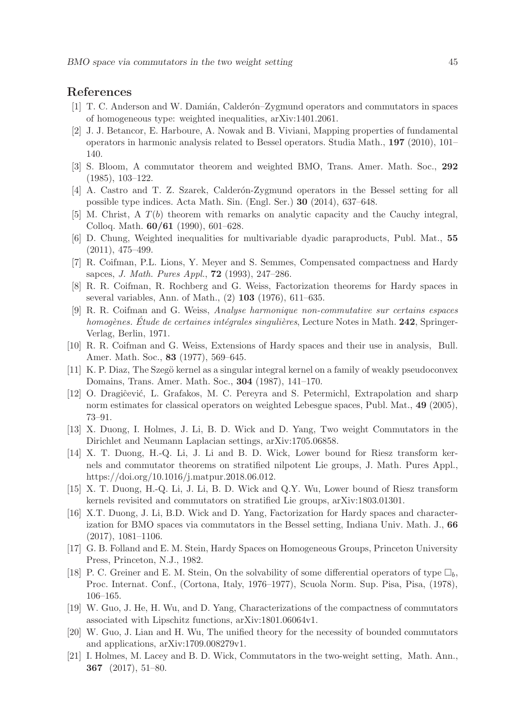## References

- [1] T. C. Anderson and W. Damián, Calderón–Zygmund operators and commutators in spaces of homogeneous type: weighted inequalities, arXiv:1401.2061.
- [2] J. J. Betancor, E. Harboure, A. Nowak and B. Viviani, Mapping properties of fundamental operators in harmonic analysis related to Bessel operators. Studia Math., 197 (2010), 101– 140.
- [3] S. Bloom, A commutator theorem and weighted BMO, Trans. Amer. Math. Soc., 292 (1985), 103–122.
- [4] A. Castro and T. Z. Szarek, Calderón-Zygmund operators in the Bessel setting for all possible type indices. Acta Math. Sin. (Engl. Ser.) 30 (2014), 637–648.
- [5] M. Christ, A T(b) theorem with remarks on analytic capacity and the Cauchy integral, Colloq. Math. 60/61 (1990), 601–628.
- [6] D. Chung, Weighted inequalities for multivariable dyadic paraproducts, Publ. Mat., 55 (2011), 475–499.
- [7] R. Coifman, P.L. Lions, Y. Meyer and S. Semmes, Compensated compactness and Hardy sapces, *J. Math. Pures Appl.*, 72 (1993), 247–286.
- [8] R. R. Coifman, R. Rochberg and G. Weiss, Factorization theorems for Hardy spaces in several variables, Ann. of Math., (2) 103 (1976), 611–635.
- [9] R. R. Coifman and G. Weiss, *Analyse harmonique non-commutative sur certains espaces homogènes. Etude de certaines intégrales singulières*, Lecture Notes in Math. 242, Springer-Verlag, Berlin, 1971.
- [10] R. R. Coifman and G. Weiss, Extensions of Hardy spaces and their use in analysis, Bull. Amer. Math. Soc., 83 (1977), 569–645.
- [11] K. P. Diaz, The Szegö kernel as a singular integral kernel on a family of weakly pseudoconvex Domains, Trans. Amer. Math. Soc., 304 (1987), 141–170.
- [12] O. Dragiĉević, L. Grafakos, M. C. Pereyra and S. Petermichl, Extrapolation and sharp norm estimates for classical operators on weighted Lebesgue spaces, Publ. Mat., 49 (2005), 73–91.
- [13] X. Duong, I. Holmes, J. Li, B. D. Wick and D. Yang, Two weight Commutators in the Dirichlet and Neumann Laplacian settings, arXiv:1705.06858.
- [14] X. T. Duong, H.-Q. Li, J. Li and B. D. Wick, Lower bound for Riesz transform kernels and commutator theorems on stratified nilpotent Lie groups, J. Math. Pures Appl., https://doi.org/10.1016/j.matpur.2018.06.012.
- [15] X. T. Duong, H.-Q. Li, J. Li, B. D. Wick and Q.Y. Wu, Lower bound of Riesz transform kernels revisited and commutators on stratified Lie groups, arXiv:1803.01301.
- [16] X.T. Duong, J. Li, B.D. Wick and D. Yang, Factorization for Hardy spaces and characterization for BMO spaces via commutators in the Bessel setting, Indiana Univ. Math. J., 66 (2017), 1081–1106.
- [17] G. B. Folland and E. M. Stein, Hardy Spaces on Homogeneous Groups, Princeton University Press, Princeton, N.J., 1982.
- [18] P. C. Greiner and E. M. Stein, On the solvability of some differential operators of type  $\Box_h$ , Proc. Internat. Conf., (Cortona, Italy, 1976–1977), Scuola Norm. Sup. Pisa, Pisa, (1978), 106–165.
- [19] W. Guo, J. He, H. Wu, and D. Yang, Characterizations of the compactness of commutators associated with Lipschitz functions, arXiv:1801.06064v1.
- [20] W. Guo, J. Lian and H. Wu, The unified theory for the necessity of bounded commutators and applications, arXiv:1709.008279v1.
- [21] I. Holmes, M. Lacey and B. D. Wick, Commutators in the two-weight setting, Math. Ann., 367 (2017), 51–80.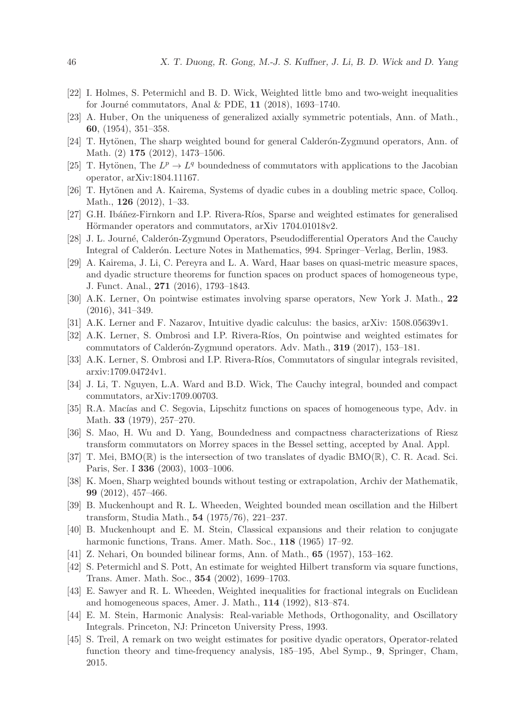- [22] I. Holmes, S. Petermichl and B. D. Wick, Weighted little bmo and two-weight inequalities for Journé commutators, Anal & PDE,  $11$  (2018), 1693–1740.
- [23] A. Huber, On the uniqueness of generalized axially symmetric potentials, Ann. of Math., 60, (1954), 351–358.
- [24] T. Hytönen, The sharp weighted bound for general Calderon-Zygmund operators, Ann. of Math. (2) 175 (2012), 1473–1506.
- [25] T. Hytönen, The  $L^p \to L^q$  boundedness of commutators with applications to the Jacobian operator, arXiv:1804.11167.
- [26] T. Hytönen and A. Kairema, Systems of dyadic cubes in a doubling metric space, Colloq. Math., 126 (2012), 1–33.
- [27] G.H. Ibáñez-Firnkorn and I.P. Rivera-Ríos, Sparse and weighted estimates for generalised Hörmander operators and commutators, arXiv 1704.01018v2.
- [28] J. L. Journé, Calderón-Zygmund Operators, Pseudodifferential Operators And the Cauchy Integral of Calderón. Lecture Notes in Mathematics, 994. Springer–Verlag, Berlin, 1983.
- [29] A. Kairema, J. Li, C. Pereyra and L. A. Ward, Haar bases on quasi-metric measure spaces, and dyadic structure theorems for function spaces on product spaces of homogeneous type, J. Funct. Anal., 271 (2016), 1793–1843.
- [30] A.K. Lerner, On pointwise estimates involving sparse operators, New York J. Math., 22 (2016), 341–349.
- [31] A.K. Lerner and F. Nazarov, Intuitive dyadic calculus: the basics, arXiv: 1508.05639v1.
- [32] A.K. Lerner, S. Ombrosi and I.P. Rivera-Ríos, On pointwise and weighted estimates for commutators of Calderón-Zygmund operators. Adv. Math., 319 (2017), 153–181.
- [33] A.K. Lerner, S. Ombrosi and I.P. Rivera-Ríos, Commutators of singular integrals revisited, arxiv:1709.04724v1.
- [34] J. Li, T. Nguyen, L.A. Ward and B.D. Wick, The Cauchy integral, bounded and compact commutators, arXiv:1709.00703.
- [35] R.A. Macías and C. Segovia, Lipschitz functions on spaces of homogeneous type, Adv. in Math. 33 (1979), 257–270.
- [36] S. Mao, H. Wu and D. Yang, Boundedness and compactness characterizations of Riesz transform commutators on Morrey spaces in the Bessel setting, accepted by Anal. Appl.
- [37] T. Mei,  $BMO(\mathbb{R})$  is the intersection of two translates of dyadic  $BMO(\mathbb{R})$ , C. R. Acad. Sci. Paris, Ser. I 336 (2003), 1003–1006.
- [38] K. Moen, Sharp weighted bounds without testing or extrapolation, Archiv der Mathematik, 99 (2012), 457–466.
- [39] B. Muckenhoupt and R. L. Wheeden, Weighted bounded mean oscillation and the Hilbert transform, Studia Math., 54 (1975/76), 221–237.
- [40] B. Muckenhoupt and E. M. Stein, Classical expansions and their relation to conjugate harmonic functions, Trans. Amer. Math. Soc., 118 (1965) 17-92.
- [41] Z. Nehari, On bounded bilinear forms, Ann. of Math., 65 (1957), 153–162.
- [42] S. Petermichl and S. Pott, An estimate for weighted Hilbert transform via square functions, Trans. Amer. Math. Soc., 354 (2002), 1699–1703.
- [43] E. Sawyer and R. L. Wheeden, Weighted inequalities for fractional integrals on Euclidean and homogeneous spaces, Amer. J. Math., 114 (1992), 813–874.
- [44] E. M. Stein, Harmonic Analysis: Real-variable Methods, Orthogonality, and Oscillatory Integrals. Princeton, NJ: Princeton University Press, 1993.
- [45] S. Treil, A remark on two weight estimates for positive dyadic operators, Operator-related function theory and time-frequency analysis, 185–195, Abel Symp., 9, Springer, Cham, 2015.